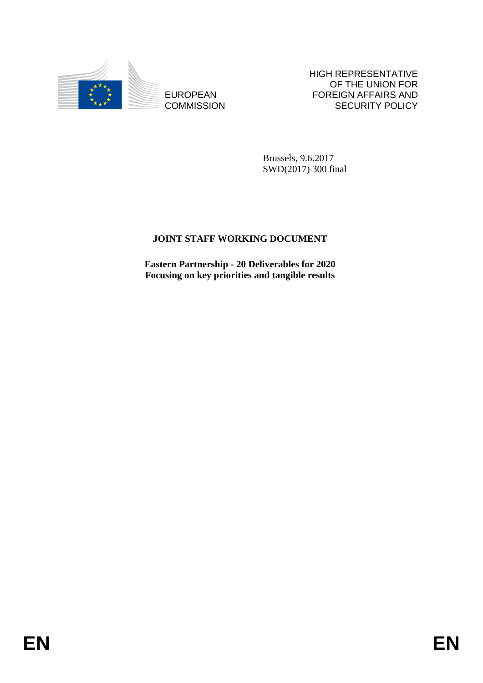

**COMMISSION** 

HIGH REPRESENTATIVE OF THE UNION FOR FOREIGN AFFAIRS AND SECURITY POLICY

Brussels, 9.6.2017 SWD(2017) 300 final

# **JOINT STAFF WORKING DOCUMENT**

EUROPEAN FOREIGN FOREIGN AFFAIRS AND COMMISSION<br>
ENGINEERING ACTIVE SECURITY POLICY<br>
SWORDTS STAFF WORKING DOCUMENT<br>
Material State of Material Controller<br>
Forces and the state of the state of the state of the state of the **Eastern Partnership - 20 Deliverables for 2020 Focusing on key priorities and tangible results**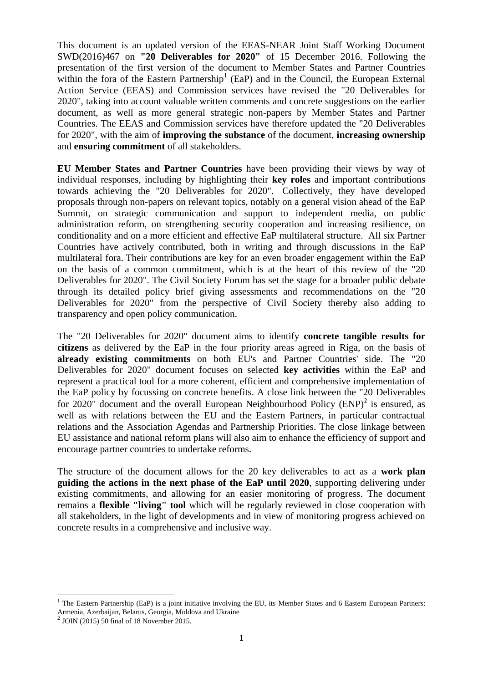This document is an updated version of the EEAS-NEAR Joint Staff Working Document SWD(2016)467 on **"20 Deliverables for 2020"** of 15 December 2016. Following the presentation of the first version of the document to Member States and Partner Countries within the fora of the Eastern Partnership<sup>1</sup> (EaP) and in the Council, the European External Action Service (EEAS) and Commission services have revised the "20 Deliverables for 2020", taking into account valuable written comments and concrete suggestions on the earlier document, as well as more general strategic non-papers by Member States and Partner Countries. The EEAS and Commission services have therefore updated the "20 Deliverables for 2020", with the aim of **improving the substance** of the document, **increasing ownership** and **ensuring commitment** of all stakeholders.

**EU Member States and Partner Countries** have been providing their views by way of individual responses, including by highlighting their **key roles** and important contributions towards achieving the "20 Deliverables for 2020". Collectively, they have developed proposals through non-papers on relevant topics, notably on a general vision ahead of the EaP Summit, on strategic communication and support to independent media, on public administration reform, on strengthening security cooperation and increasing resilience, on conditionality and on a more efficient and effective EaP multilateral structure. All six Partner Countries have actively contributed, both in writing and through discussions in the EaP multilateral fora. Their contributions are key for an even broader engagement within the EaP on the basis of a common commitment, which is at the heart of this review of the "20 Deliverables for 2020". The Civil Society Forum has set the stage for a broader public debate through its detailed policy brief giving assessments and recommendations on the "20 Deliverables for 2020" from the perspective of Civil Society thereby also adding to transparency and open policy communication.

The "20 Deliverables for 2020" document aims to identify **concrete tangible results for citizens** as delivered by the EaP in the four priority areas agreed in Riga, on the basis of **already existing commitments** on both EU's and Partner Countries' side. The "20 Deliverables for 2020" document focuses on selected **key activities** within the EaP and represent a practical tool for a more coherent, efficient and comprehensive implementation of the EaP policy by focussing on concrete benefits. A close link between the "20 Deliverables for 2020" document and the overall European Neighbourhood Policy  $(ENP)^2$  is ensured, as well as with relations between the EU and the Eastern Partners, in particular contractual relations and the Association Agendas and Partnership Priorities. The close linkage between EU assistance and national reform plans will also aim to enhance the efficiency of support and encourage partner countries to undertake reforms.

The structure of the document allows for the 20 key deliverables to act as a **work plan guiding the actions in the next phase of the EaP until 2020**, supporting delivering under existing commitments, and allowing for an easier monitoring of progress. The document remains a **flexible "living" tool** which will be regularly reviewed in close cooperation with all stakeholders, in the light of developments and in view of monitoring progress achieved on concrete results in a comprehensive and inclusive way.

<sup>&</sup>lt;sup>1</sup> The Eastern Partnership (EaP) is a joint initiative involving the EU, its Member States and 6 Eastern European Partners: Armenia, Azerbaijan, Belarus, Georgia, Moldova and Ukraine

<sup>2</sup> JOIN (2015) 50 final of 18 November 2015.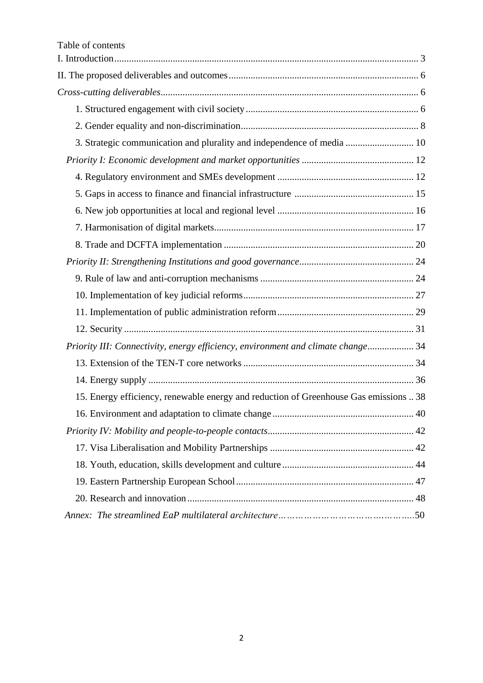| 3. Strategic communication and plurality and independence of media  10                |    |
|---------------------------------------------------------------------------------------|----|
|                                                                                       |    |
|                                                                                       |    |
|                                                                                       |    |
|                                                                                       |    |
|                                                                                       |    |
|                                                                                       |    |
|                                                                                       |    |
|                                                                                       |    |
|                                                                                       |    |
|                                                                                       |    |
|                                                                                       |    |
| Priority III: Connectivity, energy efficiency, environment and climate change 34      |    |
|                                                                                       |    |
|                                                                                       |    |
| 15. Energy efficiency, renewable energy and reduction of Greenhouse Gas emissions  38 |    |
|                                                                                       | 40 |
|                                                                                       |    |
|                                                                                       |    |
|                                                                                       |    |
|                                                                                       |    |
|                                                                                       |    |
|                                                                                       |    |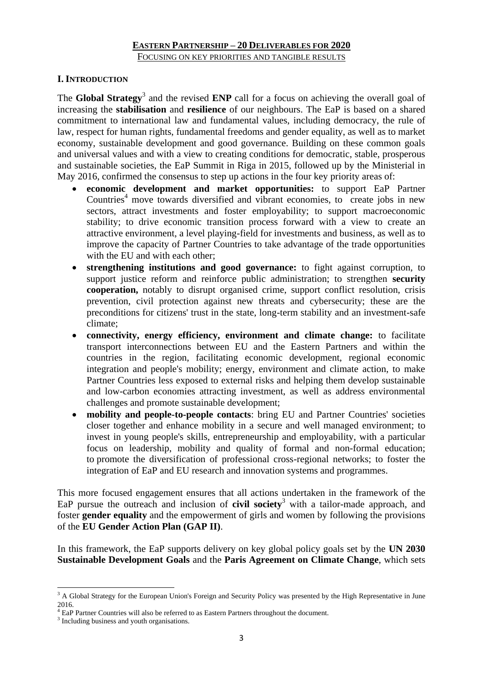## **I. INTRODUCTION**

The **Global Strategy**<sup>3</sup> and the revised **ENP** call for a focus on achieving the overall goal of increasing the **stabilisation** and **resilience** of our neighbours. The EaP is based on a shared commitment to international law and fundamental values, including democracy, the rule of law, respect for human rights, fundamental freedoms and gender equality, as well as to market economy, sustainable development and good governance. Building on these common goals and universal values and with a view to creating conditions for democratic, stable, prosperous and sustainable societies, the EaP Summit in Riga in 2015, followed up by the Ministerial in May 2016, confirmed the consensus to step up actions in the four key priority areas of:

- **economic development and market opportunities:** to support EaP Partner Countries<sup>4</sup> move towards diversified and vibrant economies, to create jobs in new sectors, attract investments and foster employability; to support macroeconomic stability; to drive economic transition process forward with a view to create an attractive environment, a level playing-field for investments and business, as well as to improve the capacity of Partner Countries to take advantage of the trade opportunities with the EU and with each other:
- **strengthening institutions and good governance:** to fight against corruption, to support justice reform and reinforce public administration; to strengthen **security cooperation,** notably to disrupt organised crime, support conflict resolution, crisis prevention, civil protection against new threats and cybersecurity; these are the preconditions for citizens' trust in the state, long-term stability and an investment-safe climate;
- **connectivity, energy efficiency, environment and climate change:** to facilitate transport interconnections between EU and the Eastern Partners and within the countries in the region, facilitating economic development, regional economic integration and people's mobility; energy, environment and climate action, to make Partner Countries less exposed to external risks and helping them develop sustainable and low-carbon economies attracting investment, as well as address environmental challenges and promote sustainable development;
- **mobility and people-to-people contacts**: bring EU and Partner Countries' societies closer together and enhance mobility in a secure and well managed environment; to invest in young people's skills, entrepreneurship and employability, with a particular focus on leadership, mobility and quality of formal and non-formal education; to promote the diversification of professional cross-regional networks; to foster the integration of EaP and EU research and innovation systems and programmes.

This more focused engagement ensures that all actions undertaken in the framework of the EaP pursue the outreach and inclusion of **civil society**<sup>3</sup> with a tailor-made approach, and foster **gender equality** and the empowerment of girls and women by following the provisions of the **EU Gender Action Plan (GAP II)**.

In this framework, the EaP supports delivery on key global policy goals set by the **UN 2030 Sustainable Development Goals** and the **Paris Agreement on Climate Change**, which sets

<sup>1</sup> <sup>3</sup> A Global Strategy for the European Union's Foreign and Security Policy was presented by the High Representative in June 2016.

<sup>&</sup>lt;sup>4</sup> EaP Partner Countries will also be referred to as Eastern Partners throughout the document.

<sup>&</sup>lt;sup>3</sup> Including business and youth organisations.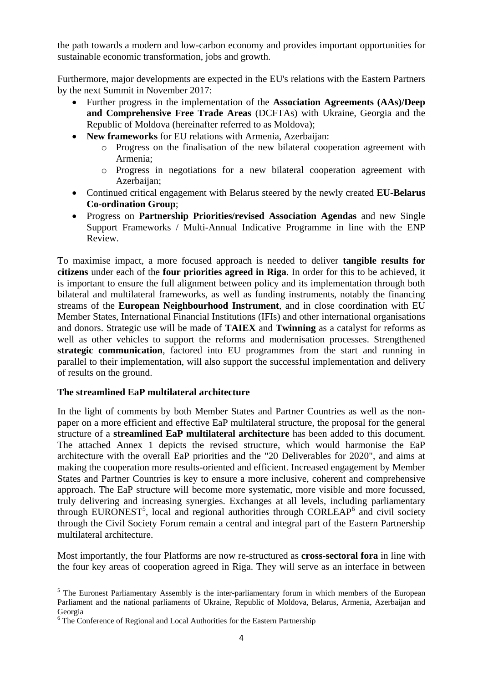the path towards a modern and low-carbon economy and provides important opportunities for sustainable economic transformation, jobs and growth.

Furthermore, major developments are expected in the EU's relations with the Eastern Partners by the next Summit in November 2017:

- Further progress in the implementation of the **Association Agreements (AAs)/Deep and Comprehensive Free Trade Areas** (DCFTAs) with Ukraine, Georgia and the Republic of Moldova (hereinafter referred to as Moldova);
- **New frameworks** for EU relations with Armenia, Azerbaijan:
	- o Progress on the finalisation of the new bilateral cooperation agreement with Armenia;
	- o Progress in negotiations for a new bilateral cooperation agreement with Azerbaijan;
- Continued critical engagement with Belarus steered by the newly created **EU-Belarus Co-ordination Group**;
- Progress on **Partnership Priorities/revised Association Agendas** and new Single Support Frameworks / Multi-Annual Indicative Programme in line with the ENP Review.

To maximise impact, a more focused approach is needed to deliver **tangible results for citizens** under each of the **four priorities agreed in Riga**. In order for this to be achieved, it is important to ensure the full alignment between policy and its implementation through both bilateral and multilateral frameworks, as well as funding instruments, notably the financing streams of the **European Neighbourhood Instrument**, and in close coordination with EU Member States, International Financial Institutions (IFIs) and other international organisations and donors. Strategic use will be made of **TAIEX** and **Twinning** as a catalyst for reforms as well as other vehicles to support the reforms and modernisation processes. Strengthened **strategic communication**, factored into EU programmes from the start and running in parallel to their implementation, will also support the successful implementation and delivery of results on the ground.

# **The streamlined EaP multilateral architecture**

In the light of comments by both Member States and Partner Countries as well as the nonpaper on a more efficient and effective EaP multilateral structure, the proposal for the general structure of a **streamlined EaP multilateral architecture** has been added to this document. The attached Annex 1 depicts the revised structure, which would harmonise the EaP architecture with the overall EaP priorities and the "20 Deliverables for 2020", and aims at making the cooperation more results-oriented and efficient. Increased engagement by Member States and Partner Countries is key to ensure a more inclusive, coherent and comprehensive approach. The EaP structure will become more systematic, more visible and more focussed, truly delivering and increasing synergies. Exchanges at all levels, including parliamentary through EURONEST<sup>5</sup>, local and regional authorities through CORLEAP<sup>6</sup> and civil society through the Civil Society Forum remain a central and integral part of the Eastern Partnership multilateral architecture.

Most importantly, the four Platforms are now re-structured as **cross-sectoral fora** in line with the four key areas of cooperation agreed in Riga. They will serve as an interface in between

**<sup>.</sup>** <sup>5</sup> The Euronest Parliamentary Assembly is the inter-parliamentary forum in which members of the European Parliament and the national parliaments of Ukraine, Republic of Moldova, Belarus, Armenia, Azerbaijan and Georgia

<sup>&</sup>lt;sup>6</sup> The Conference of Regional and Local Authorities for the Eastern Partnership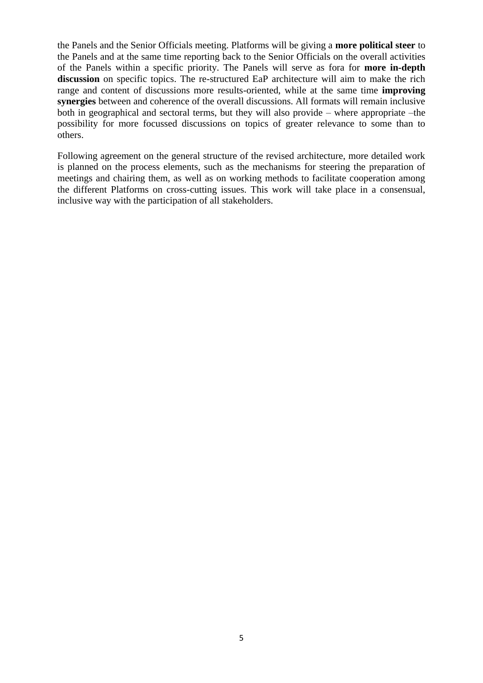the Panels and the Senior Officials meeting. Platforms will be giving a **more political steer** to the Panels and at the same time reporting back to the Senior Officials on the overall activities of the Panels within a specific priority. The Panels will serve as fora for **more in-depth discussion** on specific topics. The re-structured EaP architecture will aim to make the rich range and content of discussions more results-oriented, while at the same time **improving synergies** between and coherence of the overall discussions. All formats will remain inclusive both in geographical and sectoral terms, but they will also provide – where appropriate –the possibility for more focussed discussions on topics of greater relevance to some than to others.

Following agreement on the general structure of the revised architecture, more detailed work is planned on the process elements, such as the mechanisms for steering the preparation of meetings and chairing them, as well as on working methods to facilitate cooperation among the different Platforms on cross-cutting issues. This work will take place in a consensual, inclusive way with the participation of all stakeholders.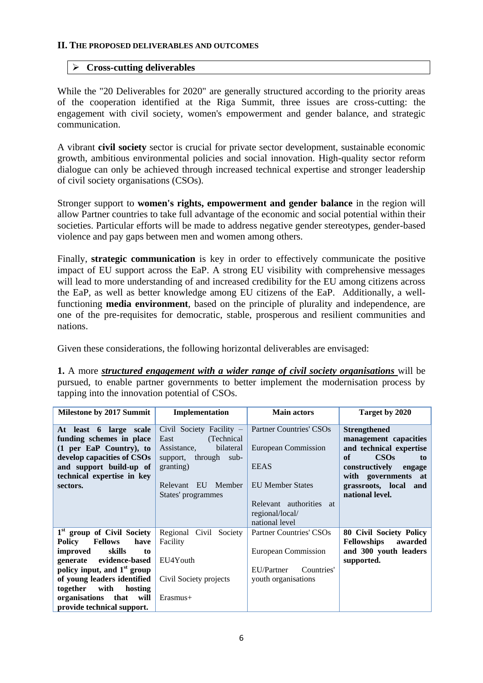#### **II. THE PROPOSED DELIVERABLES AND OUTCOMES**

## **Cross-cutting deliverables**

While the "20 Deliverables for 2020" are generally structured according to the priority areas of the cooperation identified at the Riga Summit, three issues are cross-cutting: the engagement with civil society, women's empowerment and gender balance, and strategic communication.

A vibrant **civil society** sector is crucial for private sector development, sustainable economic growth, ambitious environmental policies and social innovation. High-quality sector reform dialogue can only be achieved through increased technical expertise and stronger leadership of civil society organisations (CSOs).

Stronger support to **women's rights, empowerment and gender balance** in the region will allow Partner countries to take full advantage of the economic and social potential within their societies. Particular efforts will be made to address negative gender stereotypes, gender-based violence and pay gaps between men and women among others.

Finally, **strategic communication** is key in order to effectively communicate the positive impact of EU support across the EaP. A strong EU visibility with comprehensive messages will lead to more understanding of and increased credibility for the EU among citizens across the EaP, as well as better knowledge among EU citizens of the EaP. Additionally, a wellfunctioning **media environment**, based on the principle of plurality and independence, are one of the pre-requisites for democratic, stable, prosperous and resilient communities and nations.

Given these considerations, the following horizontal deliverables are envisaged:

**1.** A more *structured engagement with a wider range of civil society organisations* will be pursued, to enable partner governments to better implement the modernisation process by tapping into the innovation potential of CSOs.

| <b>Milestone by 2017 Summit</b>                                                                                                                                                                                                                                                                    | Implementation                                                                                                                                                   | <b>Main actors</b>                                                                                                                                              | Target by 2020                                                                                                                                                                                |
|----------------------------------------------------------------------------------------------------------------------------------------------------------------------------------------------------------------------------------------------------------------------------------------------------|------------------------------------------------------------------------------------------------------------------------------------------------------------------|-----------------------------------------------------------------------------------------------------------------------------------------------------------------|-----------------------------------------------------------------------------------------------------------------------------------------------------------------------------------------------|
| At least 6 large scale<br>funding schemes in place<br>$(1$ per EaP Country), to<br>develop capacities of CSOs<br>and support build-up of<br>technical expertise in key<br>sectors.                                                                                                                 | Civil Society Facility -<br>East<br>(Technical)<br>bilateral<br>Assistance,<br>support, through sub-<br>granting)<br>EU Member<br>Relevant<br>States' programmes | <b>Partner Countries' CSOs</b><br>European Commission<br><b>EEAS</b><br><b>EU Member States</b><br>Relevant authorities at<br>regional/local/<br>national level | <b>Strengthened</b><br>management capacities<br>and technical expertise<br>CSOs<br>of<br>to<br>constructively<br>engage<br>with governments at<br>grassroots, local<br>and<br>national level. |
| 1 <sup>st</sup> group of Civil Society<br><b>Fellows</b><br>have<br>Policy<br>skills<br>improved<br>to<br>evidence-based<br>generate<br>policy input, and $1st$ group<br>of young leaders identified<br>together<br>with<br>hosting<br>organisations<br>that<br>will<br>provide technical support. | Regional Civil<br>Society<br>Facility<br>EU4Youth<br>Civil Society projects<br>$E$ rasmus+                                                                       | <b>Partner Countries' CSOs</b><br>European Commission<br>EU/Partner<br>Countries'<br>youth organisations                                                        | <b>80 Civil Society Policy</b><br><b>Fellowships</b><br>awarded<br>and 300 youth leaders<br>supported.                                                                                        |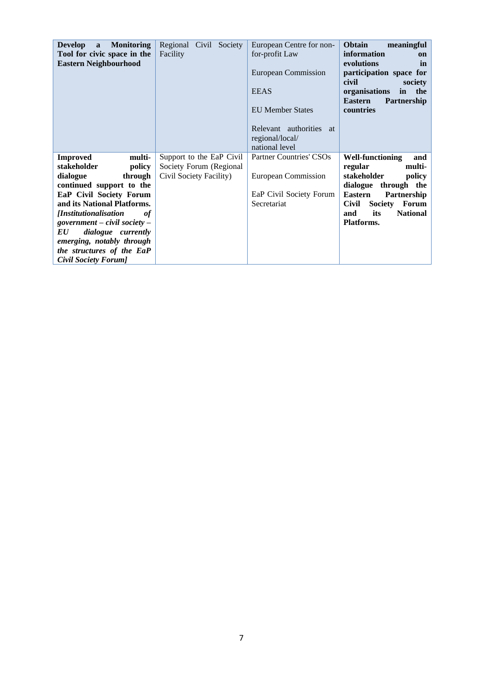| <b>Monitoring</b><br><b>Develop</b><br>$\mathbf{a}$<br>Tool for civic space in the<br><b>Eastern Neighbourhood</b>                                                                                                                                                                                                                                  | Regional Civil Society<br>Facility                                             | European Centre for non-<br>for-profit Law<br>European Commission<br><b>EEAS</b><br><b>EU Member States</b><br>Relevant authorities at<br>regional/local/<br>national level | Obtain<br>meaningful<br>information<br><sub>on</sub><br>evolutions<br>in<br>participation space for<br>civil<br>society<br>the<br>organisations<br>in<br>Partnership<br><b>Eastern</b><br>countries                         |
|-----------------------------------------------------------------------------------------------------------------------------------------------------------------------------------------------------------------------------------------------------------------------------------------------------------------------------------------------------|--------------------------------------------------------------------------------|-----------------------------------------------------------------------------------------------------------------------------------------------------------------------------|-----------------------------------------------------------------------------------------------------------------------------------------------------------------------------------------------------------------------------|
| <b>Improved</b><br>multi-<br>stakeholder<br>policy<br>dialogue<br>through<br>continued support to the<br>EaP Civil Society Forum<br>and its National Platforms.<br><i>[Institutionalisation</i><br>0f<br>government – civil society –<br>dialogue currently<br>EU<br>emerging, notably through<br>the structures of the EaP<br>Civil Society Forum] | Support to the EaP Civil<br>Society Forum (Regional<br>Civil Society Facility) | Partner Countries' CSOs<br>European Commission<br>EaP Civil Society Forum<br>Secretariat                                                                                    | <b>Well-functioning</b><br>and<br>multi-<br>regular<br>stakeholder<br>policy<br>dialogue<br>through the<br><b>Eastern</b><br>Partnership<br>Civil<br><b>Society</b><br>Forum<br>its<br><b>National</b><br>and<br>Platforms. |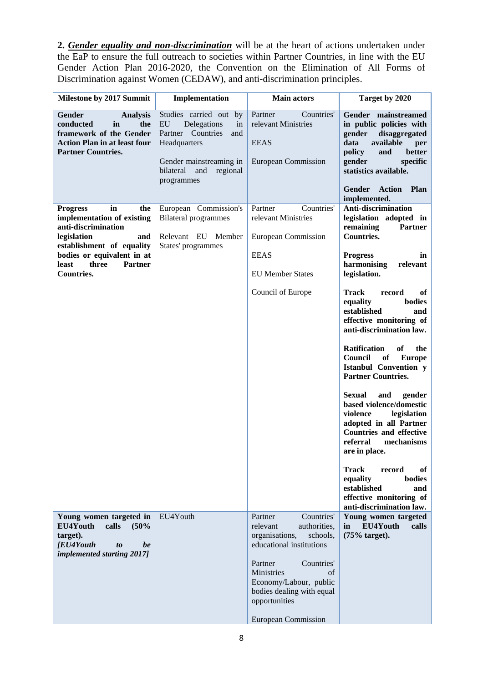**2.** *Gender equality and non-discrimination* will be at the heart of actions undertaken under the EaP to ensure the full outreach to societies within Partner Countries, in line with the EU Gender Action Plan 2016-2020, the Convention on the Elimination of All Forms of Discrimination against Women (CEDAW), and anti-discrimination principles.

| Milestone by 2017 Summit                                                                                                                                                                                                    | Implementation                                                                                                                                                                 | <b>Main actors</b>                                                                                                                                                                                                                                             | Target by 2020                                                                                                                                                                                                                                                                                                                                                                                                                                                                                                                                                                                                                                                                                                                                                                |
|-----------------------------------------------------------------------------------------------------------------------------------------------------------------------------------------------------------------------------|--------------------------------------------------------------------------------------------------------------------------------------------------------------------------------|----------------------------------------------------------------------------------------------------------------------------------------------------------------------------------------------------------------------------------------------------------------|-------------------------------------------------------------------------------------------------------------------------------------------------------------------------------------------------------------------------------------------------------------------------------------------------------------------------------------------------------------------------------------------------------------------------------------------------------------------------------------------------------------------------------------------------------------------------------------------------------------------------------------------------------------------------------------------------------------------------------------------------------------------------------|
| <b>Gender</b><br><b>Analysis</b><br>conducted<br>in<br>the<br>framework of the Gender<br><b>Action Plan in at least four</b><br><b>Partner Countries.</b>                                                                   | Studies carried out by<br>${\rm EU}$<br>Delegations<br>in<br>Partner Countries<br>and<br>Headquarters<br>Gender mainstreaming in<br>bilateral<br>and<br>regional<br>programmes | Partner<br>Countries'<br>relevant Ministries<br><b>EEAS</b><br><b>European Commission</b>                                                                                                                                                                      | Gender mainstreamed<br>in public policies with<br>disaggregated<br>gender<br>available<br>data<br>per<br>and<br>better<br>policy<br>gender<br>specific<br>statistics available.<br>Gender<br><b>Action</b><br><b>Plan</b><br>implemented.                                                                                                                                                                                                                                                                                                                                                                                                                                                                                                                                     |
| in<br><b>Progress</b><br>the<br>implementation of existing<br>anti-discrimination<br>legislation<br>and<br>establishment of equality<br>bodies or equivalent in at<br>three<br><b>Partner</b><br>least<br><b>Countries.</b> | European Commission's<br><b>Bilateral programmes</b><br>Relevant EU Member<br>States' programmes                                                                               | Partner<br>Countries'<br>relevant Ministries<br>European Commission<br><b>EEAS</b><br><b>EU Member States</b><br>Council of Europe                                                                                                                             | Anti-discrimination<br>legislation adopted in<br>remaining<br><b>Partner</b><br><b>Countries.</b><br><b>Progress</b><br>in<br>harmonising<br>relevant<br>legislation.<br><b>Track</b><br>record<br>оf<br>bodies<br>equality<br>established<br>and<br>effective monitoring of<br>anti-discrimination law.<br><b>Ratification</b><br>of<br>the<br>Council<br>of<br><b>Europe</b><br><b>Istanbul Convention y</b><br><b>Partner Countries.</b><br><b>Sexual</b><br>and<br>gender<br>based violence/domestic<br>violence<br>legislation<br>adopted in all Partner<br><b>Countries and effective</b><br>referral<br>mechanisms<br>are in place.<br><b>Track</b><br>of<br>record<br>bodies<br>equality<br>established<br>and<br>effective monitoring of<br>anti-discrimination law. |
| Young women targeted in<br>EU4Youth<br>calls<br>(50%<br>target).<br><b><i><u>IEU4Youth</u></i></b><br>be<br>$\boldsymbol{to}$<br>implemented starting 2017]                                                                 | EU4Youth                                                                                                                                                                       | Countries'<br>Partner<br>relevant<br>authorities,<br>organisations,<br>schools,<br>educational institutions<br>Partner<br>Countries'<br>Ministries<br>of<br>Economy/Labour, public<br>bodies dealing with equal<br>opportunities<br><b>European Commission</b> | Young women targeted<br>EU4Youth<br>in<br>calls<br>(75% target).                                                                                                                                                                                                                                                                                                                                                                                                                                                                                                                                                                                                                                                                                                              |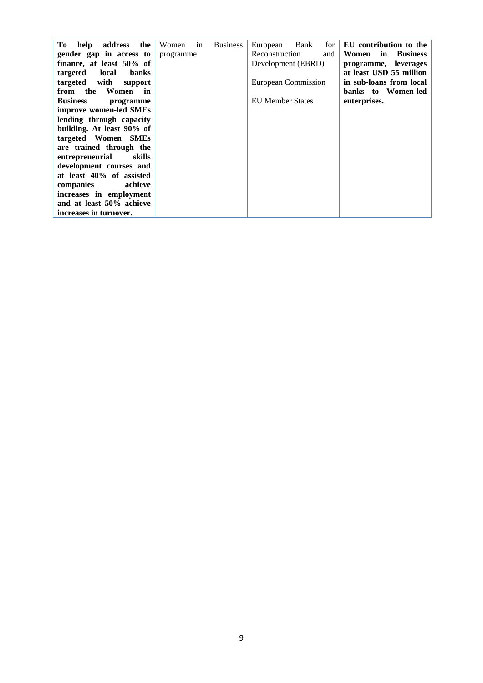| address<br>the<br>Tо         | Women     | in | <b>Business</b> |                         | Bank | for | EU contribution to the         |
|------------------------------|-----------|----|-----------------|-------------------------|------|-----|--------------------------------|
| help                         |           |    |                 | European                |      |     |                                |
| gender gap in access to      | programme |    |                 | Reconstruction          |      | and | Women<br>in<br><b>Business</b> |
| finance, at least 50% of     |           |    |                 | Development (EBRD)      |      |     | programme, leverages           |
| targeted<br>local<br>banks   |           |    |                 |                         |      |     | at least USD 55 million        |
| with<br>targeted<br>support  |           |    |                 | European Commission     |      |     | in sub-loans from local        |
| the<br>Women<br>from<br>in   |           |    |                 |                         |      |     | banks to Women-led             |
| <b>Business</b><br>programme |           |    |                 | <b>EU Member States</b> |      |     | enterprises.                   |
| improve women-led SMEs       |           |    |                 |                         |      |     |                                |
| lending through capacity     |           |    |                 |                         |      |     |                                |
| building. At least 90% of    |           |    |                 |                         |      |     |                                |
| targeted Women SMEs          |           |    |                 |                         |      |     |                                |
| are trained through the      |           |    |                 |                         |      |     |                                |
| entrepreneurial<br>skills    |           |    |                 |                         |      |     |                                |
| development courses and      |           |    |                 |                         |      |     |                                |
| at least 40% of assisted     |           |    |                 |                         |      |     |                                |
| achieve<br>companies         |           |    |                 |                         |      |     |                                |
| increases in employment      |           |    |                 |                         |      |     |                                |
| and at least 50% achieve     |           |    |                 |                         |      |     |                                |
| increases in turnover.       |           |    |                 |                         |      |     |                                |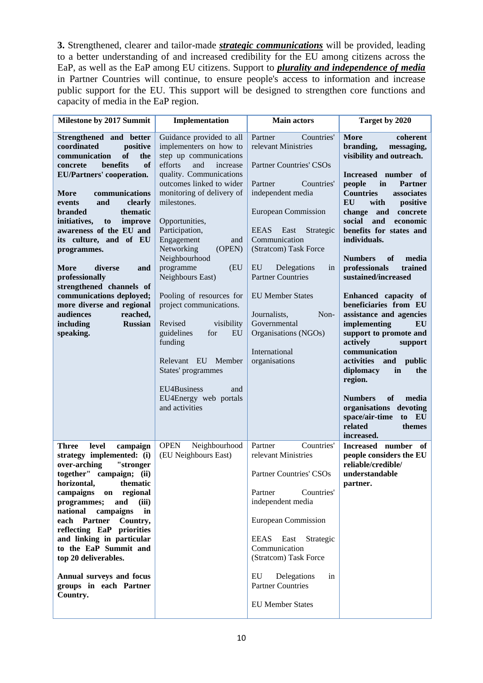**3.** Strengthened, clearer and tailor-made *strategic communications* will be provided, leading to a better understanding of and increased credibility for the EU among citizens across the EaP, as well as the EaP among EU citizens. Support to *plurality and independence of media* in Partner Countries will continue, to ensure people's access to information and increase public support for the EU. This support will be designed to strengthen core functions and capacity of media in the EaP region.

| <b>Milestone by 2017 Summit</b>                                                                                                                                                                                                                                                                                                                                                                                                                                                                                                                                            | Implementation                                                                                                                                                                                                                                                                                                                                                                                                                                                                                                                                                                                | <b>Main actors</b>                                                                                                                                                                                                                                                                                                                                                                                                           | Target by 2020                                                                                                                                                                                                                                                                                                                                                                                                                                                                                                                                                                                                                                                                                                                                                             |
|----------------------------------------------------------------------------------------------------------------------------------------------------------------------------------------------------------------------------------------------------------------------------------------------------------------------------------------------------------------------------------------------------------------------------------------------------------------------------------------------------------------------------------------------------------------------------|-----------------------------------------------------------------------------------------------------------------------------------------------------------------------------------------------------------------------------------------------------------------------------------------------------------------------------------------------------------------------------------------------------------------------------------------------------------------------------------------------------------------------------------------------------------------------------------------------|------------------------------------------------------------------------------------------------------------------------------------------------------------------------------------------------------------------------------------------------------------------------------------------------------------------------------------------------------------------------------------------------------------------------------|----------------------------------------------------------------------------------------------------------------------------------------------------------------------------------------------------------------------------------------------------------------------------------------------------------------------------------------------------------------------------------------------------------------------------------------------------------------------------------------------------------------------------------------------------------------------------------------------------------------------------------------------------------------------------------------------------------------------------------------------------------------------------|
| Strengthened and better<br>coordinated<br>positive<br>communication<br><b>of</b><br>the<br>benefits<br><sub>of</sub><br>concrete<br><b>EU/Partners' cooperation.</b><br>communications<br>More<br>and<br>clearly<br>events<br><b>branded</b><br>thematic<br>initiatives,<br>improve<br>to<br>awareness of the EU and<br>its culture, and of EU<br>programmes.<br><b>More</b><br>diverse<br>and<br>professionally<br>strengthened channels of<br>communications deployed;<br>more diverse and regional<br>audiences<br>reached,<br>including<br><b>Russian</b><br>speaking. | Guidance provided to all<br>implementers on how to<br>step up communications<br>efforts<br>and<br>increase<br>quality. Communications<br>outcomes linked to wider<br>monitoring of delivery of<br>milestones.<br>Opportunities,<br>Participation,<br>Engagement<br>and<br>Networking<br>(OPEN)<br>Neighbourhood<br>programme<br>(EU<br>Neighbours East)<br>Pooling of resources for<br>project communications.<br>Revised<br>visibility<br>guidelines<br>for<br>EU<br>funding<br>Relevant EU<br>Member<br>States' programmes<br>EU4Business<br>and<br>EU4Energy web portals<br>and activities | Partner<br>Countries'<br>relevant Ministries<br><b>Partner Countries' CSOs</b><br>Partner<br>Countries'<br>independent media<br><b>European Commission</b><br><b>EEAS</b><br>East<br>Strategic<br>Communication<br>(Stratcom) Task Force<br>EU<br>Delegations<br>in<br><b>Partner Countries</b><br><b>EU Member States</b><br>Journalists,<br>Non-<br>Governmental<br>Organisations (NGOs)<br>International<br>organisations | <b>More</b><br>coherent<br>branding,<br>messaging,<br>visibility and outreach.<br>Increased number of<br>in<br>people<br><b>Partner</b><br><b>Countries</b><br>associates<br>EU<br>with<br>positive<br>change<br>and<br>concrete<br>social<br>and<br>economic<br>benefits for states and<br>individuals.<br><b>Numbers</b><br>of<br>media<br>professionals<br>trained<br>sustained/increased<br>Enhanced capacity of<br>beneficiaries from EU<br>assistance and agencies<br>implementing<br>EU<br>support to promote and<br>actively<br>support<br>communication<br>activities<br>and<br>public<br>diplomacy<br>in<br>the<br>region.<br><b>of</b><br><b>Numbers</b><br>media<br>organisations<br>devoting<br>space/air-time<br>to<br>EU<br>related<br>themes<br>increased. |
| level<br><b>Three</b><br>campaign<br>strategy implemented: (i)<br>"stronger<br>over-arching<br>together" campaign; (ii)<br>horizontal,<br>thematic<br>campaigns<br>regional<br>on<br>programmes;<br>and<br>(iii)<br>campaigns<br>national<br>in<br>each Partner<br>Country,<br>reflecting EaP priorities<br>and linking in particular<br>to the EaP Summit and<br>top 20 deliverables.<br>Annual surveys and focus<br>groups in each Partner<br>Country.                                                                                                                   | <b>OPEN</b><br>Neighbourhood<br>(EU Neighbours East)                                                                                                                                                                                                                                                                                                                                                                                                                                                                                                                                          | Countries'<br>Partner<br>relevant Ministries<br><b>Partner Countries' CSOs</b><br>Countries'<br>Partner<br>independent media<br><b>European Commission</b><br>Strategic<br><b>EEAS</b><br>East<br>Communication<br>(Stratcom) Task Force<br>EU<br>Delegations<br>in<br><b>Partner Countries</b><br><b>EU Member States</b>                                                                                                   | Increased number<br>- of<br>people considers the EU<br>reliable/credible/<br>understandable<br>partner.                                                                                                                                                                                                                                                                                                                                                                                                                                                                                                                                                                                                                                                                    |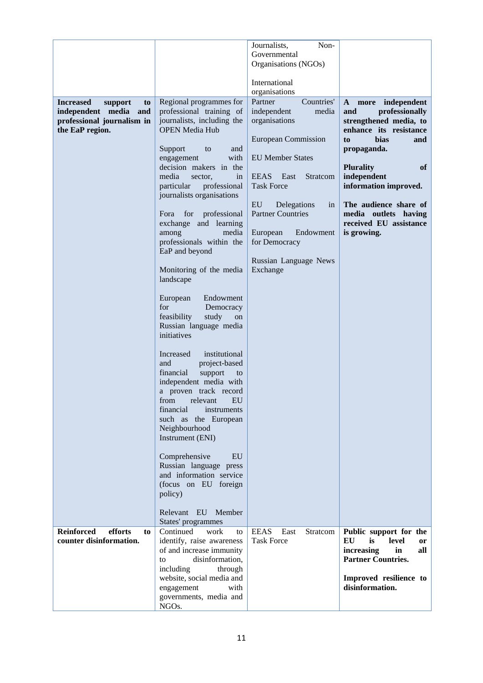|                                                                                                                |                                                                                                                                                                                                                                                                                                                                                                                                                                                                                                                                                                                                                                                                                                                                                                                                                                                                                                                                                                | Journalists,<br>Non-<br>Governmental<br>Organisations (NGOs)<br>International<br>organisations                                                                                                                                                                                                              |                                                                                                                                                                                                                                                                                                                      |
|----------------------------------------------------------------------------------------------------------------|----------------------------------------------------------------------------------------------------------------------------------------------------------------------------------------------------------------------------------------------------------------------------------------------------------------------------------------------------------------------------------------------------------------------------------------------------------------------------------------------------------------------------------------------------------------------------------------------------------------------------------------------------------------------------------------------------------------------------------------------------------------------------------------------------------------------------------------------------------------------------------------------------------------------------------------------------------------|-------------------------------------------------------------------------------------------------------------------------------------------------------------------------------------------------------------------------------------------------------------------------------------------------------------|----------------------------------------------------------------------------------------------------------------------------------------------------------------------------------------------------------------------------------------------------------------------------------------------------------------------|
| <b>Increased</b><br>support<br>to<br>independent media<br>and<br>professional journalism in<br>the EaP region. | Regional programmes for<br>professional training of<br>journalists, including the<br><b>OPEN Media Hub</b><br>Support<br>to<br>and<br>with<br>engagement<br>decision makers in the<br>media<br>sector,<br>in<br>particular<br>professional<br>journalists organisations<br>professional<br>for<br>Fora<br>exchange and learning<br>media<br>among<br>professionals within the<br>EaP and beyond<br>Monitoring of the media<br>landscape<br>European<br>Endowment<br>for<br>Democracy<br>study<br>feasibility<br>on<br>Russian language media<br>initiatives<br>institutional<br>Increased<br>and<br>project-based<br>financial<br>support<br>to<br>independent media with<br>a proven track record<br>from relevant<br><b>EU</b><br>financial<br>instruments<br>such as the European<br>Neighbourhood<br>Instrument (ENI)<br>Comprehensive<br>EU<br>Russian language press<br>and information service<br>(focus on EU foreign<br>policy)<br>Relevant EU Member | Partner<br>Countries'<br>independent<br>media<br>organisations<br><b>European Commission</b><br><b>EU Member States</b><br>EEAS East<br>Stratcom<br><b>Task Force</b><br>EU<br>Delegations<br>in<br><b>Partner Countries</b><br>European<br>Endowment<br>for Democracy<br>Russian Language News<br>Exchange | more independent<br>$\mathbf{A}$<br>professionally<br>and<br>strengthened media, to<br>enhance its resistance<br><b>bias</b><br>to<br>and<br>propaganda.<br><b>Plurality</b><br>of<br>independent<br>information improved.<br>The audience share of<br>media outlets having<br>received EU assistance<br>is growing. |
| <b>Reinforced</b><br>efforts<br>to                                                                             | States' programmes<br>Continued<br>work<br>to                                                                                                                                                                                                                                                                                                                                                                                                                                                                                                                                                                                                                                                                                                                                                                                                                                                                                                                  | <b>EEAS</b><br>East<br>Stratcom                                                                                                                                                                                                                                                                             | Public support for the                                                                                                                                                                                                                                                                                               |
| counter disinformation.                                                                                        | identify, raise awareness<br>of and increase immunity<br>disinformation,<br>to<br>including<br>through<br>website, social media and<br>engagement<br>with<br>governments, media and<br>NGOs.                                                                                                                                                                                                                                                                                                                                                                                                                                                                                                                                                                                                                                                                                                                                                                   | <b>Task Force</b>                                                                                                                                                                                                                                                                                           | EU<br>is<br>level<br>or<br>increasing<br>in<br>all<br><b>Partner Countries.</b><br>Improved resilience to<br>disinformation.                                                                                                                                                                                         |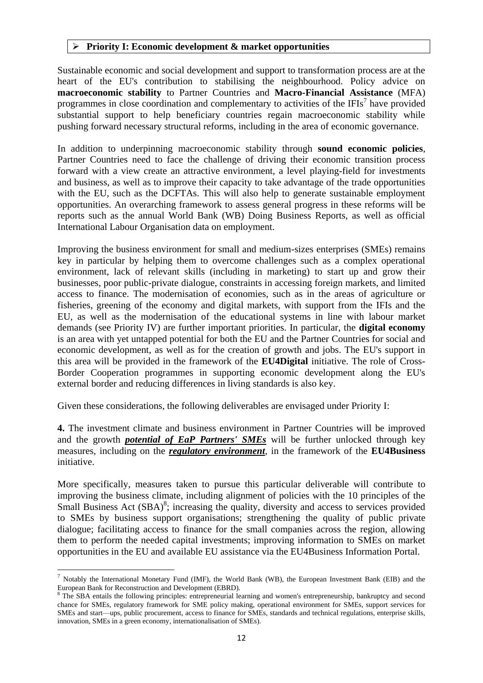#### **Priority I: Economic development & market opportunities**

Sustainable economic and social development and support to transformation process are at the heart of the EU's contribution to stabilising the neighbourhood. Policy advice on **macroeconomic stability** to Partner Countries and **Macro-Financial Assistance** (MFA) programmes in close coordination and complementary to activities of the IFIs<sup>7</sup> have provided substantial support to help beneficiary countries regain macroeconomic stability while pushing forward necessary structural reforms, including in the area of economic governance.

In addition to underpinning macroeconomic stability through **sound economic policies**, Partner Countries need to face the challenge of driving their economic transition process forward with a view create an attractive environment, a level playing-field for investments and business, as well as to improve their capacity to take advantage of the trade opportunities with the EU, such as the DCFTAs. This will also help to generate sustainable employment opportunities. An overarching framework to assess general progress in these reforms will be reports such as the annual World Bank (WB) Doing Business Reports, as well as official International Labour Organisation data on employment.

Improving the business environment for small and medium-sizes enterprises (SMEs) remains key in particular by helping them to overcome challenges such as a complex operational environment, lack of relevant skills (including in marketing) to start up and grow their businesses, poor public-private dialogue, constraints in accessing foreign markets, and limited access to finance. The modernisation of economies, such as in the areas of agriculture or fisheries, greening of the economy and digital markets, with support from the IFIs and the EU, as well as the modernisation of the educational systems in line with labour market demands (see Priority IV) are further important priorities. In particular, the **digital economy** is an area with yet untapped potential for both the EU and the Partner Countries for social and economic development, as well as for the creation of growth and jobs. The EU's support in this area will be provided in the framework of the **EU4Digital** initiative. The role of Cross-Border Cooperation programmes in supporting economic development along the EU's external border and reducing differences in living standards is also key.

Given these considerations, the following deliverables are envisaged under Priority I:

**4.** The investment climate and business environment in Partner Countries will be improved and the growth *potential of EaP Partners' SMEs* will be further unlocked through key measures, including on the *regulatory environment*, in the framework of the **EU4Business**  initiative.

More specifically, measures taken to pursue this particular deliverable will contribute to improving the business climate, including alignment of policies with the 10 principles of the Small Business Act (SBA)<sup>8</sup>; increasing the quality, diversity and access to services provided to SMEs by business support organisations; strengthening the quality of public private dialogue; facilitating access to finance for the small companies across the region, allowing them to perform the needed capital investments; improving information to SMEs on market opportunities in the EU and available EU assistance via the EU4Business Information Portal.

 $^7$  Notably the International Monetary Fund (IMF), the World Bank (WB), the European Investment Bank (EIB) and the European Bank for Reconstruction and Development (EBRD).

<sup>&</sup>lt;sup>8</sup> The SBA entails the following principles: entrepreneurial learning and women's entrepreneurship, bankruptcy and second chance for SMEs, regulatory framework for SME policy making, operational environment for SMEs, support services for SMEs and start—ups, public procurement, access to finance for SMEs, standards and technical regulations, enterprise skills, innovation, SMEs in a green economy, internationalisation of SMEs).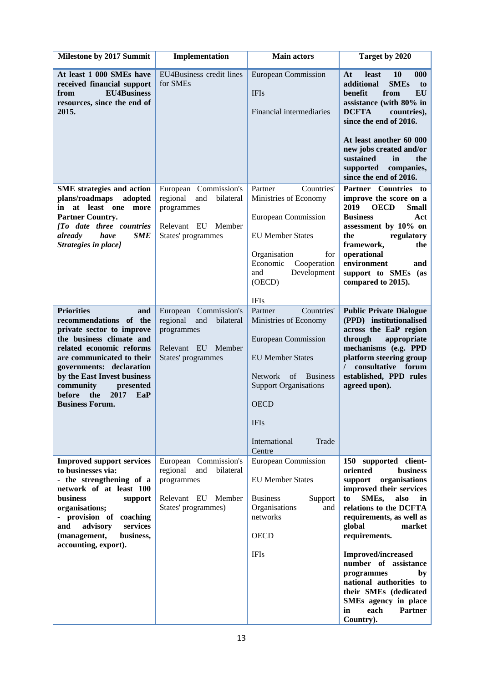| Milestone by 2017 Summit                                                                                                                                                                                                                                                                                            | Implementation                                                                                                     | <b>Main actors</b>                                                                                                                                                                                                                         | Target by 2020                                                                                                                                                                                                                                                                                                                                                                                                                                     |
|---------------------------------------------------------------------------------------------------------------------------------------------------------------------------------------------------------------------------------------------------------------------------------------------------------------------|--------------------------------------------------------------------------------------------------------------------|--------------------------------------------------------------------------------------------------------------------------------------------------------------------------------------------------------------------------------------------|----------------------------------------------------------------------------------------------------------------------------------------------------------------------------------------------------------------------------------------------------------------------------------------------------------------------------------------------------------------------------------------------------------------------------------------------------|
| At least 1 000 SMEs have<br>received financial support<br><b>EU4Business</b><br>from<br>resources, since the end of<br>2015.                                                                                                                                                                                        | EU4Business credit lines<br>for SMEs                                                                               | <b>European Commission</b><br><b>IFIs</b><br>Financial intermediaries                                                                                                                                                                      | At<br>least<br><b>10</b><br>000<br>additional<br><b>SMEs</b><br>to<br>EU<br>benefit<br>from<br>assistance (with 80% in<br><b>DCFTA</b><br>countries),<br>since the end of 2016.<br>At least another 60 000<br>new jobs created and/or<br>sustained<br>in<br>the<br>supported<br>companies,<br>since the end of 2016.                                                                                                                               |
| <b>SME</b> strategies and action<br>plans/roadmaps<br>adopted<br>at least one more<br>in<br><b>Partner Country.</b><br>[To date three countries<br><b>SME</b><br>already<br>have<br>Strategies in place]                                                                                                            | European Commission's<br>regional<br>and<br>bilateral<br>programmes<br>Relevant EU<br>Member<br>States' programmes | Partner<br>Countries'<br>Ministries of Economy<br><b>European Commission</b><br><b>EU Member States</b><br>Organisation<br>for<br>Economic<br>Cooperation<br>Development<br>and<br>(OECD)<br><b>IFIs</b>                                   | Partner Countries to<br>improve the score on a<br>2019<br><b>OECD</b><br><b>Small</b><br><b>Business</b><br>Act<br>assessment by 10% on<br>regulatory<br>the<br>framework,<br>the<br>operational<br>environment<br>and<br>support to SMEs (as<br>compared to 2015).                                                                                                                                                                                |
| <b>Priorities</b><br>and<br>recommendations of the<br>private sector to improve<br>the business climate and<br>related economic reforms<br>are communicated to their<br>governments: declaration<br>by the East Invest business<br>community<br>presented<br>2017<br>before<br>the<br>EaP<br><b>Business Forum.</b> | European Commission's<br>regional<br>and<br>bilateral<br>programmes<br>Relevant EU<br>Member<br>States' programmes | Countries'<br>Partner<br>Ministries of Economy<br><b>European Commission</b><br><b>EU Member States</b><br><b>Network</b><br>of Business<br><b>Support Organisations</b><br><b>OECD</b><br><b>IFIs</b><br>International<br>Trade<br>Centre | <b>Public Private Dialogue</b><br>(PPD) institutionalised<br>across the EaP region<br>through<br>appropriate<br>mechanisms (e.g. PPD<br>platform steering group<br>consultative forum<br>$\prime$<br>established, PPD rules<br>agreed upon).                                                                                                                                                                                                       |
| <b>Improved support services</b><br>to businesses via:<br>- the strengthening of a<br>network of at least 100<br><b>business</b><br>support<br>organisations;<br>- provision of coaching<br>advisory<br>services<br>and<br>business,<br>(management,<br>accounting, export).                                        | European Commission's<br>regional<br>and<br>bilateral<br>programmes<br>Relevant EU Member<br>States' programmes)   | European Commission<br><b>EU</b> Member States<br><b>Business</b><br>Support<br>Organisations<br>and<br>networks<br><b>OECD</b><br><b>IFIs</b>                                                                                             | 150 supported client-<br><b>business</b><br>oriented<br>support<br>organisations<br>improved their services<br>SME <sub>s</sub> ,<br>also<br>to<br>in<br>relations to the DCFTA<br>requirements, as well as<br>global<br>market<br>requirements.<br><b>Improved/increased</b><br>number of assistance<br>programmes<br>by<br>national authorities to<br>their SMEs (dedicated<br>SMEs agency in place<br>each<br><b>Partner</b><br>in<br>Country). |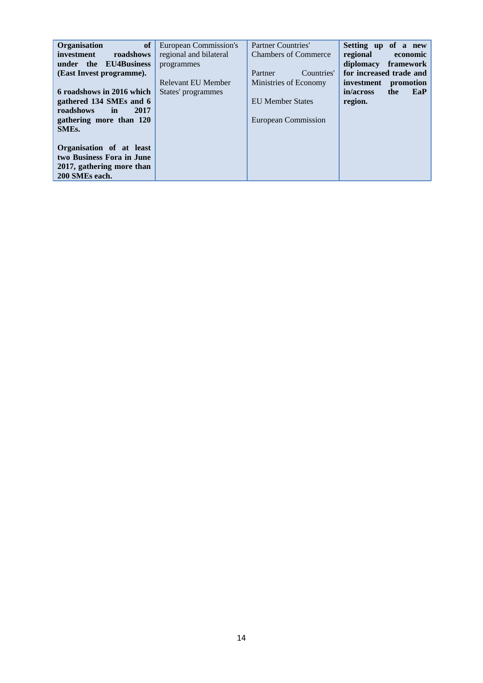| <b>of</b><br><b>Organisation</b><br>investment<br>roadshows<br>under the EU4Business<br>(East Invest programme).                                                                          | <b>European Commission's</b><br>regional and bilateral<br>programmes<br>Relevant EU Member | Partner Countries'<br><b>Chambers of Commerce</b><br>Countries'<br>Partner<br>Ministries of Economy | Setting up of a new<br>regional<br>economic<br>diplomacy<br>framework<br>for increased trade and<br>investment<br>promotion |
|-------------------------------------------------------------------------------------------------------------------------------------------------------------------------------------------|--------------------------------------------------------------------------------------------|-----------------------------------------------------------------------------------------------------|-----------------------------------------------------------------------------------------------------------------------------|
| 6 roadshows in 2016 which<br>gathered 134 SMEs and 6<br>roadshows<br>2017<br>in<br>gathering more than 120<br>SME <sub>s</sub> .<br>Organisation of at least<br>two Business Fora in June | States' programmes                                                                         | <b>EU</b> Member States<br>European Commission                                                      | in/across<br>EaP<br>the<br>region.                                                                                          |
| 2017, gathering more than<br>200 SMEs each.                                                                                                                                               |                                                                                            |                                                                                                     |                                                                                                                             |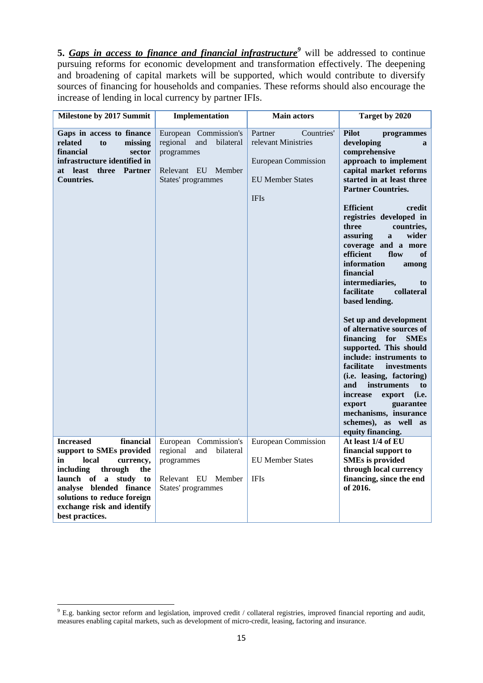**5.** *Gaps in access to finance and financial infrastructure<sup>9</sup>* will be addressed to continue pursuing reforms for economic development and transformation effectively. The deepening and broadening of capital markets will be supported, which would contribute to diversify sources of financing for households and companies. These reforms should also encourage the increase of lending in local currency by partner IFIs.

| Milestone by 2017 Summit                                                                                                                                                                                                                                                 | Implementation                                                                                                  | <b>Main actors</b>                                                                                                   | Target by 2020                                                                                                                                                                                                                                                                                                                                                                                                                                                                                                                                                                                                                                                                                                                                                                                                                                    |
|--------------------------------------------------------------------------------------------------------------------------------------------------------------------------------------------------------------------------------------------------------------------------|-----------------------------------------------------------------------------------------------------------------|----------------------------------------------------------------------------------------------------------------------|---------------------------------------------------------------------------------------------------------------------------------------------------------------------------------------------------------------------------------------------------------------------------------------------------------------------------------------------------------------------------------------------------------------------------------------------------------------------------------------------------------------------------------------------------------------------------------------------------------------------------------------------------------------------------------------------------------------------------------------------------------------------------------------------------------------------------------------------------|
| Gaps in access to finance<br>related<br>to<br>missing<br>financial<br>sector<br>infrastructure identified in<br><b>least</b><br>three Partner<br>at<br>Countries.                                                                                                        | European Commission's<br>regional<br>and<br>bilateral<br>programmes<br>Relevant EU Member<br>States' programmes | Partner<br>Countries'<br>relevant Ministries<br><b>European Commission</b><br><b>EU Member States</b><br><b>IFIs</b> | <b>Pilot</b><br>programmes<br>developing<br>$\mathbf{a}$<br>comprehensive<br>approach to implement<br>capital market reforms<br>started in at least three<br><b>Partner Countries.</b><br><b>Efficient</b><br>credit<br>registries developed in<br>three<br>countries.<br>assuring<br>wider<br>$\mathbf{a}$<br>coverage and a more<br>efficient<br>flow<br><b>of</b><br>information<br>among<br>financial<br>intermediaries,<br>to<br>facilitate<br>collateral<br>based lending.<br>Set up and development<br>of alternative sources of<br>financing for<br><b>SMEs</b><br>supported. This should<br>include: instruments to<br>facilitate<br>investments<br>(i.e. leasing, factoring)<br>and<br>instruments<br>to<br>increase<br>export<br>(i.e.<br>export<br>guarantee<br>mechanisms, insurance<br>schemes), as well<br>as<br>equity financing. |
| <b>Increased</b><br>financial<br>support to SMEs provided<br>local<br>currency,<br>in<br>including<br>through<br>the<br>launch of<br>$\mathbf{a}$<br>study to<br>analyse blended finance<br>solutions to reduce foreign<br>exchange risk and identify<br>best practices. | European Commission's<br>regional<br>and<br>bilateral<br>programmes<br>Relevant EU Member<br>States' programmes | <b>European Commission</b><br><b>EU Member States</b><br><b>IFIs</b>                                                 | At least 1/4 of EU<br>financial support to<br><b>SMEs is provided</b><br>through local currency<br>financing, since the end<br>of 2016.                                                                                                                                                                                                                                                                                                                                                                                                                                                                                                                                                                                                                                                                                                           |

1

 $9$  E.g. banking sector reform and legislation, improved credit / collateral registries, improved financial reporting and audit, measures enabling capital markets, such as development of micro-credit, leasing, factoring and insurance.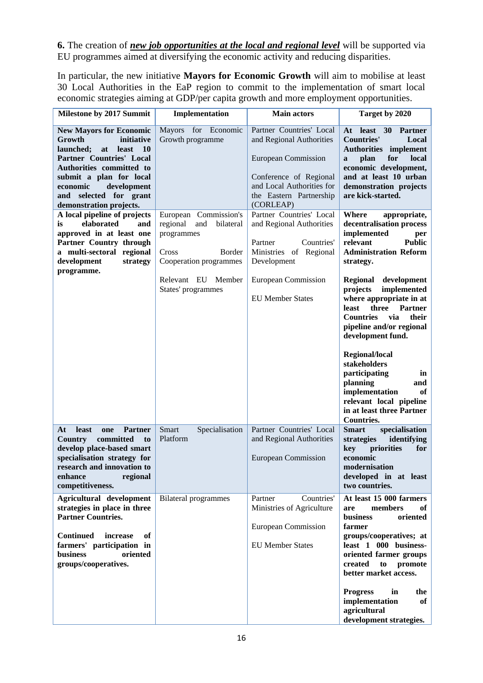**6.** The creation of *new job opportunities at the local and regional level* will be supported via EU programmes aimed at diversifying the economic activity and reducing disparities.

In particular, the new initiative **Mayors for Economic Growth** will aim to mobilise at least 30 Local Authorities in the EaP region to commit to the implementation of smart local economic strategies aiming at GDP/per capita growth and more employment opportunities.

| Milestone by 2017 Summit                                                                                                                                                                                                                                                | Implementation                                                                                                   | <b>Main actors</b>                                                                                                                                                                | Target by 2020                                                                                                                                                                                                                                              |
|-------------------------------------------------------------------------------------------------------------------------------------------------------------------------------------------------------------------------------------------------------------------------|------------------------------------------------------------------------------------------------------------------|-----------------------------------------------------------------------------------------------------------------------------------------------------------------------------------|-------------------------------------------------------------------------------------------------------------------------------------------------------------------------------------------------------------------------------------------------------------|
| <b>New Mayors for Economic</b><br>initiative<br>Growth<br>launched;<br>least<br>- 10<br>at<br><b>Partner Countries' Local</b><br>Authorities committed to<br>submit a plan for local<br>economic<br>development<br>selected for grant<br>and<br>demonstration projects. | Mayors for Economic<br>Growth programme                                                                          | Partner Countries' Local<br>and Regional Authorities<br><b>European Commission</b><br>Conference of Regional<br>and Local Authorities for<br>the Eastern Partnership<br>(CORLEAP) | least 30<br>At<br><b>Partner</b><br><b>Countries'</b><br>Local<br><b>Authorities</b> implement<br>plan<br>for<br>local<br>a<br>economic development,<br>and at least 10 urban<br>demonstration projects<br>are kick-started.                                |
| A local pipeline of projects<br>elaborated<br>is.<br>and<br>approved in at least one<br>Partner Country through<br>a multi-sectoral regional<br>development<br>strategy<br>programme.                                                                                   | European Commission's<br>bilateral<br>regional<br>and<br>programmes<br>Border<br>Cross<br>Cooperation programmes | Partner Countries' Local<br>and Regional Authorities<br>Partner<br>Countries'<br>Ministries of Regional<br>Development                                                            | Where<br>appropriate,<br>decentralisation process<br>implemented<br>per<br>relevant<br><b>Public</b><br><b>Administration Reform</b><br>strategy.                                                                                                           |
|                                                                                                                                                                                                                                                                         | Relevant EU Member<br>States' programmes                                                                         | <b>European Commission</b><br><b>EU Member States</b>                                                                                                                             | Regional development<br>implemented<br>projects<br>where appropriate in at<br><b>Partner</b><br>three<br>least<br><b>Countries</b><br>via<br>their<br>pipeline and/or regional<br>development fund.                                                         |
|                                                                                                                                                                                                                                                                         |                                                                                                                  |                                                                                                                                                                                   | Regional/local<br>stakeholders<br>participating<br>in<br>planning<br>and<br>implementation<br>of<br>relevant local pipeline<br>in at least three Partner<br><b>Countries.</b>                                                                               |
| At<br><b>least</b><br><b>Partner</b><br>one<br><b>Country</b><br>committed<br>to<br>develop place-based smart<br>specialisation strategy for<br>research and innovation to<br>enhance<br>regional<br>competitiveness.                                                   | Smart<br>Specialisation<br>Platform                                                                              | Partner Countries' Local<br>and Regional Authorities<br><b>European Commission</b>                                                                                                | <b>Smart</b><br>specialisation<br>strategies<br>identifying<br>priorities<br>for<br>key<br>economic<br>modernisation<br>developed in at least<br>two countries.                                                                                             |
| Agricultural development<br>strategies in place in three<br><b>Partner Countries.</b><br><b>Continued</b><br>of<br>increase<br>farmers' participation in<br><b>business</b><br>oriented<br>groups/cooperatives.                                                         | <b>Bilateral programmes</b>                                                                                      | Partner<br>Countries'<br>Ministries of Agriculture<br><b>European Commission</b><br><b>EU Member States</b>                                                                       | At least 15 000 farmers<br>members<br>of<br>are<br><b>business</b><br>oriented<br>farmer<br>groups/cooperatives; at<br>least 1 000 business-<br>oriented farmer groups<br>created<br>to<br>promote<br>better market access.<br><b>Progress</b><br>in<br>the |
|                                                                                                                                                                                                                                                                         |                                                                                                                  |                                                                                                                                                                                   | implementation<br>of<br>agricultural<br>development strategies.                                                                                                                                                                                             |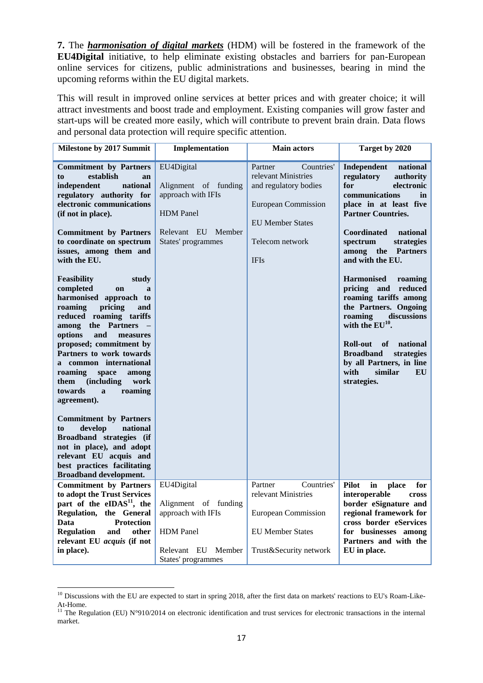**7.** The *harmonisation of digital markets* (HDM) will be fostered in the framework of the **EU4Digital** initiative, to help eliminate existing obstacles and barriers for pan-European online services for citizens, public administrations and businesses, bearing in mind the upcoming reforms within the EU digital markets.

This will result in improved online services at better prices and with greater choice; it will attract investments and boost trade and employment. Existing companies will grow faster and start-ups will be created more easily, which will contribute to prevent brain drain. Data flows and personal data protection will require specific attention.

| Milestone by 2017 Summit                                                                                                                                                                                                                                                                                                                                                                                                                                                                                                                                                                                                                                                                                                                                                                                                                                                                                      | Implementation                                                                                                              | <b>Main actors</b>                                                                                                                                               | Target by 2020                                                                                                                                                                                                                                                                                                                                                                                                                                                                                                                                                        |
|---------------------------------------------------------------------------------------------------------------------------------------------------------------------------------------------------------------------------------------------------------------------------------------------------------------------------------------------------------------------------------------------------------------------------------------------------------------------------------------------------------------------------------------------------------------------------------------------------------------------------------------------------------------------------------------------------------------------------------------------------------------------------------------------------------------------------------------------------------------------------------------------------------------|-----------------------------------------------------------------------------------------------------------------------------|------------------------------------------------------------------------------------------------------------------------------------------------------------------|-----------------------------------------------------------------------------------------------------------------------------------------------------------------------------------------------------------------------------------------------------------------------------------------------------------------------------------------------------------------------------------------------------------------------------------------------------------------------------------------------------------------------------------------------------------------------|
| <b>Commitment by Partners</b><br>establish<br>to<br>an<br>independent<br>national<br>regulatory authority for<br>electronic communications<br>(if not in place).<br><b>Commitment by Partners</b><br>to coordinate on spectrum<br>issues, among them and<br>with the EU.<br>Feasibility<br>study<br>completed<br><sub>on</sub><br>$\mathbf{a}$<br>harmonised approach to<br>roaming<br>pricing<br>and<br>reduced roaming tariffs<br>among the Partners<br>options<br>and<br>measures<br>proposed; commitment by<br>Partners to work towards<br>a common international<br>roaming<br>space<br>among<br><i>(including)</i><br>work<br>them<br>towards<br>roaming<br>$\mathbf{a}$<br>agreement).<br><b>Commitment by Partners</b><br>develop<br>national<br>to<br>Broadband strategies (if<br>not in place), and adopt<br>relevant EU acquis and<br>best practices facilitating<br><b>Broadband development.</b> | EU4Digital<br>Alignment of funding<br>approach with IFIs<br><b>HDM</b> Panel<br>Relevant EU Member<br>States' programmes    | Partner<br>Countries'<br>relevant Ministries<br>and regulatory bodies<br><b>European Commission</b><br><b>EU Member States</b><br>Telecom network<br><b>IFIs</b> | Independent<br>national<br>regulatory<br>authority<br>for<br>electronic<br>communications<br>in<br>place in at least five<br><b>Partner Countries.</b><br><b>Coordinated</b><br>national<br>spectrum<br>strategies<br>among the Partners<br>and with the EU.<br><b>Harmonised</b><br>roaming<br>reduced<br>pricing and<br>roaming tariffs among<br>the Partners. Ongoing<br>discussions<br>roaming<br>with the $EU^{10}$ .<br><b>Roll-out</b><br>of<br>national<br><b>Broadband</b><br>strategies<br>by all Partners, in line<br>with<br>similar<br>EU<br>strategies. |
| <b>Commitment by Partners</b><br>to adopt the Trust Services<br>part of the eIDAS <sup>11</sup> , the<br>Regulation, the General<br><b>Protection</b><br>Data<br><b>Regulation</b><br>and<br>other<br>relevant EU acquis (if not<br>in place).                                                                                                                                                                                                                                                                                                                                                                                                                                                                                                                                                                                                                                                                | EU4Digital<br>Alignment of funding<br>approach with IFIs<br><b>HDM</b> Panel<br>Relevant EU<br>Member<br>States' programmes | Partner<br>Countries'<br>relevant Ministries<br><b>European Commission</b><br><b>EU Member States</b><br>Trust&Security network                                  | $\mathbf{in}$<br>Pilot<br>place<br>for<br>interoperable<br>cross<br>border eSignature and<br>regional framework for<br>cross border eServices<br>for businesses among<br>Partners and with the<br>EU in place.                                                                                                                                                                                                                                                                                                                                                        |

<sup>&</sup>lt;sup>10</sup> Discussions with the EU are expected to start in spring 2018, after the first data on markets' reactions to EU's Roam-Like-At-Home.

1

<sup>&</sup>lt;sup>11</sup> The Regulation (EU) N°910/2014 on electronic identification and trust services for electronic transactions in the internal market.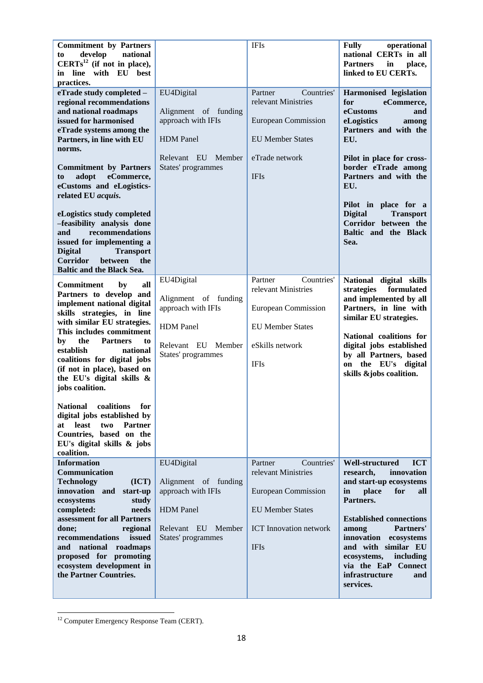| <b>Commitment by Partners</b><br>develop<br>national<br>to<br>$CERTs12$ (if not in place),<br>line with EU best<br>in<br>practices.                                                                                                                                                                                                                                                                                                                                                                                                                 |                                                                                                                          | <b>IFIs</b>                                                                                                                                           | <b>Fully</b><br>operational<br>national CERTs in all<br><b>Partners</b><br>place,<br>in<br>linked to EU CERTs.                                                                                                                                                                                                                           |
|-----------------------------------------------------------------------------------------------------------------------------------------------------------------------------------------------------------------------------------------------------------------------------------------------------------------------------------------------------------------------------------------------------------------------------------------------------------------------------------------------------------------------------------------------------|--------------------------------------------------------------------------------------------------------------------------|-------------------------------------------------------------------------------------------------------------------------------------------------------|------------------------------------------------------------------------------------------------------------------------------------------------------------------------------------------------------------------------------------------------------------------------------------------------------------------------------------------|
| eTrade study completed -<br>regional recommendations<br>and national roadmaps<br>issued for harmonised<br>eTrade systems among the<br>Partners, in line with EU<br>norms.<br><b>Commitment by Partners</b><br>eCommerce,<br>adopt<br>to<br>eCustoms and eLogistics-<br>related EU acquis.<br>eLogistics study completed<br>-feasibility analysis done<br>recommendations<br>and<br>issued for implementing a<br><b>Transport</b><br><b>Digital</b><br><b>Corridor</b><br><b>between</b><br>the<br><b>Baltic and the Black Sea.</b>                  | EU4Digital<br>Alignment of funding<br>approach with IFIs<br><b>HDM</b> Panel<br>Relevant EU Member<br>States' programmes | Countries'<br>Partner<br>relevant Ministries<br><b>European Commission</b><br><b>EU Member States</b><br>eTrade network<br><b>IFIs</b>                | Harmonised legislation<br>eCommerce,<br>for<br>eCustoms<br>and<br>eLogistics<br>among<br>Partners and with the<br>EU.<br>Pilot in place for cross-<br>border eTrade among<br>Partners and with the<br>EU.<br>Pilot in place for a<br><b>Digital</b><br><b>Transport</b><br>Corridor between the<br>Baltic and the Black<br>Sea.          |
| <b>Commitment</b><br>by<br>all<br>Partners to develop and<br>implement national digital<br>skills strategies, in line<br>with similar EU strategies.<br>This includes commitment<br>the<br><b>Partners</b><br>to<br>by<br>establish<br>national<br>coalitions for digital jobs<br>(if not in place), based on<br>the EU's digital skills &<br>jobs coalition.<br><b>National</b><br>coalitions<br>for<br>digital jobs established by<br>least<br><b>Partner</b><br>two<br>at<br>Countries, based on the<br>EU's digital skills & jobs<br>coalition. | EU4Digital<br>Alignment of funding<br>approach with IFIs<br><b>HDM</b> Panel<br>Relevant EU Member<br>States' programmes | Countries'<br>Partner<br>relevant Ministries<br>European Commission<br><b>EU Member States</b><br>eSkills network<br><b>IFIs</b>                      | National digital skills<br>strategies<br>formulated<br>and implemented by all<br>Partners, in line with<br>similar EU strategies.<br>National coalitions for<br>digital jobs established<br>by all Partners, based<br>on the EU's digital<br>skills &jobs coalition.                                                                     |
| <b>Information</b><br>Communication<br><b>Technology</b><br>(ICT)<br>innovation and<br>start-up<br>ecosystems<br>study<br>completed:<br>needs<br>assessment for all Partners<br>regional<br>done;<br>issued<br>recommendations<br>national<br>roadmaps<br>and<br>proposed for promoting<br>ecosystem development in<br>the Partner Countries.                                                                                                                                                                                                       | EU4Digital<br>Alignment of funding<br>approach with IFIs<br><b>HDM</b> Panel<br>Relevant EU Member<br>States' programmes | Partner<br>Countries'<br>relevant Ministries<br><b>European Commission</b><br><b>EU Member States</b><br><b>ICT</b> Innovation network<br><b>IFIs</b> | <b>ICT</b><br><b>Well-structured</b><br>innovation<br>research,<br>and start-up ecosystems<br>place<br>for<br>in<br>all<br>Partners.<br><b>Established connections</b><br>Partners'<br>among<br>innovation<br>ecosystems<br>and with similar EU<br>ecosystems,<br>including<br>via the EaP Connect<br>infrastructure<br>and<br>services. |

**<sup>.</sup>**  $12$  Computer Emergency Response Team (CERT).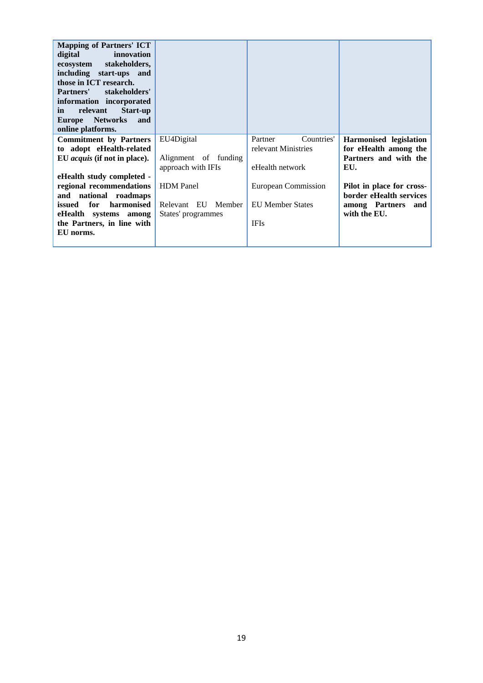| <b>Mapping of Partners' ICT</b><br>digital<br>innovation<br>stakeholders,<br>ecosystem<br>including start-ups and<br>those in ICT research.<br>stakeholders'<br>Partners'<br>information incorporated<br>relevant<br><b>Start-up</b><br><i>in</i><br><b>Networks</b><br>and<br><b>Europe</b><br>online platforms. |                      |                         |                           |
|-------------------------------------------------------------------------------------------------------------------------------------------------------------------------------------------------------------------------------------------------------------------------------------------------------------------|----------------------|-------------------------|---------------------------|
| <b>Commitment by Partners</b>                                                                                                                                                                                                                                                                                     | EU4Digital           | Countries'<br>Partner   | Harmonised legislation    |
| to adopt eHealth-related                                                                                                                                                                                                                                                                                          |                      | relevant Ministries     | for eHealth among the     |
| EU acquis (if not in place).                                                                                                                                                                                                                                                                                      | Alignment of funding |                         | Partners and with the     |
|                                                                                                                                                                                                                                                                                                                   | approach with IFIs   | eHealth network         | EU.                       |
| eHealth study completed -                                                                                                                                                                                                                                                                                         |                      |                         |                           |
| regional recommendations                                                                                                                                                                                                                                                                                          | <b>HDM</b> Panel     | European Commission     | Pilot in place for cross- |
| national roadmaps<br>and                                                                                                                                                                                                                                                                                          |                      |                         | border eHealth services   |
| for<br>harmonised<br>issued                                                                                                                                                                                                                                                                                       | Relevant EU Member   | <b>EU Member States</b> | among Partners<br>and     |
| eHealth systems<br>among                                                                                                                                                                                                                                                                                          | States' programmes   |                         | with the EU.              |
| the Partners, in line with                                                                                                                                                                                                                                                                                        |                      | <b>IFIs</b>             |                           |
| EU norms.                                                                                                                                                                                                                                                                                                         |                      |                         |                           |
|                                                                                                                                                                                                                                                                                                                   |                      |                         |                           |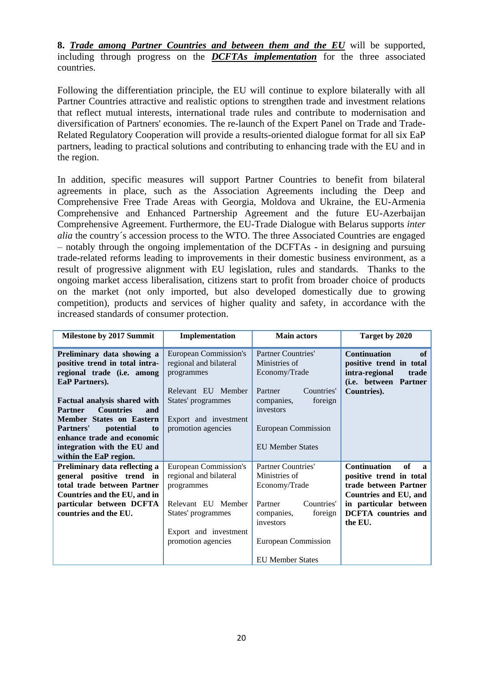**8.** *Trade among Partner Countries and between them and the EU* will be supported, including through progress on the *DCFTAs implementation* for the three associated countries.

Following the differentiation principle, the EU will continue to explore bilaterally with all Partner Countries attractive and realistic options to strengthen trade and investment relations that reflect mutual interests, international trade rules and contribute to modernisation and diversification of Partners' economies. The re-launch of the Expert Panel on Trade and Trade-Related Regulatory Cooperation will provide a results-oriented dialogue format for all six EaP partners, leading to practical solutions and contributing to enhancing trade with the EU and in the region.

In addition, specific measures will support Partner Countries to benefit from bilateral agreements in place, such as the Association Agreements including the Deep and Comprehensive Free Trade Areas with Georgia, Moldova and Ukraine, the EU-Armenia Comprehensive and Enhanced Partnership Agreement and the future EU-Azerbaijan Comprehensive Agreement. Furthermore, the EU-Trade Dialogue with Belarus supports *inter alia* the country´s accession process to the WTO. The three Associated Countries are engaged – notably through the ongoing implementation of the DCFTAs - in designing and pursuing trade-related reforms leading to improvements in their domestic business environment, as a result of progressive alignment with EU legislation, rules and standards. Thanks to the ongoing market access liberalisation, citizens start to profit from broader choice of products on the market (not only imported, but also developed domestically due to growing competition), products and services of higher quality and safety, in accordance with the increased standards of consumer protection.

| <b>Milestone by 2017 Summit</b>                                                                                                                                                                                                                                                                   | Implementation                                                                                                                                           | <b>Main actors</b>                                                                                                                         | Target by 2020                                                                                                          |
|---------------------------------------------------------------------------------------------------------------------------------------------------------------------------------------------------------------------------------------------------------------------------------------------------|----------------------------------------------------------------------------------------------------------------------------------------------------------|--------------------------------------------------------------------------------------------------------------------------------------------|-------------------------------------------------------------------------------------------------------------------------|
| Preliminary data showing a<br>positive trend in total intra-<br>regional trade (i.e. among<br>EaP Partners).<br>Factual analysis shared with<br><b>Countries</b><br><b>Partner</b><br>and<br>Member States on Eastern<br><b>Partners'</b><br><i>potential</i><br>to<br>enhance trade and economic | European Commission's<br>regional and bilateral<br>programmes<br>Relevant EU Member<br>States' programmes<br>Export and investment<br>promotion agencies | Partner Countries'<br>Ministries of<br>Economy/Trade<br>Countries'<br>Partner<br>companies,<br>foreign<br>investors<br>European Commission | of<br><b>Continuation</b><br>positive trend in total<br>intra-regional<br>trade<br>(i.e. between Partner<br>Countries). |
| integration with the EU and<br>within the EaP region.                                                                                                                                                                                                                                             |                                                                                                                                                          | <b>EU Member States</b>                                                                                                                    |                                                                                                                         |
| Preliminary data reflecting a<br>general positive trend in<br>total trade between Partner<br>Countries and the EU, and in                                                                                                                                                                         | <b>European Commission's</b><br>regional and bilateral<br>programmes                                                                                     | Partner Countries'<br>Ministries of<br>Economy/Trade                                                                                       | <b>Continuation</b><br>of<br>$\mathbf{a}$<br>positive trend in total<br>trade between Partner<br>Countries and EU, and  |
| particular between DCFTA<br>countries and the EU.                                                                                                                                                                                                                                                 | Relevant EU Member<br>States' programmes<br>Export and investment<br>promotion agencies                                                                  | Countries'<br>Partner<br>foreign<br>companies,<br>investors<br>European Commission                                                         | in particular between<br><b>DCFTA</b> countries and<br>the EU.                                                          |
|                                                                                                                                                                                                                                                                                                   |                                                                                                                                                          | <b>EU Member States</b>                                                                                                                    |                                                                                                                         |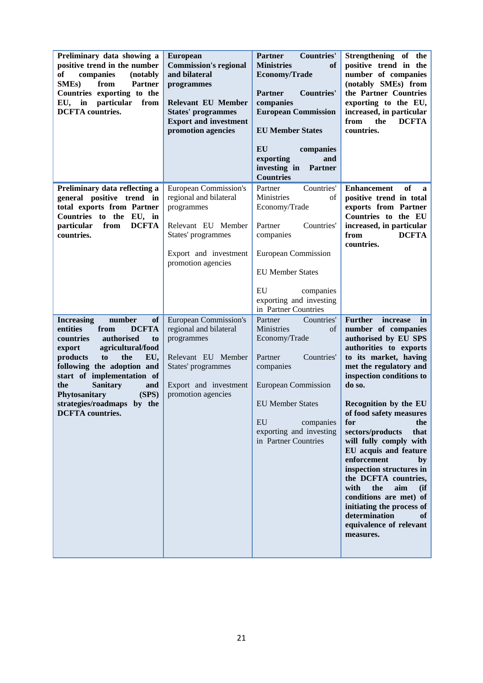| Preliminary data showing a<br>positive trend in the number<br>of<br>companies<br>(notably<br><b>SMEs</b> )<br>from<br><b>Partner</b><br>Countries exporting to the<br>particular<br>from<br>in<br>EU,<br><b>DCFTA</b> countries.                                                                                                                         | <b>European</b><br><b>Commission's regional</b><br>and bilateral<br>programmes<br><b>Relevant EU Member</b><br><b>States' programmes</b><br><b>Export and investment</b><br>promotion agencies | <b>Partner</b><br><b>Countries'</b><br><b>of</b><br><b>Ministries</b><br>Economy/Trade<br><b>Partner</b><br><b>Countries'</b><br>companies<br><b>European Commission</b><br><b>EU Member States</b>                             | Strengthening of the<br>positive trend in the<br>number of companies<br>(notably SMEs) from<br>the Partner Countries<br>exporting to the EU,<br>increased, in particular<br>from<br>the<br><b>DCFTA</b><br>countries.                                                                                                                                                                                                                                                                                                                                                            |
|----------------------------------------------------------------------------------------------------------------------------------------------------------------------------------------------------------------------------------------------------------------------------------------------------------------------------------------------------------|------------------------------------------------------------------------------------------------------------------------------------------------------------------------------------------------|---------------------------------------------------------------------------------------------------------------------------------------------------------------------------------------------------------------------------------|----------------------------------------------------------------------------------------------------------------------------------------------------------------------------------------------------------------------------------------------------------------------------------------------------------------------------------------------------------------------------------------------------------------------------------------------------------------------------------------------------------------------------------------------------------------------------------|
|                                                                                                                                                                                                                                                                                                                                                          |                                                                                                                                                                                                | EU<br>companies<br>exporting<br>and<br>investing in<br><b>Partner</b><br><b>Countries</b>                                                                                                                                       |                                                                                                                                                                                                                                                                                                                                                                                                                                                                                                                                                                                  |
| Preliminary data reflecting a<br>general positive trend in<br>total exports from Partner<br>Countries to the EU, in<br><b>DCFTA</b><br>particular<br>from<br>countries.                                                                                                                                                                                  | European Commission's<br>regional and bilateral<br>programmes<br>Relevant EU Member<br>States' programmes<br>Export and investment<br>promotion agencies                                       | Countries'<br>Partner<br>Ministries<br>of<br>Economy/Trade<br>Partner<br>Countries'<br>companies<br>European Commission<br><b>EU Member States</b><br>EU<br>companies<br>exporting and investing<br>in Partner Countries        | of<br><b>Enhancement</b><br>$\mathbf{a}$<br>positive trend in total<br>exports from Partner<br>Countries to the EU<br>increased, in particular<br>from<br><b>DCFTA</b><br>countries.                                                                                                                                                                                                                                                                                                                                                                                             |
| <b>Increasing</b><br>number<br>of<br>entities<br><b>DCFTA</b><br>from<br>authorised<br>countries<br>to<br>agricultural/food<br>export<br>products<br>the<br>EU,<br>to<br>following the adoption and<br>start of implementation of<br><b>Sanitary</b><br>the<br>and<br>(SPS)<br>Phytosanitary<br>strategies/roadmaps<br>by the<br><b>DCFTA</b> countries. | <b>European Commission's</b><br>regional and bilateral<br>programmes<br>Relevant EU Member<br>States' programmes<br>Export and investment<br>promotion agencies                                | Countries'<br>Partner<br>Ministries<br>of<br>Economy/Trade<br>Partner<br>Countries'<br>companies<br><b>European Commission</b><br><b>EU Member States</b><br>EU<br>companies<br>exporting and investing<br>in Partner Countries | <b>Further</b><br>increase<br>in<br>number of companies<br>authorised by EU SPS<br>authorities to exports<br>to its market, having<br>met the regulatory and<br>inspection conditions to<br>do so.<br>Recognition by the EU<br>of food safety measures<br>for<br>the<br>sectors/products<br>that<br>will fully comply with<br>EU acquis and feature<br>enforcement<br>by<br>inspection structures in<br>the DCFTA countries,<br>with<br>the<br>aim<br>(ii)<br>conditions are met) of<br>initiating the process of<br>determination<br>of<br>equivalence of relevant<br>measures. |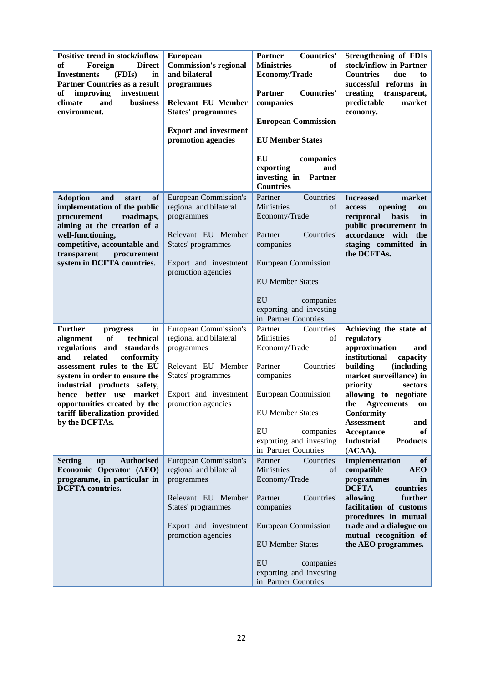| Positive trend in stock/inflow<br>of<br>Foreign<br><b>Direct</b><br><b>Investments</b><br>(FDIs)<br>in<br><b>Partner Countries as a result</b><br>improving<br>investment<br>of<br>climate<br>business<br>and<br>environment.                                                                                                                 | <b>European</b><br><b>Commission's regional</b><br>and bilateral<br>programmes<br><b>Relevant EU Member</b><br><b>States' programmes</b><br><b>Export and investment</b><br>promotion agencies | Partner<br><b>Countries'</b><br>of<br><b>Ministries</b><br><b>Economy/Trade</b><br><b>Partner</b><br><b>Countries'</b><br>companies<br><b>European Commission</b><br><b>EU Member States</b><br>EU<br>companies<br>exporting<br>and<br>investing in<br><b>Partner</b><br><b>Countries</b> | <b>Strengthening of FDIs</b><br>stock/inflow in Partner<br><b>Countries</b><br>due<br>to<br>successful reforms in<br>creating<br>transparent,<br>predictable<br>market<br>economy.                                                                                                                                                              |
|-----------------------------------------------------------------------------------------------------------------------------------------------------------------------------------------------------------------------------------------------------------------------------------------------------------------------------------------------|------------------------------------------------------------------------------------------------------------------------------------------------------------------------------------------------|-------------------------------------------------------------------------------------------------------------------------------------------------------------------------------------------------------------------------------------------------------------------------------------------|-------------------------------------------------------------------------------------------------------------------------------------------------------------------------------------------------------------------------------------------------------------------------------------------------------------------------------------------------|
| <b>Adoption</b><br>and<br>of<br>start<br>implementation of the public<br>procurement<br>roadmaps,<br>aiming at the creation of a<br>well-functioning,<br>competitive, accountable and<br>transparent<br>procurement<br>system in DCFTA countries.                                                                                             | <b>European Commission's</b><br>regional and bilateral<br>programmes<br>Relevant EU Member<br>States' programmes<br>Export and investment<br>promotion agencies                                | Countries'<br>Partner<br>Ministries<br>of<br>Economy/Trade<br>Partner<br>Countries'<br>companies<br>European Commission<br><b>EU Member States</b><br>EU<br>companies<br>exporting and investing<br>in Partner Countries                                                                  | market<br><b>Increased</b><br>access<br>opening<br>on<br>reciprocal<br>basis<br>in<br>public procurement in<br>accordance with<br>the<br>staging committed in<br>the DCFTAs.                                                                                                                                                                    |
| <b>Further</b><br>in<br>progress<br>alignment<br>of<br>technical<br>regulations and standards<br>conformity<br>and<br>related<br>assessment rules to the EU<br>system in order to ensure the<br>industrial products safety,<br>hence better use<br>market<br>opportunities created by the<br>tariff liberalization provided<br>by the DCFTAs. | European Commission's<br>regional and bilateral<br>programmes<br>Relevant EU Member<br>States' programmes<br>Export and investment<br>promotion agencies                                       | Countries'<br>Partner<br>Ministries<br>of<br>Economy/Trade<br>Partner<br>Countries'<br>companies<br><b>European Commission</b><br><b>EU Member States</b><br>EU<br>companies<br>exporting and investing<br>in Partner Countries                                                           | Achieving the state of<br>regulatory<br>approximation<br>and<br>institutional<br>capacity<br>building<br><i>(including)</i><br>market surveillance) in<br>priority<br>sectors<br>allowing to negotiate<br>the Agreements<br>on<br>Conformity<br><b>Assessment</b><br>and<br>Acceptance<br>of<br><b>Products</b><br><b>Industrial</b><br>(ACAA). |
| <b>Setting</b><br><b>Authorised</b><br><b>up</b><br>Economic Operator (AEO)<br>programme, in particular in<br><b>DCFTA</b> countries.                                                                                                                                                                                                         | <b>European Commission's</b><br>regional and bilateral<br>programmes<br>Relevant EU Member<br>States' programmes<br>Export and investment<br>promotion agencies                                | Partner<br>Countries'<br>Ministries<br>of<br>Economy/Trade<br>Partner<br>Countries'<br>companies<br>European Commission<br><b>EU Member States</b><br>EU<br>companies<br>exporting and investing<br>in Partner Countries                                                                  | Implementation<br>of<br>compatible<br><b>AEO</b><br>programmes<br>in<br><b>DCFTA</b><br>countries<br>allowing<br>further<br>facilitation of customs<br>procedures in mutual<br>trade and a dialogue on<br>mutual recognition of<br>the AEO programmes.                                                                                          |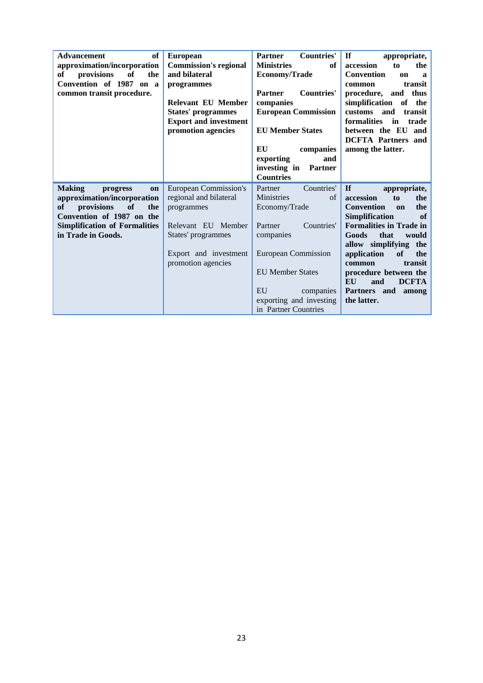| <b>of</b><br><b>Advancement</b><br>approximation/incorporation | <b>European</b><br><b>Commission's regional</b> | <b>Countries'</b><br><b>Partner</b><br><b>Ministries</b><br>of | <b>If</b><br>appropriate,<br>accession<br>to<br>the |
|----------------------------------------------------------------|-------------------------------------------------|----------------------------------------------------------------|-----------------------------------------------------|
|                                                                |                                                 |                                                                |                                                     |
| оf<br>provisions<br>the<br>of                                  | and bilateral                                   | <b>Economy/Trade</b>                                           | <b>Convention</b><br>on<br>$\mathbf a$              |
| Convention of 1987 on a                                        | programmes                                      |                                                                | transit<br>common                                   |
| common transit procedure.                                      |                                                 | <b>Partner</b><br><b>Countries'</b>                            | procedure, and thus                                 |
|                                                                | <b>Relevant EU Member</b>                       | companies                                                      | simplification<br>of the                            |
|                                                                |                                                 |                                                                | customs and                                         |
|                                                                | <b>States' programmes</b>                       | <b>European Commission</b>                                     | transit                                             |
|                                                                | <b>Export and investment</b>                    |                                                                | formalities<br>$\mathbf{in}$<br>trade               |
|                                                                | promotion agencies                              | <b>EU Member States</b>                                        | between the EU and                                  |
|                                                                |                                                 |                                                                | <b>DCFTA</b> Partners and                           |
|                                                                |                                                 | EU<br>companies                                                | among the latter.                                   |
|                                                                |                                                 | exporting<br>and                                               |                                                     |
|                                                                |                                                 |                                                                |                                                     |
|                                                                |                                                 | investing in<br>Partner                                        |                                                     |
|                                                                |                                                 | <b>Countries</b>                                               |                                                     |
|                                                                |                                                 |                                                                |                                                     |
| <b>Making</b><br>progress<br>on                                | European Commission's                           | Partner<br>Countries'                                          | $\mathbf{If}$<br>appropriate,                       |
|                                                                |                                                 | Ministries<br>of                                               | accession<br>to<br>the                              |
| approximation/incorporation                                    | regional and bilateral                          |                                                                |                                                     |
| provisions<br><b>of</b><br>of<br>the                           | programmes                                      | Economy/Trade                                                  | <b>Convention</b><br>the<br>on                      |
| Convention of 1987 on the                                      |                                                 |                                                                | <b>Simplification</b><br>of                         |
| <b>Simplification of Formalities</b>                           | Relevant EU Member                              | Partner<br>Countries'                                          | <b>Formalities in Trade in</b>                      |
| in Trade in Goods.                                             | States' programmes                              | companies                                                      | Goods<br>that<br>would                              |
|                                                                |                                                 |                                                                | allow simplifying the                               |
|                                                                |                                                 |                                                                | of<br>the                                           |
|                                                                | Export and investment                           | European Commission                                            | application                                         |
|                                                                | promotion agencies                              |                                                                | transit<br>common                                   |
|                                                                |                                                 | <b>EU Member States</b>                                        | procedure between the                               |
|                                                                |                                                 |                                                                | EU<br><b>DCFTA</b><br>and                           |
|                                                                |                                                 | EU<br>companies                                                | Partners and<br>among                               |
|                                                                |                                                 | exporting and investing                                        | the latter.                                         |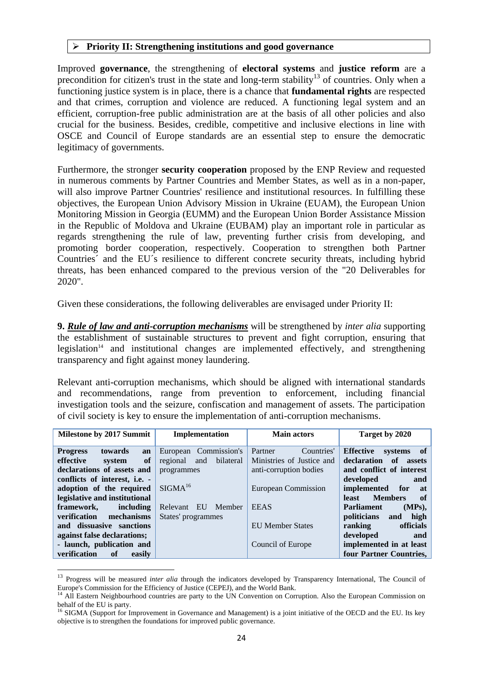#### **Priority II: Strengthening institutions and good governance**

Improved **governance**, the strengthening of **electoral systems** and **justice reform** are a precondition for citizen's trust in the state and long-term stability<sup>13</sup> of countries. Only when a functioning justice system is in place, there is a chance that **fundamental rights** are respected and that crimes, corruption and violence are reduced. A functioning legal system and an efficient, corruption-free public administration are at the basis of all other policies and also crucial for the business. Besides, credible, competitive and inclusive elections in line with OSCE and Council of Europe standards are an essential step to ensure the democratic legitimacy of governments.

Furthermore, the stronger **security cooperation** proposed by the ENP Review and requested in numerous comments by Partner Countries and Member States, as well as in a non-paper, will also improve Partner Countries' resilience and institutional resources. In fulfilling these objectives, the European Union Advisory Mission in Ukraine (EUAM), the European Union Monitoring Mission in Georgia (EUMM) and the European Union Border Assistance Mission in the Republic of Moldova and Ukraine (EUBAM) play an important role in particular as regards strengthening the rule of law, preventing further crisis from developing, and promoting border cooperation, respectively. Cooperation to strengthen both Partner Countries´ and the EU´s resilience to different concrete security threats, including hybrid threats, has been enhanced compared to the previous version of the "20 Deliverables for 2020".

Given these considerations, the following deliverables are envisaged under Priority II:

**9.** *Rule of law and anti-corruption mechanisms* will be strengthened by *inter alia* supporting the establishment of sustainable structures to prevent and fight corruption, ensuring that legislation<sup>14</sup> and institutional changes are implemented effectively, and strengthening transparency and fight against money laundering.

Relevant anti-corruption mechanisms, which should be aligned with international standards and recommendations, range from prevention to enforcement, including financial investigation tools and the seizure, confiscation and management of assets. The participation of civil society is key to ensure the implementation of anti-corruption mechanisms.

| <b>Milestone by 2017 Summit</b>         | Implementation               | <b>Main actors</b>         | Target by 2020                  |
|-----------------------------------------|------------------------------|----------------------------|---------------------------------|
| towards<br><b>Progress</b><br>an        | European Commission's        | Partner<br>Countries'      | <b>Effective</b><br>systems of  |
| effective<br>of<br>system               | bilateral<br>regional<br>and | Ministries of Justice and  | declaration of<br>assets        |
| declarations of assets and              | programmes                   | anti-corruption bodies     | and conflict of interest        |
| conflicts of interest, i.e. -           |                              |                            | developed<br>and                |
| adoption of the required                | SIGMA <sup>16</sup>          | <b>European Commission</b> | implemented for<br>at           |
| legislative and institutional           |                              |                            | <b>Members</b><br>- of<br>least |
| framework.<br>including                 | EU<br>Member<br>Relevant     | <b>EEAS</b>                | <b>Parliament</b><br>$(MPs)$ ,  |
| <b>verification</b><br>mechanisms       | States' programmes           |                            | high<br>politicians<br>and      |
| and dissuasive sanctions                |                              | <b>EU Member States</b>    | officials<br>ranking            |
| against false declarations;             |                              |                            | developed<br>and                |
| - launch, publication and               |                              | Council of Europe          | implemented in at least         |
| verification<br><sub>of</sub><br>easily |                              |                            | four Partner Countries,         |

<sup>&</sup>lt;sup>13</sup> Progress will be measured *inter alia* through the indicators developed by Transparency International, The Council of Europe's Commission for the Efficiency of Justice (CEPEJ), and the World Bank.

<sup>&</sup>lt;sup>14</sup> All Eastern Neighbourhood countries are party to the UN Convention on Corruption. Also the European Commission on behalf of the EU is party.

<sup>&</sup>lt;sup>16</sup> SIGMA (Support for Improvement in Governance and Management) is a joint initiative of the OECD and the EU. Its key objective is to strengthen the foundations for improved public governance.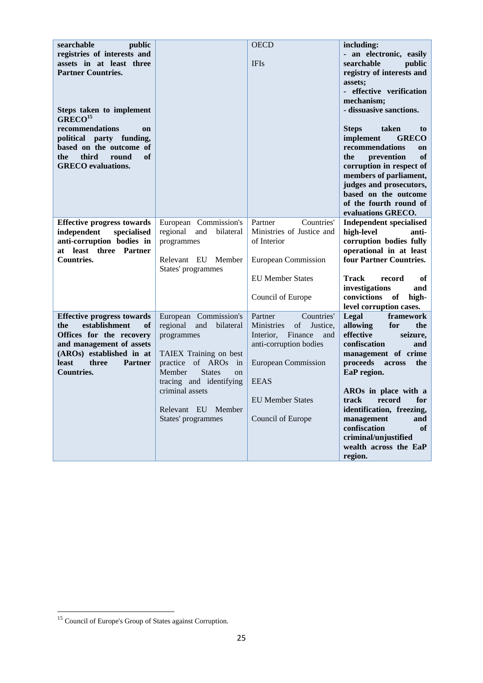| searchable<br>public<br>registries of interests and                                                                                                                                                                 |                                                                                                                                                                                                                                                                | <b>OECD</b>                                                                                                                                                                                                        | including:<br>- an electronic, easily                                                                                                                                                                                                                                                                                                                 |
|---------------------------------------------------------------------------------------------------------------------------------------------------------------------------------------------------------------------|----------------------------------------------------------------------------------------------------------------------------------------------------------------------------------------------------------------------------------------------------------------|--------------------------------------------------------------------------------------------------------------------------------------------------------------------------------------------------------------------|-------------------------------------------------------------------------------------------------------------------------------------------------------------------------------------------------------------------------------------------------------------------------------------------------------------------------------------------------------|
| assets in at least three<br><b>Partner Countries.</b><br>Steps taken to implement<br>GREG <sup>15</sup>                                                                                                             |                                                                                                                                                                                                                                                                | <b>IFIs</b>                                                                                                                                                                                                        | searchable<br>public<br>registry of interests and<br>assets;<br>- effective verification<br>mechanism;<br>- dissuasive sanctions.                                                                                                                                                                                                                     |
| recommendations<br>on<br>political party funding,<br>based on the outcome of<br>third<br>round<br>of<br>the<br><b>GRECO</b> evaluations.                                                                            |                                                                                                                                                                                                                                                                |                                                                                                                                                                                                                    | <b>Steps</b><br>taken<br>to<br>implement<br><b>GRECO</b><br>recommendations<br>on<br>of<br>the<br>prevention<br>corruption in respect of<br>members of parliament,<br>judges and prosecutors,<br>based on the outcome<br>of the fourth round of<br>evaluations GRECO.                                                                                 |
| <b>Effective progress towards</b><br>independent<br>specialised<br>anti-corruption bodies in<br>at least three Partner<br><b>Countries.</b>                                                                         | European Commission's<br>regional<br>and<br>bilateral<br>programmes<br>Relevant EU Member<br>States' programmes                                                                                                                                                | Countries'<br>Partner<br>Ministries of Justice and<br>of Interior<br><b>European Commission</b><br><b>EU Member States</b><br>Council of Europe                                                                    | <b>Independent specialised</b><br>high-level<br>anti-<br>corruption bodies fully<br>operational in at least<br>four Partner Countries.<br><b>Track</b><br>of<br>record<br>investigations<br>and<br>convictions of<br>high-<br>level corruption cases.                                                                                                 |
| <b>Effective progress towards</b><br>establishment<br>the<br>of<br>Offices for the recovery<br>and management of assets<br>(AROs) established in at<br><b>least</b><br><b>Partner</b><br>three<br><b>Countries.</b> | European Commission's<br>regional<br>and<br>bilateral<br>programmes<br>TAIEX Training on best<br>of ARO <sub>s</sub> in<br>practice<br>Member<br><b>States</b><br>on<br>tracing and identifying<br>criminal assets<br>Relevant EU Member<br>States' programmes | Partner<br>Countries'<br>of<br><b>Ministries</b><br>Justice.<br>Finance<br>Interior.<br>and<br>anti-corruption bodies<br><b>European Commission</b><br><b>EEAS</b><br><b>EU Member States</b><br>Council of Europe | Legal<br>framework<br>allowing<br>for<br>the<br>effective<br>seizure,<br>confiscation<br>and<br>management of crime<br>proceeds<br>across<br>the<br>EaP region.<br>AROs in place with a<br>record<br>for<br>track<br>identification, freezing,<br>management<br>and<br>confiscation<br>of<br>criminal/uniustified<br>wealth across the EaP<br>region. |

**<sup>.</sup>** <sup>15</sup> Council of Europe's Group of States against Corruption.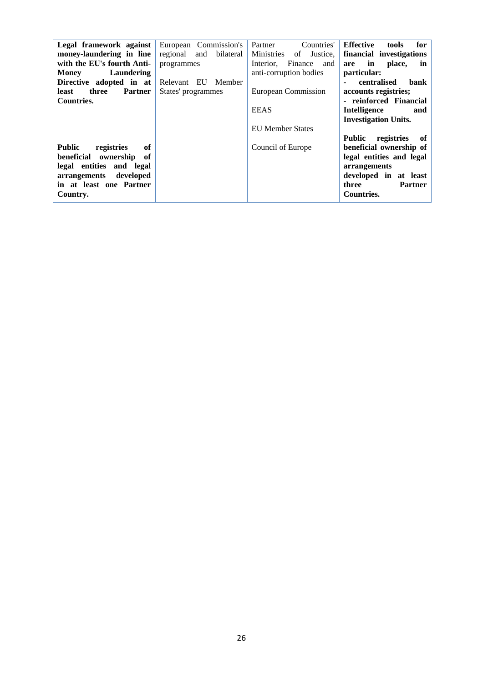| Legal framework against           | European Commission's  | Countries'<br>Partner        | <b>Effective</b><br>for<br>tools    |
|-----------------------------------|------------------------|------------------------------|-------------------------------------|
| money-laundering in line          | regional and bilateral | Ministries<br>Justice.<br>of | financial investigations            |
| with the EU's fourth Anti-        | programmes             | Finance<br>Interior.<br>and  | in<br>place,<br>are<br>in           |
| Laundering<br><b>Money</b>        |                        | anti-corruption bodies       | particular:                         |
| Directive adopted in at           | Relevant EU Member     |                              | centralised<br>bank                 |
| three<br><b>Partner</b><br>least  | States' programmes     | European Commission          | accounts registries;                |
| <b>Countries.</b>                 |                        |                              | - reinforced Financial              |
|                                   |                        | <b>EEAS</b>                  | Intelligence<br>and                 |
|                                   |                        |                              | <b>Investigation Units.</b>         |
|                                   |                        | <b>EU Member States</b>      |                                     |
|                                   |                        |                              | <b>Public</b><br>registries<br>- of |
| <b>Public</b><br>registries<br>of |                        | Council of Europe            | beneficial ownership of             |
| beneficial ownership of           |                        |                              | legal entities and legal            |
| legal entities and legal          |                        |                              | arrangements                        |
| developed<br>arrangements         |                        |                              | developed in at least               |
| in at least one Partner           |                        |                              | three<br><b>Partner</b>             |
| Country.                          |                        |                              | <b>Countries.</b>                   |
|                                   |                        |                              |                                     |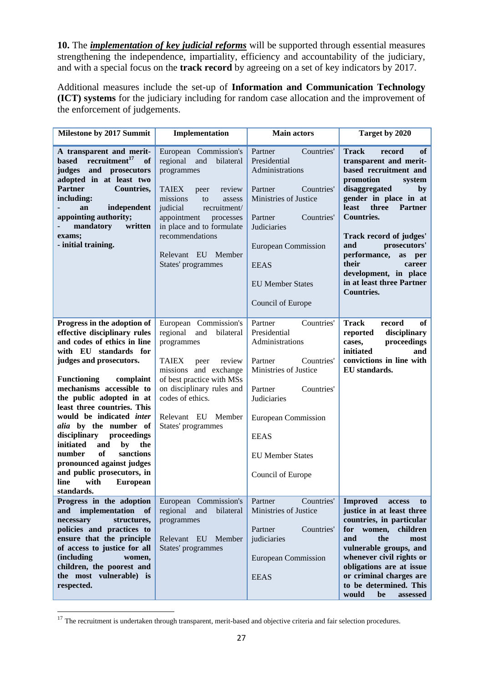**10.** The *implementation of key judicial reforms* will be supported through essential measures strengthening the independence, impartiality, efficiency and accountability of the judiciary, and with a special focus on the **track record** by agreeing on a set of key indicators by 2017.

Additional measures include the set-up of **Information and Communication Technology (ICT) systems** for the judiciary including for random case allocation and the improvement of the enforcement of judgements.

| Milestone by 2017 Summit                                                                                                                                                                                                                                                                                                                                                                                                                                                                                                               | Implementation                                                                                                                                                                                                                                                                        | <b>Main actors</b>                                                                                                                                                                                                                              | Target by 2020                                                                                                                                                                                                                                                                                                                                                                                      |
|----------------------------------------------------------------------------------------------------------------------------------------------------------------------------------------------------------------------------------------------------------------------------------------------------------------------------------------------------------------------------------------------------------------------------------------------------------------------------------------------------------------------------------------|---------------------------------------------------------------------------------------------------------------------------------------------------------------------------------------------------------------------------------------------------------------------------------------|-------------------------------------------------------------------------------------------------------------------------------------------------------------------------------------------------------------------------------------------------|-----------------------------------------------------------------------------------------------------------------------------------------------------------------------------------------------------------------------------------------------------------------------------------------------------------------------------------------------------------------------------------------------------|
| A transparent and merit-<br>recruitment <sup>17</sup><br><b>based</b><br>of<br>judges<br>and prosecutors<br>adopted in at least two<br><b>Partner</b><br>Countries,<br>including:<br>independent<br>an<br>appointing authority;<br>mandatory<br>written<br>exams;<br>- initial training.                                                                                                                                                                                                                                               | European Commission's<br>regional<br>and<br>bilateral<br>programmes<br><b>TAIEX</b><br>review<br>peer<br>missions<br>to<br>assess<br>judicial<br>recruitment/<br>appointment<br>processes<br>in place and to formulate<br>recommendations<br>Relevant EU Member<br>States' programmes | Partner<br>Countries'<br>Presidential<br>Administrations<br>Partner<br>Countries'<br>Ministries of Justice<br>Partner<br>Countries'<br>Judiciaries<br><b>European Commission</b><br><b>EEAS</b><br><b>EU Member States</b><br>Council of Europe | <b>Track</b><br><b>of</b><br>record<br>transparent and merit-<br>based recruitment and<br>promotion<br>system<br>disaggregated<br>by<br>gender in place in at<br>least<br>three<br><b>Partner</b><br><b>Countries.</b><br>Track record of judges'<br>prosecutors'<br>and<br>performance,<br>as<br>per<br>their<br>career<br>development, in place<br>in at least three Partner<br><b>Countries.</b> |
| Progress in the adoption of<br>effective disciplinary rules<br>and codes of ethics in line<br>with EU standards for<br>judges and prosecutors.<br><b>Functioning</b><br>complaint<br>mechanisms accessible to<br>the public adopted in at<br>least three countries. This<br>would be indicated inter<br>alia by the number of<br>disciplinary<br>proceedings<br>initiated<br>and<br>by<br>the<br>of<br>sanctions<br>number<br>pronounced against judges<br>and public prosecutors, in<br>with<br><b>European</b><br>line<br>standards. | European Commission's<br>regional<br>and<br>bilateral<br>programmes<br><b>TAIEX</b><br>review<br>peer<br>missions and exchange<br>of best practice with MSs<br>on disciplinary rules and<br>codes of ethics.<br>Relevant EU Member<br>States' programmes                              | Partner<br>Countries'<br>Presidential<br>Administrations<br>Partner<br>Countries'<br>Ministries of Justice<br>Countries'<br>Partner<br>Judiciaries<br><b>European Commission</b><br><b>EEAS</b><br><b>EU Member States</b><br>Council of Europe | of<br><b>Track</b><br>record<br>reported<br>disciplinary<br>proceedings<br>cases,<br>initiated<br>and<br>convictions in line with<br>EU standards.                                                                                                                                                                                                                                                  |
| Progress in the adoption<br>implementation<br>of<br>and<br>structures,<br>necessary<br>policies and practices to<br>ensure that the principle<br>of access to justice for all<br><i>(including)</i><br>women,<br>children, the poorest and<br>the most vulnerable) is<br>respected.                                                                                                                                                                                                                                                    | European Commission's<br>regional<br>and<br>bilateral<br>programmes<br>Relevant EU Member<br>States' programmes                                                                                                                                                                       | Partner<br>Countries'<br>Ministries of Justice<br>Partner<br>Countries'<br>judiciaries<br><b>European Commission</b><br><b>EEAS</b>                                                                                                             | <b>Improved</b><br>access<br>to<br>justice in at least three<br>countries, in particular<br>for<br>women,<br>children<br>and<br>the<br>most<br>vulnerable groups, and<br>whenever civil rights or<br>obligations are at issue<br>or criminal charges are<br>to be determined. This<br>would<br>be<br>assessed                                                                                       |

 $17$  The recruitment is undertaken through transparent, merit-based and objective criteria and fair selection procedures.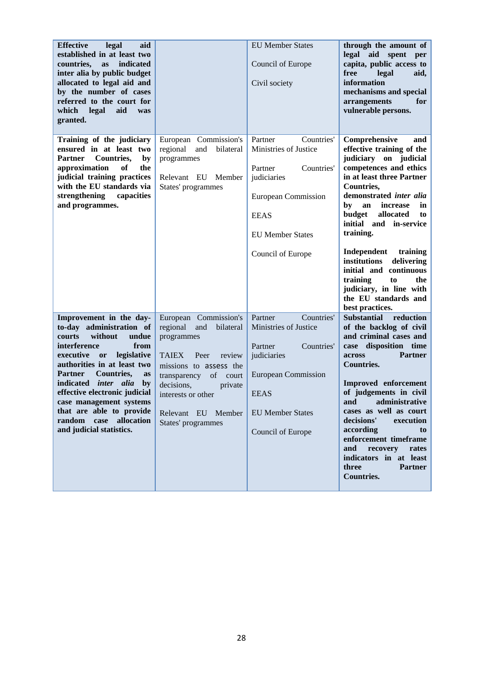| <b>Effective</b><br>legal<br>aid<br>established in at least two<br>countries,<br>indicated<br><b>as</b><br>inter alia by public budget<br>allocated to legal aid and<br>by the number of cases<br>referred to the court for<br>which<br>legal<br>aid<br>was<br>granted.                                                                                                                         |                                                                                                                                                                                                                                                           | <b>EU Member States</b><br>Council of Europe<br>Civil society                                                                                                                | through the amount of<br>legal aid spent<br>per<br>capita, public access to<br>free<br>legal<br>aid,<br>information<br>mechanisms and special<br>arrangements<br>for<br>vulnerable persons.                                                                                                                                                                                                                                                              |
|-------------------------------------------------------------------------------------------------------------------------------------------------------------------------------------------------------------------------------------------------------------------------------------------------------------------------------------------------------------------------------------------------|-----------------------------------------------------------------------------------------------------------------------------------------------------------------------------------------------------------------------------------------------------------|------------------------------------------------------------------------------------------------------------------------------------------------------------------------------|----------------------------------------------------------------------------------------------------------------------------------------------------------------------------------------------------------------------------------------------------------------------------------------------------------------------------------------------------------------------------------------------------------------------------------------------------------|
| Training of the judiciary<br>ensured in at least two<br><b>Partner</b><br><b>Countries,</b><br>by<br>approximation<br>of<br>the<br>judicial training practices<br>with the EU standards via<br>strengthening<br>capacities<br>and programmes.                                                                                                                                                   | European Commission's<br>regional and<br>bilateral<br>programmes<br>Relevant EU<br>Member<br>States' programmes                                                                                                                                           | Countries'<br>Partner<br>Ministries of Justice<br>Partner<br>Countries'<br>judiciaries<br>European Commission<br><b>EEAS</b><br><b>EU Member States</b><br>Council of Europe | Comprehensive<br>and<br>effective training of the<br>judiciary on judicial<br>competences and ethics<br>in at least three Partner<br>Countries,<br>demonstrated inter alia<br>by<br>an<br>increase<br>in<br>allocated<br>budget<br>to<br>initial and in-service<br>training.<br>Independent training<br>institutions delivering<br>initial and continuous<br>training<br>to<br>the<br>judiciary, in line with<br>the EU standards and<br>best practices. |
| Improvement in the day-<br>to-day administration of<br>without<br>courts<br>undue<br>interference<br>from<br>executive or<br>legislative<br>authorities in at least two<br><b>Partner</b><br>Countries,<br>as<br>indicated inter alia<br>by<br>effective electronic judicial<br>case management systems<br>that are able to provide<br>allocation<br>random<br>case<br>and judicial statistics. | European Commission's<br>regional<br>and<br>bilateral<br>programmes<br><b>TAIEX</b><br>review<br>Peer<br>missions to assess the<br>of<br>court<br>transparency<br>decisions,<br>private<br>interests or other<br>Relevant EU Member<br>States' programmes | Countries'<br>Partner<br>Ministries of Justice<br>Partner<br>Countries'<br>judiciaries<br>European Commission<br><b>EEAS</b><br><b>EU Member States</b><br>Council of Europe | <b>Substantial</b><br>reduction<br>of the backlog of civil<br>and criminal cases and<br>case disposition time<br>across<br><b>Partner</b><br><b>Countries.</b><br>Improved enforcement<br>of judgements in civil<br>and administrative<br>cases as well as court<br>decisions'<br>execution<br>according<br>to<br>enforcement timeframe<br>and<br>recovery<br>rates<br>indicators in at least<br>three<br><b>Partner</b><br><b>Countries.</b>            |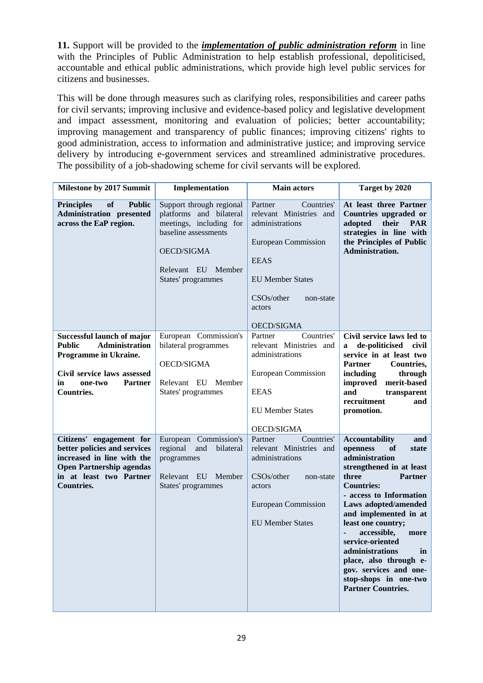**11.** Support will be provided to the *implementation of public administration reform* in line with the Principles of Public Administration to help establish professional, depoliticised, accountable and ethical public administrations, which provide high level public services for citizens and businesses.

This will be done through measures such as clarifying roles, responsibilities and career paths for civil servants; improving inclusive and evidence-based policy and legislative development and impact assessment, monitoring and evaluation of policies; better accountability; improving management and transparency of public finances; improving citizens' rights to good administration, access to information and administrative justice; and improving service delivery by introducing e-government services and streamlined administrative procedures. The possibility of a job-shadowing scheme for civil servants will be explored.

| Milestone by 2017 Summit                                                                                                                                                      | Implementation                                                                                                                                                   | <b>Main actors</b>                                                                                                                                                                             | Target by 2020                                                                                                                                                                                                                                                                                                                                                                                                                               |
|-------------------------------------------------------------------------------------------------------------------------------------------------------------------------------|------------------------------------------------------------------------------------------------------------------------------------------------------------------|------------------------------------------------------------------------------------------------------------------------------------------------------------------------------------------------|----------------------------------------------------------------------------------------------------------------------------------------------------------------------------------------------------------------------------------------------------------------------------------------------------------------------------------------------------------------------------------------------------------------------------------------------|
| of<br><b>Principles</b><br><b>Public</b><br><b>Administration</b> presented<br>across the EaP region.                                                                         | Support through regional<br>platforms and bilateral<br>meetings, including for<br>baseline assessments<br>OECD/SIGMA<br>Relevant EU Member<br>States' programmes | Partner<br>Countries'<br>relevant Ministries and<br>administrations<br><b>European Commission</b><br><b>EEAS</b><br><b>EU Member States</b><br>CSOs/other<br>non-state<br>actors<br>OECD/SIGMA | At least three Partner<br>Countries upgraded or<br>adopted<br>their<br><b>PAR</b><br>strategies in line with<br>the Principles of Public<br>Administration.                                                                                                                                                                                                                                                                                  |
| Successful launch of major<br>Administration<br><b>Public</b><br>Programme in Ukraine.<br>Civil service laws assessed<br>in<br>one-two<br><b>Partner</b><br><b>Countries.</b> | European Commission's<br>bilateral programmes<br>OECD/SIGMA<br>Relevant EU Member<br>States' programmes                                                          | Partner<br>Countries'<br>relevant Ministries and<br>administrations<br>European Commission<br><b>EEAS</b><br><b>EU Member States</b><br><b>OECD/SIGMA</b>                                      | Civil service laws led to<br>de-politicised<br>civil<br>$\mathbf{a}$<br>service in at least two<br><b>Partner</b><br>Countries,<br>through<br>including<br>improved<br>merit-based<br>and<br>transparent<br>recruitment<br>and<br>promotion.                                                                                                                                                                                                 |
| Citizens' engagement for<br>better policies and services<br>increased in line with the<br><b>Open Partnership agendas</b><br>in at least two Partner<br><b>Countries.</b>     | European Commission's<br>regional<br>and<br>bilateral<br>programmes<br>Relevant EU<br>Member<br>States' programmes                                               | Countries'<br>Partner<br>relevant Ministries and<br>administrations<br>CSOs/other<br>non-state<br>actors<br>European Commission<br><b>EU Member States</b>                                     | <b>Accountability</b><br>and<br>openness<br><b>of</b><br>state<br>administration<br>strengthened in at least<br>three<br><b>Partner</b><br><b>Countries:</b><br>- access to Information<br>Laws adopted/amended<br>and implemented in at<br>least one country;<br>accessible,<br>more<br>service-oriented<br>administrations<br>in<br>place, also through e-<br>gov. services and one-<br>stop-shops in one-two<br><b>Partner Countries.</b> |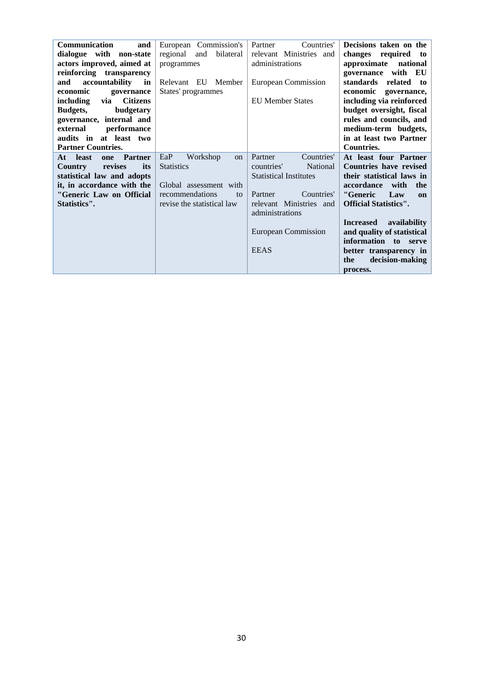| <b>Communication</b><br>and         | European Commission's            | Countries'<br>Partner         | Decisions taken on the           |
|-------------------------------------|----------------------------------|-------------------------------|----------------------------------|
| dialogue with non-state             | regional and<br>bilateral        | relevant Ministries and       | changes required<br>to           |
| actors improved, aimed at           | programmes                       | administrations               | approximate<br>national          |
| reinforcing transparency            |                                  |                               | governance with EU               |
| accountability<br>and<br>in         | Relevant EU Member               | European Commission           | standards<br>related<br>to       |
| economic<br>governance              | States' programmes               |                               | economic<br>governance,          |
| <b>Citizens</b><br>including<br>via |                                  | <b>EU</b> Member States       | including via reinforced         |
| <b>Budgets,</b><br>budgetary        |                                  |                               | budget oversight, fiscal         |
| governance, internal and            |                                  |                               | rules and councils, and          |
| performance<br>external             |                                  |                               | medium-term budgets,             |
| audits in at least two              |                                  |                               | in at least two Partner          |
| <b>Partner Countries.</b>           |                                  |                               | <b>Countries.</b>                |
| <b>Partner</b><br>At least<br>one   | Workshop<br>EaP<br><sub>on</sub> | Countries'<br>Partner         | At least four Partner            |
| revises<br><b>Country</b><br>its    | <b>Statistics</b>                | National<br>countries'        | <b>Countries have revised</b>    |
| statistical law and adopts          |                                  | <b>Statistical Institutes</b> | their statistical laws in        |
| it, in accordance with the          | Global assessment with           |                               | accordance<br>with<br>the        |
| "Generic Law on Official            | recommendations<br>to            | Countries'<br>Partner         | "Generic<br>Law<br>on            |
| Statistics".                        | revise the statistical law       | relevant Ministries and       | <b>Official Statistics".</b>     |
|                                     |                                  | administrations               |                                  |
|                                     |                                  |                               | <b>Increased</b><br>availability |
|                                     |                                  | European Commission           | and quality of statistical       |
|                                     |                                  |                               | information to serve             |
|                                     |                                  | <b>EEAS</b>                   |                                  |
|                                     |                                  |                               | better transparency in           |
|                                     |                                  |                               | decision-making<br>the           |
|                                     |                                  |                               | process.                         |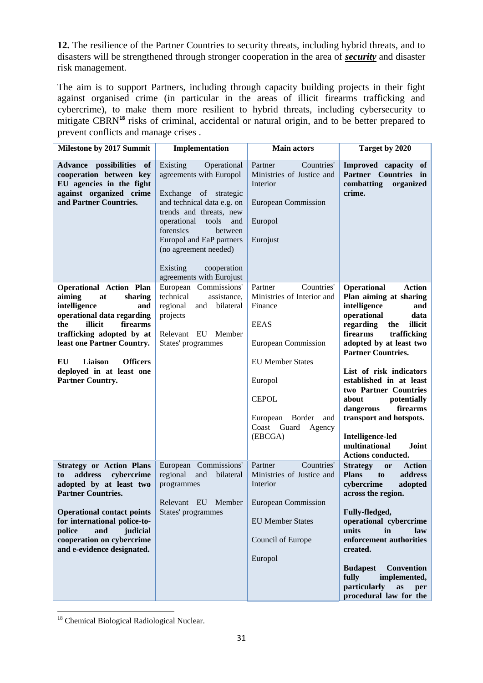**12.** The resilience of the Partner Countries to security threats, including hybrid threats, and to disasters will be strengthened through stronger cooperation in the area of *security* and disaster risk management.

The aim is to support Partners, including through capacity building projects in their fight against organised crime (in particular in the areas of illicit firearms trafficking and cybercrime), to make them more resilient to hybrid threats, including cybersecurity to mitigate CBRN<sup>18</sup> risks of criminal, accidental or natural origin, and to be better prepared to prevent conflicts and manage crises .

| Milestone by 2017 Summit                                                                                                                                                                                                                                                                           | Implementation                                                                                                                                                                                                                                                                                          | <b>Main actors</b>                                                                                                                                                                                                              | Target by 2020                                                                                                                                                                                                                                                                                                                                                                                                                                                      |
|----------------------------------------------------------------------------------------------------------------------------------------------------------------------------------------------------------------------------------------------------------------------------------------------------|---------------------------------------------------------------------------------------------------------------------------------------------------------------------------------------------------------------------------------------------------------------------------------------------------------|---------------------------------------------------------------------------------------------------------------------------------------------------------------------------------------------------------------------------------|---------------------------------------------------------------------------------------------------------------------------------------------------------------------------------------------------------------------------------------------------------------------------------------------------------------------------------------------------------------------------------------------------------------------------------------------------------------------|
| Advance possibilities of<br>cooperation between key<br>EU agencies in the fight<br>against organized crime<br>and Partner Countries.                                                                                                                                                               | Existing<br>Operational<br>agreements with Europol<br>Exchange of strategic<br>and technical data e.g. on<br>trends and threats, new<br>operational<br>tools<br>and<br>forensics<br>between<br>Europol and EaP partners<br>(no agreement needed)<br>Existing<br>cooperation<br>agreements with Eurojust | Countries'<br>Partner<br>Ministries of Justice and<br>Interior<br><b>European Commission</b><br>Europol<br>Eurojust                                                                                                             | Improved capacity of<br>Partner Countries in<br>combatting<br>organized<br>crime.                                                                                                                                                                                                                                                                                                                                                                                   |
| <b>Operational Action Plan</b><br>aiming<br>at<br>sharing<br>intelligence<br>and<br>operational data regarding<br>the<br>illicit<br>firearms<br>trafficking adopted by at<br>least one Partner Country.<br>Liaison<br><b>Officers</b><br>EU<br>deployed in at least one<br><b>Partner Country.</b> | European Commissions'<br>technical<br>assistance,<br>regional<br>and<br>bilateral<br>projects<br>Relevant EU Member<br>States' programmes                                                                                                                                                               | Partner<br>Countries'<br>Ministries of Interior and<br>Finance<br><b>EEAS</b><br><b>European Commission</b><br><b>EU</b> Member States<br>Europol<br><b>CEPOL</b><br>European Border<br>and<br>Coast Guard<br>Agency<br>(EBCGA) | <b>Operational</b><br><b>Action</b><br>Plan aiming at sharing<br>intelligence<br>and<br>operational<br>data<br>regarding<br>the<br>illicit<br>firearms<br>trafficking<br>adopted by at least two<br><b>Partner Countries.</b><br>List of risk indicators<br>established in at least<br>two Partner Countries<br>about<br>potentially<br>dangerous<br>firearms<br>transport and hotspots.<br><b>Intelligence-led</b><br>multinational<br>Joint<br>Actions conducted. |
| <b>Strategy or Action Plans</b><br>cybercrime<br>address<br>to<br>adopted by at least two<br><b>Partner Countries.</b><br><b>Operational contact points</b><br>for international police-to-<br>police<br>judicial<br>and<br>cooperation on cybercrime<br>and e-evidence designated.                | European Commissions'<br>regional<br>and<br>bilateral<br>programmes<br>Relevant EU Member<br>States' programmes                                                                                                                                                                                         | Countries'<br>Partner<br>Ministries of Justice and<br>Interior<br><b>European Commission</b><br><b>EU Member States</b><br>Council of Europe<br>Europol                                                                         | <b>Strategy</b><br><b>Action</b><br><b>or</b><br><b>Plans</b><br>address<br>to<br>cybercrime<br>adopted<br>across the region.<br>Fully-fledged,<br>operational cybercrime<br>units<br>in<br>law<br>enforcement authorities<br>created.<br><b>Convention</b><br><b>Budapest</b><br>implemented,<br>fully<br>particularly<br>as<br>per<br>procedural law for the                                                                                                      |

**.** <sup>18</sup> Chemical Biological Radiological Nuclear.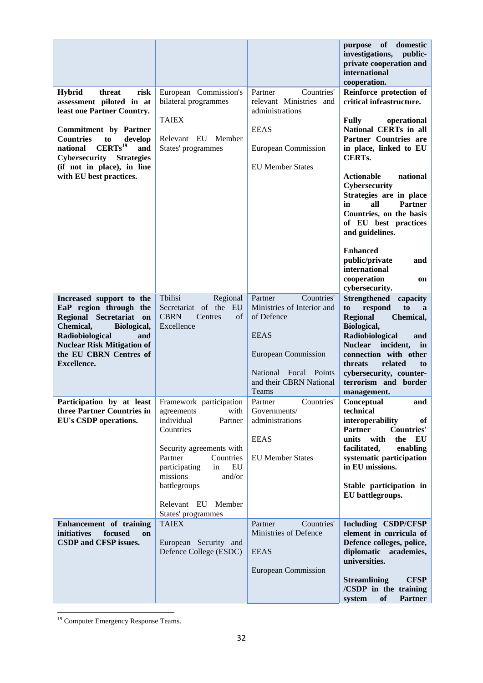|                                                                                                                                                                                                                                                                                                           |                                                                                                                                                                                                                                                                        |                                                                                                                                                                             | of<br>purpose<br>domestic<br>investigations,<br>public-<br>private cooperation and<br>international<br>cooperation.                                                                                                                                                                                                                                                                                                                                                   |
|-----------------------------------------------------------------------------------------------------------------------------------------------------------------------------------------------------------------------------------------------------------------------------------------------------------|------------------------------------------------------------------------------------------------------------------------------------------------------------------------------------------------------------------------------------------------------------------------|-----------------------------------------------------------------------------------------------------------------------------------------------------------------------------|-----------------------------------------------------------------------------------------------------------------------------------------------------------------------------------------------------------------------------------------------------------------------------------------------------------------------------------------------------------------------------------------------------------------------------------------------------------------------|
| <b>Hybrid</b><br>threat<br>risk<br>assessment piloted in at<br>least one Partner Country.<br><b>Commitment</b> by Partner<br><b>Countries</b><br>to<br>develop<br>$CERTs$ <sup>19</sup><br>and<br>national<br>Cybersecurity<br><b>Strategies</b><br>(if not in place), in line<br>with EU best practices. | European Commission's<br>bilateral programmes<br><b>TAIEX</b><br>Relevant EU Member<br>States' programmes                                                                                                                                                              | Countries'<br>Partner<br>relevant Ministries and<br>administrations<br><b>EEAS</b><br><b>European Commission</b><br><b>EU</b> Member States                                 | Reinforce protection of<br>critical infrastructure.<br><b>Fully</b><br>operational<br>National CERTs in all<br>Partner Countries are<br>in place, linked to EU<br><b>CERTs.</b><br><b>Actionable</b><br>national<br>Cybersecurity<br>Strategies are in place<br><b>Partner</b><br>all<br>in<br>Countries, on the basis<br>of EU best practices<br>and guidelines.<br><b>Enhanced</b><br>public/private<br>and<br>international<br>cooperation<br>on<br>cybersecurity. |
| Increased support to the<br>EaP region through the<br>Regional Secretariat on<br>Chemical,<br>Biological,<br>Radiobiological<br>and<br><b>Nuclear Risk Mitigation of</b><br>the EU CBRN Centres of<br><b>Excellence.</b>                                                                                  | Tbilisi<br>Regional<br>Secretariat of the EU<br><b>CBRN</b><br>Centres<br>of<br>Excellence                                                                                                                                                                             | Countries'<br>Partner<br>Ministries of Interior and<br>of Defence<br><b>EEAS</b><br><b>European Commission</b><br>National Focal Points<br>and their CBRN National<br>Teams | <b>Strengthened</b><br>capacity<br>respond<br>to<br>to<br>a<br>Chemical,<br><b>Regional</b><br>Biological,<br>Radiobiological<br>and<br>Nuclear incident,<br>in<br>connection with other<br>threats<br>related<br>to<br>cybersecurity, counter-<br>terrorism and border<br>management.                                                                                                                                                                                |
| Participation by at least<br>three Partner Countries in<br>EU's CSDP operations.<br>Enhancement of training                                                                                                                                                                                               | Framework participation<br>agreements<br>with<br>individual<br>Partner<br>Countries<br>Security agreements with<br>Partner<br>Countries<br>EU<br>participating<br>in<br>missions<br>and/or<br>battlegroups<br>Relevant EU Member<br>States' programmes<br><b>TAIEX</b> | Partner<br>Governments/<br>administrations<br><b>EEAS</b><br><b>EU Member States</b><br>Countries'<br>Partner                                                               | Countries'   Conceptual<br>and<br>technical<br>interoperability<br>of<br><b>Partner</b><br><b>Countries'</b><br>units<br>with<br>EU<br>the<br>facilitated,<br>enabling<br>systematic participation<br>in EU missions.<br>Stable participation in<br>EU battlegroups.<br>Including CSDP/CFSP                                                                                                                                                                           |
| initiatives<br>focused<br>on<br>CSDP and CFSP issues.                                                                                                                                                                                                                                                     | European Security and<br>Defence College (ESDC)                                                                                                                                                                                                                        | Ministries of Defence<br><b>EEAS</b><br><b>European Commission</b>                                                                                                          | element in curricula of<br>Defence colleges, police,<br>diplomatic academies,<br>universities.<br><b>Streamlining</b><br><b>CFSP</b><br>/CSDP in the training<br>system<br>of<br><b>Partner</b>                                                                                                                                                                                                                                                                       |

**<sup>.</sup>** <sup>19</sup> Computer Emergency Response Teams.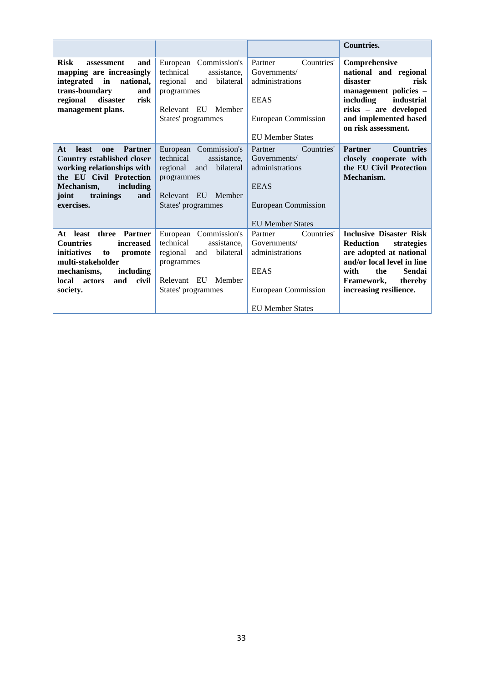|                                                                                                                                                                                                                 |                                                                                                                                             |                                                                                                                                  | <b>Countries.</b>                                                                                                                                                                                     |
|-----------------------------------------------------------------------------------------------------------------------------------------------------------------------------------------------------------------|---------------------------------------------------------------------------------------------------------------------------------------------|----------------------------------------------------------------------------------------------------------------------------------|-------------------------------------------------------------------------------------------------------------------------------------------------------------------------------------------------------|
| <b>Risk</b><br>assessment<br>and<br>mapping are increasingly<br>national,<br>integrated<br>in<br>trans-boundary<br>and<br>disaster<br>risk<br>regional<br>management plans.                                     | European Commission's<br>technical<br>assistance.<br>bilateral<br>regional<br>and<br>programmes<br>Relevant EU Member<br>States' programmes | Countries'<br>Partner<br>Governments/<br>administrations<br><b>EEAS</b><br>European Commission<br><b>EU</b> Member States        | Comprehensive<br>national and regional<br>disaster<br>risk<br>management policies -<br>including<br>industrial<br>risks - are developed<br>and implemented based<br>on risk assessment.               |
| <b>least</b><br><b>Partner</b><br>At<br>one<br><b>Country established closer</b><br>working relationships with<br>the EU Civil Protection<br>including<br>Mechanism,<br>joint<br>trainings<br>and<br>exercises. | European Commission's<br>technical<br>assistance.<br>regional<br>bilateral<br>and<br>programmes<br>Relevant EU Member<br>States' programmes | Countries'<br>Partner<br>Governments/<br>administrations<br><b>EEAS</b><br><b>European Commission</b><br><b>EU Member States</b> | <b>Countries</b><br><b>Partner</b><br>closely cooperate with<br>the EU Civil Protection<br>Mechanism.                                                                                                 |
| At least<br>three Partner<br><b>Countries</b><br>increased<br><i>initiatives</i><br>promote<br>to<br>multi-stakeholder<br>mechanisms,<br>including<br>and<br>civil<br>local<br>actors<br>society.               | European Commission's<br>technical<br>assistance.<br>regional<br>bilateral<br>and<br>programmes<br>Relevant EU Member<br>States' programmes | Countries'<br>Partner<br>Governments/<br>administrations<br><b>EEAS</b><br>European Commission<br><b>EU</b> Member States        | <b>Inclusive Disaster Risk</b><br><b>Reduction</b><br>strategies<br>are adopted at national<br>and/or local level in line<br>with<br>the<br>Sendai<br>Framework,<br>thereby<br>increasing resilience. |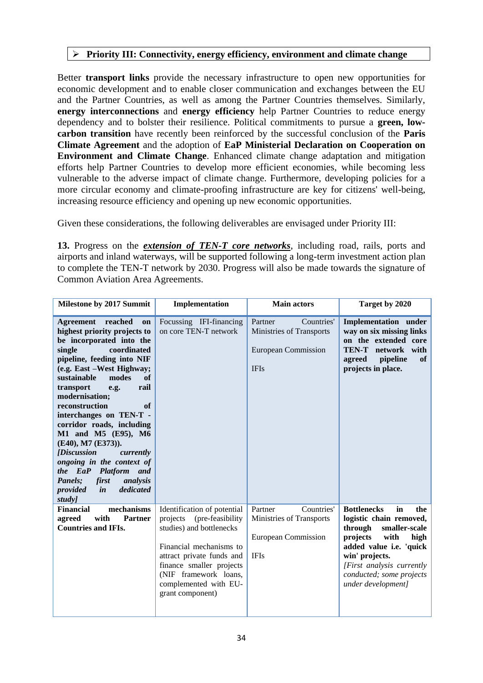#### **Priority III: Connectivity, energy efficiency, environment and climate change**

Better **transport links** provide the necessary infrastructure to open new opportunities for economic development and to enable closer communication and exchanges between the EU and the Partner Countries, as well as among the Partner Countries themselves. Similarly, **energy interconnections** and **energy efficiency** help Partner Countries to reduce energy dependency and to bolster their resilience. Political commitments to pursue a **green, lowcarbon transition** have recently been reinforced by the successful conclusion of the **Paris Climate Agreement** and the adoption of **EaP Ministerial Declaration on Cooperation on Environment and Climate Change**. Enhanced climate change adaptation and mitigation efforts help Partner Countries to develop more efficient economies, while becoming less vulnerable to the adverse impact of climate change. Furthermore, developing policies for a more circular economy and climate-proofing infrastructure are key for citizens' well-being, increasing resource efficiency and opening up new economic opportunities.

Given these considerations, the following deliverables are envisaged under Priority III:

**13.** Progress on the *extension of TEN-T core networks*, including road, rails, ports and airports and inland waterways, will be supported following a long-term investment action plan to complete the TEN-T network by 2030. Progress will also be made towards the signature of Common Aviation Area Agreements.

| <b>Milestone by 2017 Summit</b>                                                                                                                                                                                                                                                                                                                                                                                                                                                                                                                                              | Implementation                                                                                                                                                                                                                                    | <b>Main actors</b>                                                                             | Target by 2020                                                                                                                                                                                                                                 |
|------------------------------------------------------------------------------------------------------------------------------------------------------------------------------------------------------------------------------------------------------------------------------------------------------------------------------------------------------------------------------------------------------------------------------------------------------------------------------------------------------------------------------------------------------------------------------|---------------------------------------------------------------------------------------------------------------------------------------------------------------------------------------------------------------------------------------------------|------------------------------------------------------------------------------------------------|------------------------------------------------------------------------------------------------------------------------------------------------------------------------------------------------------------------------------------------------|
| Agreement reached<br>on<br>highest priority projects to<br>be incorporated into the<br>single<br>coordinated<br>pipeline, feeding into NIF<br>(e.g. East -West Highway;<br>sustainable<br>of<br>modes<br>rail<br>transport<br>e.g.<br>modernisation;<br>reconstruction<br>of<br>interchanges on TEN-T -<br>corridor roads, including<br>M1 and M5 (E95), M6<br>(E40), M7 (E373)).<br><i><b>[Discussion</b></i><br>currently<br>ongoing in the context of<br>the EaP Platform<br>and<br>first<br>Panels;<br>analysis<br>dedicated<br>$\dot{\mathbf{m}}$<br>provided<br>study] | Focussing IFI-financing<br>on core TEN-T network                                                                                                                                                                                                  | Partner<br>Countries'<br>Ministries of Transports<br><b>European Commission</b><br><b>IFIs</b> | <b>Implementation</b> under<br>way on six missing links<br>on the extended core<br>TEN-T network with<br>pipeline<br>of<br>agreed<br>projects in place.                                                                                        |
| <b>Financial</b><br>mechanisms<br>agreed<br><b>Partner</b><br>with<br><b>Countries and IFIs.</b>                                                                                                                                                                                                                                                                                                                                                                                                                                                                             | Identification of potential<br>projects<br>(pre-feasibility<br>studies) and bottlenecks<br>Financial mechanisms to<br>attract private funds and<br>finance smaller projects<br>(NIF framework loans,<br>complemented with EU-<br>grant component) | Countries'<br>Partner<br>Ministries of Transports<br><b>European Commission</b><br><b>IFIs</b> | in<br><b>Bottlenecks</b><br>the<br>logistic chain removed,<br>through<br>smaller-scale<br>projects<br>with<br>high<br>added value i.e. 'quick<br>win' projects.<br>[First analysis currently<br>conducted; some projects<br>under development] |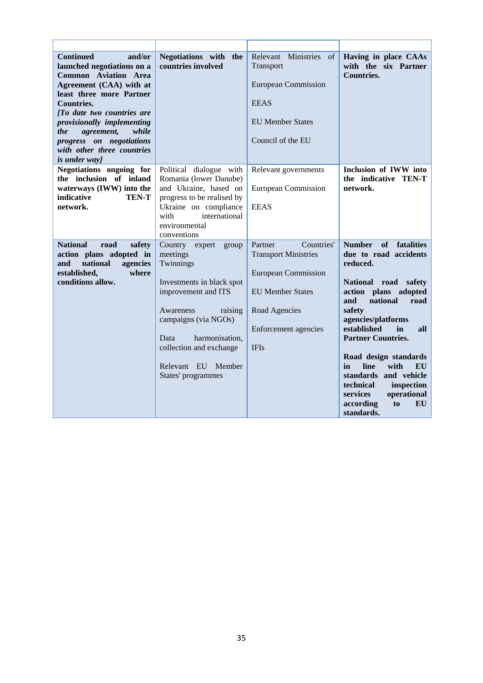| <b>Continued</b><br>and/or<br>launched negotiations on a<br><b>Common Aviation Area</b><br>Agreement (CAA) with at<br>least three more Partner<br><b>Countries.</b><br>[To date two countries are<br>provisionally implementing<br>while<br>agreement,<br><i>the</i><br>progress on negotiations<br>with other three countries<br>is under way] | Negotiations with the<br>countries involved                                                                                                                                                                                                           | Relevant Ministries<br>of<br>Transport<br><b>European Commission</b><br><b>EEAS</b><br><b>EU Member States</b><br>Council of the EU                                   | Having in place CAAs<br>with the six Partner<br><b>Countries.</b>                                                                                                                                                                                                                                                                                                                                                        |
|-------------------------------------------------------------------------------------------------------------------------------------------------------------------------------------------------------------------------------------------------------------------------------------------------------------------------------------------------|-------------------------------------------------------------------------------------------------------------------------------------------------------------------------------------------------------------------------------------------------------|-----------------------------------------------------------------------------------------------------------------------------------------------------------------------|--------------------------------------------------------------------------------------------------------------------------------------------------------------------------------------------------------------------------------------------------------------------------------------------------------------------------------------------------------------------------------------------------------------------------|
| Negotiations ongoing for<br>the inclusion of inland<br>waterways (IWW) into the<br>indicative<br><b>TEN-T</b><br>network.                                                                                                                                                                                                                       | Political dialogue with<br>Romania (lower Danube)<br>and Ukraine, based on<br>progress to be realised by<br>Ukraine on compliance<br>international<br>with<br>environmental<br>conventions                                                            | Relevant governments<br><b>European Commission</b><br><b>EEAS</b>                                                                                                     | Inclusion of IWW into<br>the indicative TEN-T<br>network.                                                                                                                                                                                                                                                                                                                                                                |
| <b>National</b><br>road<br>safety<br>action plans adopted in<br>national<br>agencies<br>and<br>established,<br>where<br>conditions allow.                                                                                                                                                                                                       | Country expert<br>group<br>meetings<br>Twinnings<br>Investments in black spot<br>improvement and ITS<br>Awareness<br>raising<br>campaigns (via NGOs)<br>harmonisation.<br>Data<br>collection and exchange<br>Relevant EU Member<br>States' programmes | Countries'<br>Partner<br><b>Transport Ministries</b><br><b>European Commission</b><br><b>EU Member States</b><br>Road Agencies<br>Enforcement agencies<br><b>IFIs</b> | <b>Number</b><br>of<br>fatalities<br>due to road accidents<br>reduced.<br>National road<br>safety<br>action plans adopted<br>and<br>national<br>road<br>safety<br>agencies/platforms<br>established<br>in<br>all<br><b>Partner Countries.</b><br>Road design standards<br>line<br>with<br>in<br>EU<br>standards and vehicle<br>technical<br>inspection<br>services<br>operational<br>according<br>to<br>EU<br>standards. |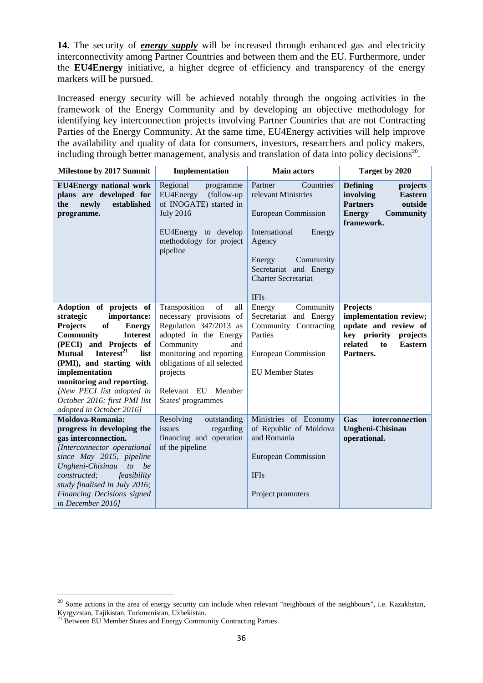**14.** The security of *energy supply* will be increased through enhanced gas and electricity interconnectivity among Partner Countries and between them and the EU. Furthermore, under the **EU4Energy** initiative, a higher degree of efficiency and transparency of the energy markets will be pursued.

Increased energy security will be achieved notably through the ongoing activities in the framework of the Energy Community and by developing an objective methodology for identifying key interconnection projects involving Partner Countries that are not Contracting Parties of the Energy Community. At the same time, EU4Energy activities will help improve the availability and quality of data for consumers, investors, researchers and policy makers, including through better management, analysis and translation of data into policy decisions<sup>20</sup>.

| <b>Milestone by 2017 Summit</b>                                                                                                                                                                                                                                                                                                                                                       | Implementation                                                                                                                                                                                                                                  | <b>Main actors</b>                                                                                                                         | Target by 2020                                                                                                                                |
|---------------------------------------------------------------------------------------------------------------------------------------------------------------------------------------------------------------------------------------------------------------------------------------------------------------------------------------------------------------------------------------|-------------------------------------------------------------------------------------------------------------------------------------------------------------------------------------------------------------------------------------------------|--------------------------------------------------------------------------------------------------------------------------------------------|-----------------------------------------------------------------------------------------------------------------------------------------------|
| <b>EU4Energy national work</b><br>plans are developed for<br>newly<br>established<br>the<br>programme.                                                                                                                                                                                                                                                                                | Regional<br>programme<br>EU4Energy<br>(follow-up<br>of INOGATE) started in<br><b>July 2016</b><br>EU4Energy to develop                                                                                                                          | Partner<br>Countries'<br>relevant Ministries<br><b>European Commission</b><br>International<br>Energy                                      | <b>Defining</b><br>projects<br>involving<br><b>Eastern</b><br><b>Partners</b><br>outside<br><b>Energy</b><br><b>Community</b><br>framework.   |
|                                                                                                                                                                                                                                                                                                                                                                                       | methodology for project<br>pipeline                                                                                                                                                                                                             | Agency<br>Community<br>Energy<br>Secretariat and Energy<br><b>Charter Secretariat</b><br><b>IFIs</b>                                       |                                                                                                                                               |
| Adoption of projects of<br>strategic<br>importance:<br><b>Projects</b><br><b>Energy</b><br>of<br><b>Community</b><br><b>Interest</b><br>(PECI) and Projects of<br>Interest <sup>21</sup><br>list<br><b>Mutual</b><br>(PMI), and starting with<br>implementation<br>monitoring and reporting.<br>[New PECI list adopted in<br>October 2016; first PMI list<br>adopted in October 2016] | Transposition<br>of<br>all<br>necessary provisions of<br>Regulation 347/2013 as<br>adopted in the Energy<br>Community<br>and<br>monitoring and reporting<br>obligations of all selected<br>projects<br>Relevant EU Member<br>States' programmes | Community<br>Energy<br>Secretariat and Energy<br>Community Contracting<br>Parties<br><b>European Commission</b><br><b>EU Member States</b> | <b>Projects</b><br>implementation review;<br>update and review of<br>key priority<br>projects<br>related<br><b>Eastern</b><br>to<br>Partners. |
| Moldova-Romania:<br>progress in developing the<br>gas interconnection.<br>[Interconnector operational<br>since May 2015, pipeline<br>Ungheni-Chisinau<br>to be<br>constructed;<br>feasibility<br>study finalised in July 2016;<br>Financing Decisions signed<br>in December 2016]                                                                                                     | Resolving<br>outstanding<br>issues<br>regarding<br>financing and operation<br>of the pipeline                                                                                                                                                   | Ministries of Economy<br>of Republic of Moldova<br>and Romania<br><b>European Commission</b><br><b>IFIs</b><br>Project promoters           | Gas<br>interconnection<br><b>Ungheni-Chisinau</b><br>operational.                                                                             |

 $20$  Some actions in the area of energy security can include when relevant "neighbours of the neighbours", i.e. Kazakhstan, Kyrgyzstan, Tajikistan, Turkmenistan, Uzbekistan.

<sup>&</sup>lt;sup>21</sup> Between EU Member States and Energy Community Contracting Parties.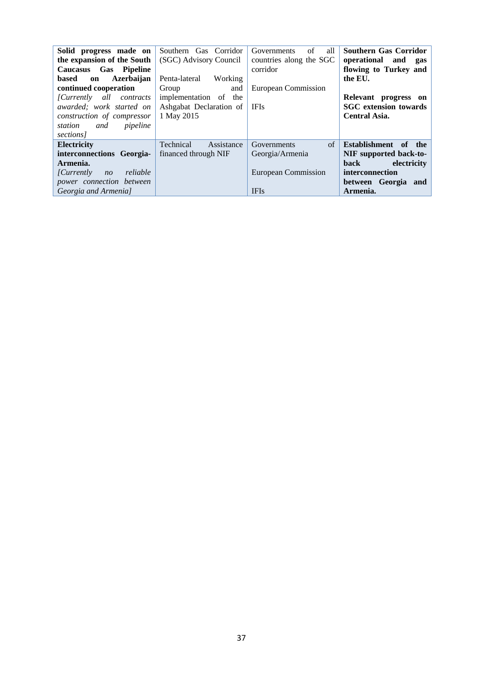| Solid progress made on<br>the expansion of the South<br>Caucasus Gas Pipeline<br>Azerbaijan<br>based<br>on<br>continued cooperation<br>[Currently all contracts]<br>awarded; work started on<br>construction of compressor<br>pipeline<br>station<br>and<br>sections] | Southern Gas Corridor<br>(SGC) Advisory Council<br>Penta-lateral<br>Working<br>Group<br>and<br>implementation of the<br>Ashgabat Declaration of<br>1 May 2015 | all<br>of<br>Governments<br>countries along the SGC<br>corridor<br>European Commission<br><b>IFIs</b> | <b>Southern Gas Corridor</b><br>operational and<br>gas<br>flowing to Turkey and<br>the EU.<br>Relevant progress on<br><b>SGC</b> extension towards<br><b>Central Asia.</b> |
|-----------------------------------------------------------------------------------------------------------------------------------------------------------------------------------------------------------------------------------------------------------------------|---------------------------------------------------------------------------------------------------------------------------------------------------------------|-------------------------------------------------------------------------------------------------------|----------------------------------------------------------------------------------------------------------------------------------------------------------------------------|
| <b>Electricity</b><br>interconnections Georgia-<br>Armenia.<br>reliable<br><i>Currently</i><br>n <sub>O</sub><br>power connection between<br>Georgia and Armenia]                                                                                                     | Technical<br>Assistance<br>financed through NIF                                                                                                               | of<br>Governments<br>Georgia/Armenia<br>European Commission<br><b>IFIs</b>                            | Establishment of the<br>NIF supported back-to-<br>electricity<br>back<br>interconnection<br>between Georgia and<br>Armenia.                                                |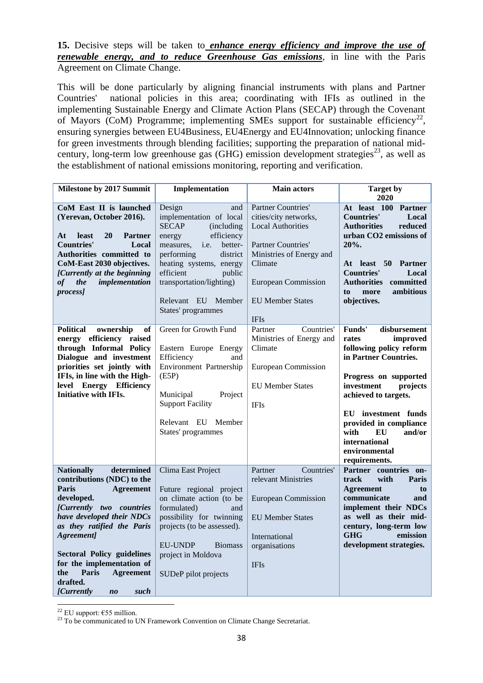### **15.** Decisive steps will be taken to *enhance energy efficiency and improve the use of renewable energy, and to reduce Greenhouse Gas emissions*, in line with the Paris Agreement on Climate Change.

This will be done particularly by aligning financial instruments with plans and Partner Countries' national policies in this area; coordinating with IFIs as outlined in the implementing Sustainable Energy and Climate Action Plans (SECAP) through the Covenant of Mayors (CoM) Programme; implementing SMEs support for sustainable efficiency<sup>22</sup>, ensuring synergies between EU4Business, EU4Energy and EU4Innovation; unlocking finance for green investments through blending facilities; supporting the preparation of national midcentury, long-term low greenhouse gas (GHG) emission development strategies<sup>23</sup>, as well as the establishment of national emissions monitoring, reporting and verification.

| <b>Milestone by 2017 Summit</b>                                                                                                                                                                                                                                                                                                                                         | Implementation                                                                                                                                                                                                                                                                     | <b>Main actors</b>                                                                                                                                                                                                  | <b>Target by</b>                                                                                                                                                                                                                                                                                       |
|-------------------------------------------------------------------------------------------------------------------------------------------------------------------------------------------------------------------------------------------------------------------------------------------------------------------------------------------------------------------------|------------------------------------------------------------------------------------------------------------------------------------------------------------------------------------------------------------------------------------------------------------------------------------|---------------------------------------------------------------------------------------------------------------------------------------------------------------------------------------------------------------------|--------------------------------------------------------------------------------------------------------------------------------------------------------------------------------------------------------------------------------------------------------------------------------------------------------|
| CoM East II is launched<br>(Yerevan, October 2016).<br><b>20</b><br>At<br>least<br><b>Partner</b><br><b>Countries'</b><br>Local<br>Authorities committed to<br>CoM-East 2030 objectives.<br>[Currently at the beginning<br>implementation<br>of<br>the<br>process]                                                                                                      | Design<br>and<br>implementation of local<br><b>SECAP</b><br>(including<br>efficiency<br>energy<br>measures,<br>i.e.<br>better-<br>performing<br>district<br>heating systems, energy<br>efficient<br>public<br>transportation/lighting)<br>Relevant EU Member<br>States' programmes | Partner Countries'<br>cities/city networks,<br><b>Local Authorities</b><br><b>Partner Countries'</b><br>Ministries of Energy and<br>Climate<br><b>European Commission</b><br><b>EU Member States</b><br><b>IFIs</b> | 2020<br>At least 100 Partner<br><b>Countries'</b><br>Local<br>reduced<br><b>Authorities</b><br>urban CO2 emissions of<br>20%.<br>At least 50<br><b>Partner</b><br><b>Countries'</b><br>Local<br>committed<br><b>Authorities</b><br>ambitious<br>more<br>to<br>objectives.                              |
| <b>Political</b><br><sub>of</sub><br>ownership<br>energy efficiency raised<br>through Informal Policy<br>Dialogue and investment<br>priorities set jointly with<br>IFIs, in line with the High-<br>level Energy Efficiency<br><b>Initiative with IFIs.</b>                                                                                                              | Green for Growth Fund<br>Eastern Europe Energy<br>Efficiency<br>and<br>Environment Partnership<br>(E5P)<br>Municipal<br>Project<br><b>Support Facility</b><br>Relevant EU Member<br>States' programmes                                                                             | Partner<br>Countries'<br>Ministries of Energy and<br>Climate<br><b>European Commission</b><br><b>EU Member States</b><br><b>IFIs</b>                                                                                | Funds'<br>disbursement<br>rates<br>improved<br>following policy reform<br>in Partner Countries.<br>Progress on supported<br>investment<br>projects<br>achieved to targets.<br>EU investment funds<br>provided in compliance<br>with<br>and/or<br>EU<br>international<br>environmental<br>requirements. |
| <b>Nationally</b><br>determined<br>contributions (NDC) to the<br>Paris<br><b>Agreement</b><br>developed.<br>[Currently two countries<br>have developed their NDCs<br>as they ratified the Paris<br>Agreement]<br><b>Sectoral Policy guidelines</b><br>for the implementation of<br>the<br>Paris<br><b>Agreement</b><br>drafted.<br><i>[Currently</i><br>such<br>$n_{0}$ | Clima East Project<br>Future regional project<br>on climate action (to be<br>formulated)<br>and<br>possibility for twinning<br>projects (to be assessed).<br><b>EU-UNDP</b><br><b>Biomass</b><br>project in Moldova<br>SUDeP pilot projects                                        | Countries'<br>Partner<br>relevant Ministries<br><b>European Commission</b><br><b>EU Member States</b><br>International<br>organisations<br><b>IFIs</b>                                                              | Partner countries on-<br>with<br>track<br>Paris<br><b>Agreement</b><br>to<br>communicate<br>and<br>implement their NDCs<br>as well as their mid-<br>century, long-term low<br><b>GHG</b><br>emission<br>development strategies.                                                                        |

1 <sup>22</sup> EU support:  $\epsilon$ 55 million.

<sup>&</sup>lt;sup>23</sup> To be communicated to UN Framework Convention on Climate Change Secretariat.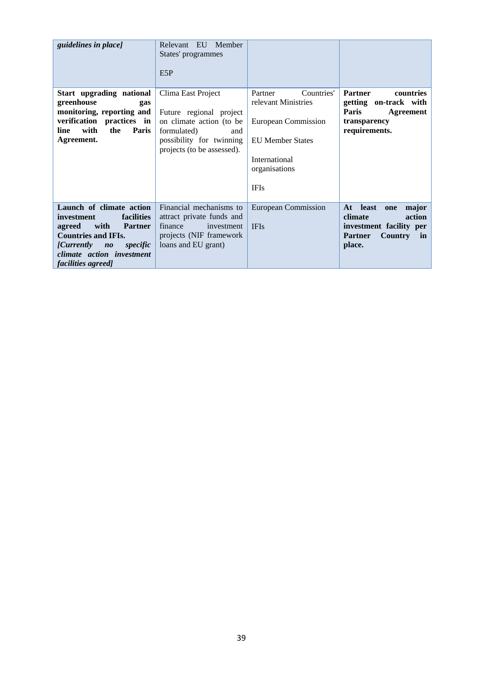| guidelines in place]                                                                                                                                                                                                | Member<br>Relevant EU<br>States' programmes<br>E5P                                                                                                        |                                                                                                                                                 |                                                                                                                                 |
|---------------------------------------------------------------------------------------------------------------------------------------------------------------------------------------------------------------------|-----------------------------------------------------------------------------------------------------------------------------------------------------------|-------------------------------------------------------------------------------------------------------------------------------------------------|---------------------------------------------------------------------------------------------------------------------------------|
| Start upgrading national<br>greenhouse<br>gas<br>monitoring, reporting and<br>verification practices in<br>with<br>Paris<br>line<br>the<br>Agreement.                                                               | Clima East Project<br>Future regional project<br>on climate action (to be<br>formulated)<br>and<br>possibility for twinning<br>projects (to be assessed). | Countries'<br>Partner<br>relevant Ministries<br>European Commission<br><b>EU Member States</b><br>International<br>organisations<br><b>IFIs</b> | <b>Partner</b><br>countries<br>getting on-track with<br>Paris<br>Agreement<br>transparency<br>requirements.                     |
| Launch of climate action<br>facilities<br>investment<br>with<br><b>Partner</b><br>agreed<br><b>Countries and IFIs.</b><br><i>[Currently</i><br>specific<br>$n^o$<br>climate action investment<br>facilities agreed] | Financial mechanisms to<br>attract private funds and<br>finance<br>investment<br>projects (NIF framework<br>loans and EU grant)                           | <b>European Commission</b><br><b>IFIs</b>                                                                                                       | least<br>At<br>major<br>one<br>climate<br>action<br>investment facility per<br><b>Country</b><br><b>Partner</b><br>in<br>place. |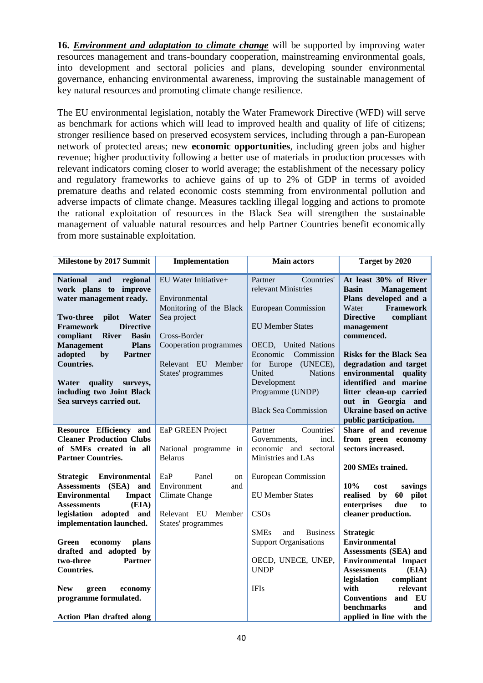**16.** *Environment and adaptation to climate change* will be supported by improving water resources management and trans-boundary cooperation, mainstreaming environmental goals, into development and sectoral policies and plans, developing sounder environmental governance, enhancing environmental awareness, improving the sustainable management of key natural resources and promoting climate change resilience.

The EU environmental legislation, notably the Water Framework Directive (WFD) will serve as benchmark for actions which will lead to improved health and quality of life of citizens; stronger resilience based on preserved ecosystem services, including through a pan-European network of protected areas; new **economic opportunities**, including green jobs and higher revenue; higher productivity following a better use of materials in production processes with relevant indicators coming closer to world average; the establishment of the necessary policy and regulatory frameworks to achieve gains of up to 2% of GDP in terms of avoided premature deaths and related economic costs stemming from environmental pollution and adverse impacts of climate change. Measures tackling illegal logging and actions to promote the rational exploitation of resources in the Black Sea will strengthen the sustainable management of valuable natural resources and help Partner Countries benefit economically from more sustainable exploitation.

| Milestone by 2017 Summit                                                                                                                                                                                                                                                                                                                                                                                | Implementation                                                                                                                                                        | <b>Main actors</b>                                                                                                                                                                                                                                                              | Target by 2020                                                                                                                                                                                                                                                                                                                                                                                             |
|---------------------------------------------------------------------------------------------------------------------------------------------------------------------------------------------------------------------------------------------------------------------------------------------------------------------------------------------------------------------------------------------------------|-----------------------------------------------------------------------------------------------------------------------------------------------------------------------|---------------------------------------------------------------------------------------------------------------------------------------------------------------------------------------------------------------------------------------------------------------------------------|------------------------------------------------------------------------------------------------------------------------------------------------------------------------------------------------------------------------------------------------------------------------------------------------------------------------------------------------------------------------------------------------------------|
| <b>National</b><br>and<br>regional<br>work plans to improve<br>water management ready.<br><b>Two-three</b><br>pilot<br>Water<br><b>Framework</b><br><b>Directive</b><br>compliant<br><b>River</b><br><b>Basin</b><br><b>Plans</b><br><b>Management</b><br>adopted<br>by<br><b>Partner</b><br><b>Countries.</b><br>Water<br>quality<br>surveys,<br>including two Joint Black<br>Sea surveys carried out. | EU Water Initiative+<br>Environmental<br>Monitoring of the Black<br>Sea project<br>Cross-Border<br>Cooperation programmes<br>Relevant EU Member<br>States' programmes | Partner<br>Countries'<br>relevant Ministries<br><b>European Commission</b><br><b>EU Member States</b><br>OECD, United Nations<br>Economic<br>Commission<br>for Europe<br>(UNECE),<br><b>Nations</b><br>United<br>Development<br>Programme (UNDP)<br><b>Black Sea Commission</b> | At least 30% of River<br><b>Basin</b><br><b>Management</b><br>Plans developed and a<br><b>Framework</b><br>Water<br><b>Directive</b><br>compliant<br>management<br>commenced.<br><b>Risks for the Black Sea</b><br>degradation and target<br>environmental<br>quality<br>identified and marine<br>litter clean-up carried<br>out in Georgia and<br><b>Ukraine based on active</b><br>public participation. |
| Resource Efficiency and<br><b>Cleaner Production Clubs</b><br>of SMEs created in all<br><b>Partner Countries.</b>                                                                                                                                                                                                                                                                                       | EaP GREEN Project<br>National programme in<br><b>Belarus</b>                                                                                                          | Countries'<br>Partner<br>Governments,<br>incl.<br>economic and sectoral<br>Ministries and LAs                                                                                                                                                                                   | Share of and revenue<br>from green economy<br>sectors increased.<br>200 SMEs trained.                                                                                                                                                                                                                                                                                                                      |
| <b>Environmental</b><br><b>Strategic</b><br>Assessments (SEA)<br>and<br><b>Environmental</b><br><b>Impact</b><br>(EIA)<br><b>Assessments</b><br>legislation adopted<br>and<br>implementation launched.                                                                                                                                                                                                  | EaP<br>Panel<br>on<br>Environment<br>and<br>Climate Change<br>Relevant EU Member<br>States' programmes                                                                | <b>European Commission</b><br><b>EU Member States</b><br>CSOs<br><b>SMEs</b><br>and<br><b>Business</b>                                                                                                                                                                          | 10%<br>savings<br>cost<br>realised by<br>60 pilot<br>enterprises<br>due<br>to<br>cleaner production.<br><b>Strategic</b>                                                                                                                                                                                                                                                                                   |
| Green<br>plans<br>economy<br>drafted and adopted by<br>two-three<br><b>Partner</b><br><b>Countries.</b><br><b>New</b><br>economy<br>green<br>programme formulated.<br><b>Action Plan drafted along</b>                                                                                                                                                                                                  |                                                                                                                                                                       | <b>Support Organisations</b><br>OECD, UNECE, UNEP,<br><b>UNDP</b><br><b>IFIs</b>                                                                                                                                                                                                | <b>Environmental</b><br>Assessments (SEA) and<br><b>Environmental Impact</b><br><b>Assessments</b><br>(EIA)<br>legislation<br>compliant<br>with<br>relevant<br><b>Conventions</b><br><b>EU</b><br>and<br>benchmarks<br>and<br>applied in line with the                                                                                                                                                     |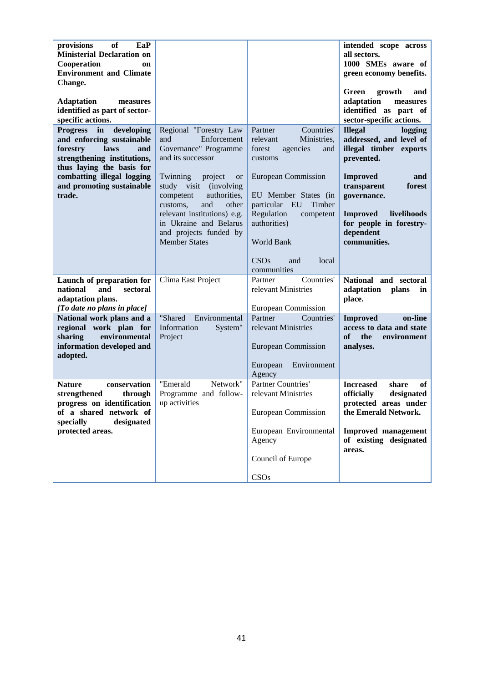| of<br>provisions<br>EaP<br><b>Ministerial Declaration on</b><br>Cooperation<br>on<br><b>Environment and Climate</b><br>Change.<br><b>Adaptation</b><br>measures<br>identified as part of sector-<br>specific actions.        |                                                                                                                                                                                                                                                                                                                              |                                                                                                                                                                                                                                                                                  | intended scope across<br>all sectors.<br>1000 SMEs aware of<br>green economy benefits.<br>growth<br>Green<br>and<br>adaptation<br>measures<br>identified as part of<br>sector-specific actions.                                                          |
|------------------------------------------------------------------------------------------------------------------------------------------------------------------------------------------------------------------------------|------------------------------------------------------------------------------------------------------------------------------------------------------------------------------------------------------------------------------------------------------------------------------------------------------------------------------|----------------------------------------------------------------------------------------------------------------------------------------------------------------------------------------------------------------------------------------------------------------------------------|----------------------------------------------------------------------------------------------------------------------------------------------------------------------------------------------------------------------------------------------------------|
| <b>Progress</b><br>in<br>developing<br>and enforcing sustainable<br>forestry<br>laws<br>and<br>strengthening institutions,<br>thus laying the basis for<br>combatting illegal logging<br>and promoting sustainable<br>trade. | Regional "Forestry Law<br>and<br>Enforcement<br>Governance" Programme<br>and its successor<br>Twinning<br>project<br><b>or</b><br>study visit (involving<br>competent<br>authorities,<br>and<br>other<br>customs,<br>relevant institutions) e.g.<br>in Ukraine and Belarus<br>and projects funded by<br><b>Member States</b> | Partner<br>Countries'<br>relevant<br>Ministries,<br>forest<br>agencies<br>and<br>customs<br><b>European Commission</b><br>EU Member States (in<br>Timber<br>particular EU<br>Regulation<br>competent<br>authorities)<br><b>World Bank</b><br>CSOs<br>and<br>local<br>communities | <b>Illegal</b><br>logging<br>addressed, and level of<br>illegal timber exports<br>prevented.<br><b>Improved</b><br>and<br>transparent<br>forest<br>governance.<br>livelihoods<br><b>Improved</b><br>for people in forestry-<br>dependent<br>communities. |
| Launch of preparation for<br>national<br>and<br>sectoral<br>adaptation plans.<br>[To date no plans in place]                                                                                                                 | Clima East Project                                                                                                                                                                                                                                                                                                           | Countries'<br>Partner<br>relevant Ministries<br><b>European Commission</b>                                                                                                                                                                                                       | National and sectoral<br>adaptation plans<br>in<br>place.                                                                                                                                                                                                |
| National work plans and a<br>regional work plan for<br>environmental<br>sharing<br>information developed and<br>adopted.                                                                                                     | "Shared<br>Environmental<br>Information<br>System"<br>Project                                                                                                                                                                                                                                                                | Countries'<br>Partner<br>relevant Ministries<br><b>European Commission</b><br>Environment<br>European<br>Agency                                                                                                                                                                  | on-line<br><b>Improved</b><br>access to data and state<br>of<br>the<br>environment<br>analyses.                                                                                                                                                          |
| <b>Nature</b><br>conservation<br>strengthened<br>through<br>progress on identification<br>of a shared network of<br>specially<br>designated<br>protected areas.                                                              | Network"<br>"Emerald<br>Programme and follow-<br>up activities                                                                                                                                                                                                                                                               | <b>Partner Countries'</b><br>relevant Ministries<br><b>European Commission</b><br>European Environmental<br>Agency<br>Council of Europe<br>CSOs                                                                                                                                  | <b>Increased</b><br>share<br>of<br>officially<br>designated<br>protected areas under<br>the Emerald Network.<br><b>Improved management</b><br>of existing designated<br>areas.                                                                           |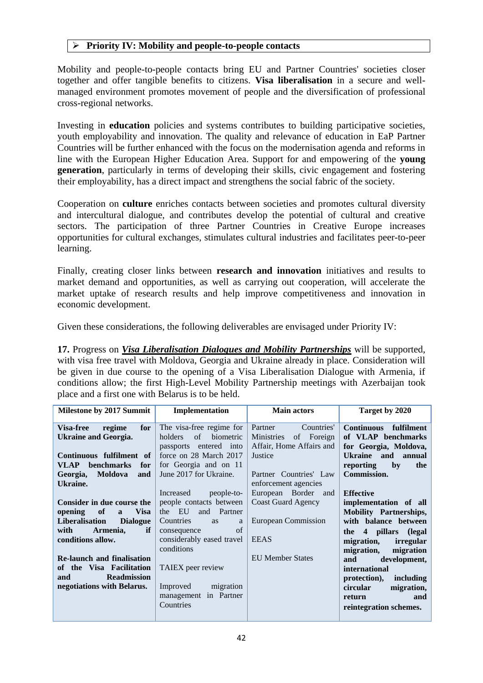# **Priority IV: Mobility and people-to-people contacts**

Mobility and people-to-people contacts bring EU and Partner Countries' societies closer together and offer tangible benefits to citizens. **Visa liberalisation** in a secure and wellmanaged environment promotes movement of people and the diversification of professional cross-regional networks.

Investing in **education** policies and systems contributes to building participative societies, youth employability and innovation. The quality and relevance of education in EaP Partner Countries will be further enhanced with the focus on the modernisation agenda and reforms in line with the European Higher Education Area. Support for and empowering of the **young generation**, particularly in terms of developing their skills, civic engagement and fostering their employability, has a direct impact and strengthens the social fabric of the society.

Cooperation on **culture** enriches contacts between societies and promotes cultural diversity and intercultural dialogue, and contributes develop the potential of cultural and creative sectors. The participation of three Partner Countries in Creative Europe increases opportunities for cultural exchanges, stimulates cultural industries and facilitates peer-to-peer learning.

Finally, creating closer links between **research and innovation** initiatives and results to market demand and opportunities, as well as carrying out cooperation, will accelerate the market uptake of research results and help improve competitiveness and innovation in economic development.

Given these considerations, the following deliverables are envisaged under Priority IV:

**17.** Progress on *Visa Liberalisation Dialogues and Mobility Partnerships* will be supported, with visa free travel with Moldova, Georgia and Ukraine already in place. Consideration will be given in due course to the opening of a Visa Liberalisation Dialogue with Armenia, if conditions allow; the first High-Level Mobility Partnership meetings with Azerbaijan took place and a first one with Belarus is to be held.

| <b>Milestone by 2017 Summit</b>                                                                                                                                                                                                                                                                                                       | Implementation                                                                                                                                                                                                                                                                                                                           | <b>Main actors</b>                                                                                                                                                                                                                                 | Target by 2020                                                                                                                                                                                                                                                                                                                 |
|---------------------------------------------------------------------------------------------------------------------------------------------------------------------------------------------------------------------------------------------------------------------------------------------------------------------------------------|------------------------------------------------------------------------------------------------------------------------------------------------------------------------------------------------------------------------------------------------------------------------------------------------------------------------------------------|----------------------------------------------------------------------------------------------------------------------------------------------------------------------------------------------------------------------------------------------------|--------------------------------------------------------------------------------------------------------------------------------------------------------------------------------------------------------------------------------------------------------------------------------------------------------------------------------|
| regime<br>for<br><b>Visa-free</b><br>Ukraine and Georgia.<br>Continuous fulfilment of<br>VLAP<br><b>benchmarks</b><br>for<br>Moldova<br>Georgia,<br>and<br>Ukraine.<br>Consider in due course the<br>of<br><b>Visa</b><br>opening<br>$\mathbf{a}$<br>Liberalisation<br><b>Dialogue</b><br>if<br>Armenia,<br>with<br>conditions allow. | The visa-free regime for<br>of biometric<br>holders<br>passports entered into<br>force on 28 March 2017<br>for Georgia and on 11<br>June 2017 for Ukraine.<br>Increased<br>people-to-<br>people contacts between<br>the EU<br>and Partner<br>Countries<br>a<br><b>as</b><br>of<br>consequence<br>considerably eased travel<br>conditions | Partner<br>Countries'<br>of Foreign<br><b>Ministries</b><br>Affair, Home Affairs and<br>Justice<br>Partner Countries' Law<br>enforcement agencies<br>European Border and<br><b>Coast Guard Agency</b><br><b>European Commission</b><br><b>EEAS</b> | Continuous fulfilment<br>of VLAP benchmarks<br>for Georgia, Moldova,<br>Ukraine and annual<br>reporting<br>by<br>the<br><b>Commission.</b><br><b>Effective</b><br>implementation of all<br><b>Mobility Partnerships,</b><br>with balance between<br>the 4 pillars (legal<br>migration,<br>irregular<br>migration<br>migration, |
| <b>Re-launch and finalisation</b><br>of the Visa Facilitation<br><b>Readmission</b><br>and<br>negotiations with Belarus.                                                                                                                                                                                                              | TAIEX peer review<br>Improved migration<br>management in Partner<br>Countries                                                                                                                                                                                                                                                            | <b>EU Member States</b>                                                                                                                                                                                                                            | development,<br>and<br>international<br>protection),<br>including<br>migration,<br>circular<br>return<br>and<br>reintegration schemes.                                                                                                                                                                                         |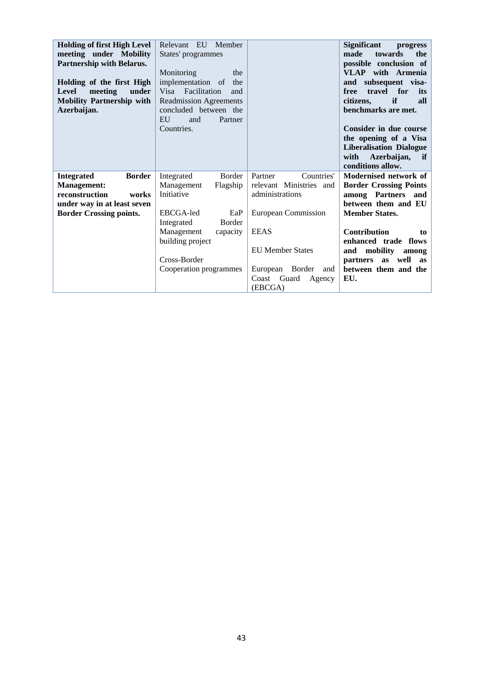| <b>Holding of first High Level</b><br>meeting under Mobility<br>Partnership with Belarus.<br>Holding of the first High<br><b>Level</b><br>meeting<br>under<br><b>Mobility Partnership with</b><br>Azerbaijan. | Relevant EU Member<br>States' programmes<br>Monitoring<br>the<br>implementation of<br>the<br>Visa Facilitation<br>and<br><b>Readmission Agreements</b><br>concluded between the<br>EU<br>and<br>Partner |                            | <b>Significant</b><br>progress<br>towards<br>the<br>made<br>possible conclusion of<br><b>VLAP</b> with Armenia<br>and subsequent visa-<br>travel for<br>free<br>its<br>if<br>citizens,<br>all<br>benchmarks are met. |
|---------------------------------------------------------------------------------------------------------------------------------------------------------------------------------------------------------------|---------------------------------------------------------------------------------------------------------------------------------------------------------------------------------------------------------|----------------------------|----------------------------------------------------------------------------------------------------------------------------------------------------------------------------------------------------------------------|
|                                                                                                                                                                                                               | Countries.                                                                                                                                                                                              |                            | Consider in due course<br>the opening of a Visa<br><b>Liberalisation Dialogue</b><br>with<br>Azerbaijan, if<br>conditions allow.                                                                                     |
| <b>Border</b><br><b>Integrated</b>                                                                                                                                                                            | <b>Border</b><br>Integrated                                                                                                                                                                             | Countries'<br>Partner      | Modernised network of                                                                                                                                                                                                |
| <b>Management:</b>                                                                                                                                                                                            | Management<br>Flagship                                                                                                                                                                                  | relevant Ministries and    | <b>Border Crossing Points</b>                                                                                                                                                                                        |
| reconstruction<br>works                                                                                                                                                                                       | Initiative                                                                                                                                                                                              | administrations            | among Partners<br>and                                                                                                                                                                                                |
| under way in at least seven                                                                                                                                                                                   |                                                                                                                                                                                                         |                            | between them and EU                                                                                                                                                                                                  |
| <b>Border Crossing points.</b>                                                                                                                                                                                | EBCGA-led<br>EaP<br>Integrated<br>Border                                                                                                                                                                | <b>European Commission</b> | <b>Member States.</b>                                                                                                                                                                                                |
|                                                                                                                                                                                                               | Management<br>capacity                                                                                                                                                                                  | <b>EEAS</b>                | Contribution<br>to                                                                                                                                                                                                   |
|                                                                                                                                                                                                               | building project                                                                                                                                                                                        |                            | enhanced trade flows                                                                                                                                                                                                 |
|                                                                                                                                                                                                               |                                                                                                                                                                                                         | <b>EU Member States</b>    | mobility<br>and<br>among                                                                                                                                                                                             |
|                                                                                                                                                                                                               | Cross-Border                                                                                                                                                                                            |                            | partners as<br>well as                                                                                                                                                                                               |
|                                                                                                                                                                                                               | Cooperation programmes                                                                                                                                                                                  | European Border<br>and     | between them and the                                                                                                                                                                                                 |
|                                                                                                                                                                                                               |                                                                                                                                                                                                         | Guard<br>Coast<br>Agency   | EU.                                                                                                                                                                                                                  |
|                                                                                                                                                                                                               |                                                                                                                                                                                                         | (EBCGA)                    |                                                                                                                                                                                                                      |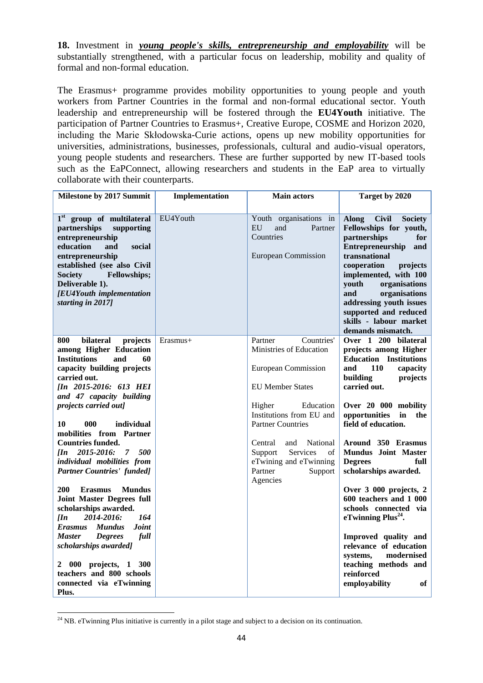**18.** Investment in *young people's skills, entrepreneurship and employability* will be substantially strengthened, with a particular focus on leadership, mobility and quality of formal and non-formal education.

The Erasmus+ programme provides mobility opportunities to young people and youth workers from Partner Countries in the formal and non-formal educational sector. Youth leadership and entrepreneurship will be fostered through the **EU4Youth** initiative. The participation of Partner Countries to Erasmus+, Creative Europe, COSME and Horizon 2020, including the Marie Skłodowska-Curie actions, opens up new mobility opportunities for universities, administrations, businesses, professionals, cultural and audio-visual operators, young people students and researchers. These are further supported by new IT-based tools such as the EaPConnect, allowing researchers and students in the EaP area to virtually collaborate with their counterparts.

| Milestone by 2017 Summit                                                                                                                                                                                                                                                                                                                                                                                         | Implementation | <b>Main actors</b>                                                                                                                                                                                                                                                                           | Target by 2020                                                                                                                                                                                                                                                                                                                                         |
|------------------------------------------------------------------------------------------------------------------------------------------------------------------------------------------------------------------------------------------------------------------------------------------------------------------------------------------------------------------------------------------------------------------|----------------|----------------------------------------------------------------------------------------------------------------------------------------------------------------------------------------------------------------------------------------------------------------------------------------------|--------------------------------------------------------------------------------------------------------------------------------------------------------------------------------------------------------------------------------------------------------------------------------------------------------------------------------------------------------|
| 1 <sup>st</sup> group of multilateral<br>partnerships<br>supporting<br>entrepreneurship<br>education<br>and<br>social<br>entrepreneurship<br>established (see also Civil<br>Fellowships;<br><b>Society</b><br>Deliverable 1).<br>[EU4Youth implementation<br>starting in 2017]                                                                                                                                   | EU4Youth       | Youth organisations in<br>EU<br>and<br>Partner<br>Countries<br><b>European Commission</b>                                                                                                                                                                                                    | <b>Civil</b><br><b>Along</b><br><b>Society</b><br>Fellowships for youth,<br>partnerships<br>for<br>Entrepreneurship<br>and<br>transnational<br>cooperation<br>projects<br>implemented, with 100<br>youth<br>organisations<br>and<br>organisations<br>addressing youth issues<br>supported and reduced<br>skills - labour market<br>demands mismatch.   |
| 800<br>bilateral<br>projects<br>among Higher Education<br><b>Institutions</b><br>and<br>60<br>capacity building projects<br>carried out.<br>[In 2015-2016: 613 HEI<br>and 47 capacity building<br>projects carried out]<br>10<br>000<br>individual<br>mobilities from Partner<br><b>Countries funded.</b><br>2015-2016:<br>7 500<br>$I\!I\!n$<br>individual mobilities from<br><b>Partner Countries' funded]</b> | Erasmus+       | Countries'<br>Partner<br>Ministries of Education<br>European Commission<br><b>EU Member States</b><br>Education<br>Higher<br>Institutions from EU and<br><b>Partner Countries</b><br>Central<br>and<br>National<br>Services<br>Support<br>of<br>eTwining and eTwinning<br>Partner<br>Support | Over 1 200 bilateral<br>projects among Higher<br><b>Education</b> Institutions<br><b>110</b><br>and<br>capacity<br>building<br>projects<br>carried out.<br>Over 20 000 mobility<br>opportunities<br>$\mathbf{in}$<br>the<br>field of education.<br>Around 350 Erasmus<br><b>Mundus Joint Master</b><br><b>Degrees</b><br>full<br>scholarships awarded. |
| <b>200</b><br><b>Erasmus</b><br><b>Mundus</b><br><b>Joint Master Degrees full</b><br>scholarships awarded.<br>2014-2016:<br>164<br>$\prod n$<br><b>Joint</b><br>Erasmus Mundus<br><b>Master</b><br><b>Degrees</b><br>full<br>scholarships awarded]<br>2 000 projects, 1 300<br>teachers and 800 schools<br>connected via eTwinning<br>Plus.                                                                      |                | Agencies                                                                                                                                                                                                                                                                                     | Over 3 000 projects, 2<br>600 teachers and 1 000<br>schools connected via<br>eTwinning $Plus24$ .<br>Improved quality and<br>relevance of education<br>systems,<br>modernised<br>teaching methods and<br>reinforced<br>employability<br>of                                                                                                             |

**<sup>.</sup>**  $24$  NB. eTwinning Plus initiative is currently in a pilot stage and subject to a decision on its continuation.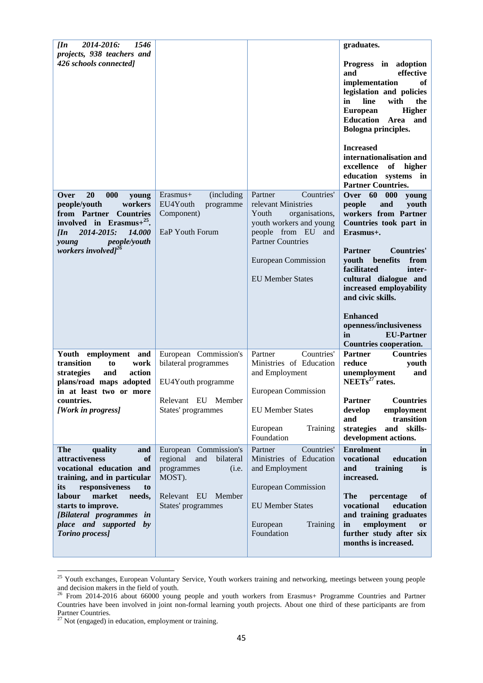| 2014-2016:<br>1546<br>$\pi$<br>projects, 938 teachers and<br>426 schools connected]                                                                                                                                                                                         |                                                                                                                                    |                                                                                                                                                                                                                  | graduates.<br>Progress in adoption<br>effective<br>and<br>implementation<br>of<br>legislation and policies<br>line<br>with<br>the<br>in<br><b>Higher</b><br><b>European</b><br><b>Education</b><br>Area<br>and<br>Bologna principles.<br><b>Increased</b><br>internationalisation and<br>excellence<br>of<br>higher<br>education systems in<br><b>Partner Countries.</b>                     |
|-----------------------------------------------------------------------------------------------------------------------------------------------------------------------------------------------------------------------------------------------------------------------------|------------------------------------------------------------------------------------------------------------------------------------|------------------------------------------------------------------------------------------------------------------------------------------------------------------------------------------------------------------|----------------------------------------------------------------------------------------------------------------------------------------------------------------------------------------------------------------------------------------------------------------------------------------------------------------------------------------------------------------------------------------------|
| Over<br><b>20</b><br>000<br>young<br>people/youth<br>workers<br>from Partner Countries<br>involved in Erasmus+ $^{25}$ .<br>2014-2015:<br>14.000<br>$\prod n$<br>people/youth<br>young<br>workers involved] <sup>26</sup>                                                   | Erasmus+<br>(including<br>EU4Youth<br>programme<br>Component)<br>EaP Youth Forum                                                   | Countries'<br>Partner<br>relevant Ministries<br>Youth<br>organisations,<br>youth workers and young<br>people from EU<br>and<br><b>Partner Countries</b><br><b>European Commission</b><br><b>EU Member States</b> | Over 60<br>000<br>young<br>people<br>and<br>youth<br>workers from Partner<br>Countries took part in<br>Erasmus+.<br><b>Countries'</b><br><b>Partner</b><br>youth benefits<br>from<br>facilitated<br>inter-<br>cultural dialogue and<br>increased employability<br>and civic skills.<br><b>Enhanced</b><br>openness/inclusiveness<br>in<br><b>EU-Partner</b><br><b>Countries cooperation.</b> |
| Youth employment and<br>transition<br>work<br>to<br>strategies<br>action<br>and<br>plans/road maps adopted<br>in at least two or more<br>countries.<br>[Work in progress]                                                                                                   | European Commission's<br>bilateral programmes<br>EU4Youth programme<br>Relevant EU Member<br>States' programmes                    | Countries'<br>Partner<br>Ministries of Education<br>and Employment<br>European Commission<br><b>EU Member States</b><br>European<br>Training<br>Foundation                                                       | <b>Partner</b><br><b>Countries</b><br>reduce<br>youth<br>unemployment<br>NEETs <sup>27</sup> rates.<br>and<br><b>Partner</b> Countries<br>employment<br>develop<br>transition<br>and<br>skills-<br>strategies<br>and<br>development actions.                                                                                                                                                 |
| The<br>quality<br>and<br>attractiveness<br>of<br>vocational education and<br>training, and in particular<br>responsiveness<br>its<br>to<br>labour<br>market<br>needs,<br>starts to improve.<br>[Bilateral programmes in<br>place and supported by<br><b>Torino</b> process] | European Commission's<br>regional<br>and<br>bilateral<br>programmes<br>(i.e.<br>MOST).<br>Relevant EU Member<br>States' programmes | Countries'<br>Partner<br>Ministries of Education<br>and Employment<br><b>European Commission</b><br><b>EU Member States</b><br>European<br>Training<br>Foundation                                                | <b>Enrolment</b><br>in<br>vocational<br>education<br>and<br>training<br><i>is</i><br>increased.<br><b>The</b><br>percentage<br>оf<br>vocational<br>education<br>and training graduates<br>employment<br>in<br>or<br>further study after six<br>months is increased.                                                                                                                          |

<sup>&</sup>lt;sup>25</sup> Youth exchanges, European Voluntary Service, Youth workers training and networking, meetings between young people and decision makers in the field of youth.

<sup>&</sup>lt;sup>26</sup> From 2014-2016 about 66000 young people and youth workers from Erasmus+ Programme Countries and Partner Countries have been involved in joint non-formal learning youth projects. About one third of these participants are from Partner Countries.

 $^{27}$  Not (engaged) in education, employment or training.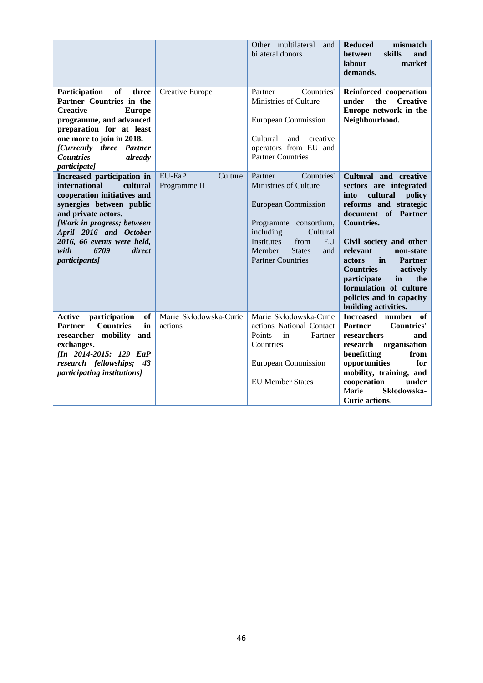|                                                                                                                                                                                                                                                                                   |                                   | Other multilateral<br>and<br>bilateral donors                                                                                                                                                                            | <b>Reduced</b><br>mismatch<br><b>between</b><br>skills<br>and<br>market<br>labour<br>demands.                                                                                                                                                                                                                                                                                      |
|-----------------------------------------------------------------------------------------------------------------------------------------------------------------------------------------------------------------------------------------------------------------------------------|-----------------------------------|--------------------------------------------------------------------------------------------------------------------------------------------------------------------------------------------------------------------------|------------------------------------------------------------------------------------------------------------------------------------------------------------------------------------------------------------------------------------------------------------------------------------------------------------------------------------------------------------------------------------|
| Participation<br>of<br>three<br>Partner Countries in the<br><b>Creative</b><br><b>Europe</b><br>programme, and advanced<br>preparation for at least<br>one more to join in 2018.<br>[Currently three Partner<br>already<br><b>Countries</b><br><i>participate]</i>                | Creative Europe                   | Countries'<br>Partner<br>Ministries of Culture<br><b>European Commission</b><br>and<br>Cultural<br>creative<br>operators from EU and<br><b>Partner Countries</b>                                                         | Reinforced cooperation<br>under<br>the<br><b>Creative</b><br>Europe network in the<br>Neighbourhood.                                                                                                                                                                                                                                                                               |
| Increased participation in<br>international<br>cultural<br>cooperation initiatives and<br>synergies between public<br>and private actors.<br>[Work in progress; between<br>April 2016 and October<br>2016, 66 events were held,<br>with<br>6709<br>direct<br><i>participants]</i> | EU-EaP<br>Culture<br>Programme II | Countries'<br>Partner<br>Ministries of Culture<br><b>European Commission</b><br>Programme consortium,<br>including<br>Cultural<br>Institutes<br>from<br>EU<br>Member<br><b>States</b><br>and<br><b>Partner Countries</b> | Cultural and creative<br>sectors are integrated<br>cultural<br>policy<br>into<br>reforms and strategic<br>document of Partner<br><b>Countries.</b><br>Civil society and other<br>relevant<br>non-state<br>actors<br>in<br><b>Partner</b><br><b>Countries</b><br>actively<br>participate<br>the<br>in<br>formulation of culture<br>policies and in capacity<br>building activities. |
| of<br><b>Active</b><br>participation<br><b>Countries</b><br>in<br><b>Partner</b><br>researcher mobility<br>and<br>exchanges.<br>[In 2014-2015: 129 EaP<br>research fellowships; 43<br>participating institutions]                                                                 | Marie Skłodowska-Curie<br>actions | Marie Skłodowska-Curie<br>actions National Contact<br>Points<br>in<br>Partner<br>Countries<br>European Commission<br><b>EU Member States</b>                                                                             | Increased number of<br><b>Countries'</b><br><b>Partner</b><br>researchers<br>and<br>organisation<br>research<br>benefitting<br>from<br>opportunities<br>for<br>mobility, training, and<br>cooperation<br>under<br>Skłodowska-<br>Marie<br><b>Curie actions.</b>                                                                                                                    |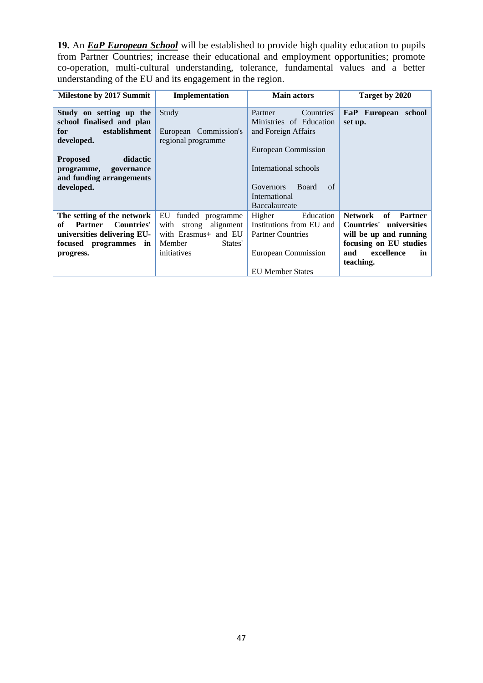**19.** An *EaP European School* will be established to provide high quality education to pupils from Partner Countries; increase their educational and employment opportunities; promote co-operation, multi-cultural understanding, tolerance, fundamental values and a better understanding of the EU and its engagement in the region.

| <b>Milestone by 2017 Summit</b>           | Implementation           | <b>Main actors</b>                     | Target by 2020          |
|-------------------------------------------|--------------------------|----------------------------------------|-------------------------|
|                                           |                          |                                        |                         |
| Study on setting up the                   | Study                    | Countries'<br>Partner                  | EaP European school     |
| school finalised and plan                 |                          | Ministries of Education                | set up.                 |
| establishment<br>for                      | European Commission's    | and Foreign Affairs                    |                         |
| developed.                                | regional programme       |                                        |                         |
|                                           |                          | European Commission                    |                         |
| didactic<br><b>Proposed</b>               |                          |                                        |                         |
| programme, governance                     |                          | International schools                  |                         |
| and funding arrangements                  |                          |                                        |                         |
| developed.                                |                          | <b>Governors</b><br><b>Board</b><br>of |                         |
|                                           |                          | International                          |                         |
|                                           |                          | Baccalaureate                          |                         |
| The setting of the network                | EU<br>funded programme   | Higher<br>Education                    | Network<br>of Partner   |
| <b>Countries'</b><br>of<br><b>Partner</b> | strong alignment<br>with | Institutions from EU and               | Countries' universities |
| universities delivering EU-               | with Erasmus+ and EU     | <b>Partner Countries</b>               | will be up and running  |
| focused programmes in                     | Member<br>States'        |                                        | focusing on EU studies  |
| progress.                                 | initiatives              | European Commission                    | excellence<br>and<br>in |
|                                           |                          |                                        | teaching.               |
|                                           |                          | <b>EU Member States</b>                |                         |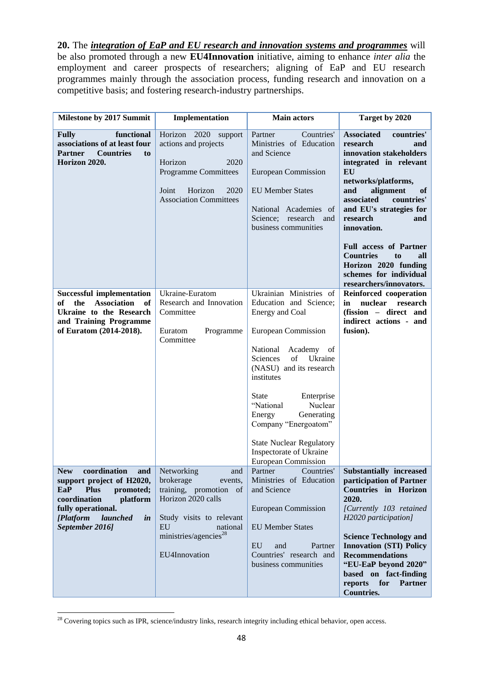**20.** The *integration of EaP and EU research and innovation systems and programmes* will be also promoted through a new **EU4Innovation** initiative, aiming to enhance *inter alia* the employment and career prospects of researchers; aligning of EaP and EU research programmes mainly through the association process, funding research and innovation on a competitive basis; and fostering research-industry partnerships.

| Milestone by 2017 Summit                                                                                                                                                                                               | Implementation                                                                                                                                                                                | <b>Main actors</b>                                                                                                                                                                                                                                                                                                                                                                     | Target by 2020                                                                                                                                                                                                                                                                                                                                                                                         |
|------------------------------------------------------------------------------------------------------------------------------------------------------------------------------------------------------------------------|-----------------------------------------------------------------------------------------------------------------------------------------------------------------------------------------------|----------------------------------------------------------------------------------------------------------------------------------------------------------------------------------------------------------------------------------------------------------------------------------------------------------------------------------------------------------------------------------------|--------------------------------------------------------------------------------------------------------------------------------------------------------------------------------------------------------------------------------------------------------------------------------------------------------------------------------------------------------------------------------------------------------|
| functional<br><b>Fully</b><br>associations of at least four<br><b>Countries</b><br><b>Partner</b><br>to<br>Horizon 2020.                                                                                               | Horizon 2020<br>support<br>actions and projects<br>2020<br>Horizon<br><b>Programme Committees</b><br>Horizon<br>Joint<br>2020<br><b>Association Committees</b>                                | Countries'<br>Partner<br>Ministries of Education<br>and Science<br><b>European Commission</b><br><b>EU</b> Member States<br>National Academies of<br>Science; research and<br>business communities                                                                                                                                                                                     | <b>Associated</b><br>countries'<br>research<br>and<br>innovation stakeholders<br>integrated in relevant<br>EU<br>networks/platforms,<br>and<br>alignment<br>of<br>associated<br>countries'<br>and EU's strategies for<br>research<br>and<br>innovation.<br><b>Full access of Partner</b><br><b>Countries</b><br>all<br>to<br>Horizon 2020 funding<br>schemes for individual<br>researchers/innovators. |
| <b>Successful implementation</b><br>the<br><b>Association</b><br>of<br>of<br>Ukraine to the Research<br>and Training Programme<br>of Euratom (2014-2018).                                                              | Ukraine-Euratom<br>Research and Innovation<br>Committee<br>Euratom<br>Programme<br>Committee                                                                                                  | Ukrainian Ministries of<br>Education and Science;<br>Energy and Coal<br>European Commission<br>National<br>Academy of<br>Sciences<br>of<br>Ukraine<br>(NASU) and its research<br>institutes<br>State<br>Enterprise<br>"National<br>Nuclear<br>Generating<br>Energy<br>Company "Energoatom"<br><b>State Nuclear Regulatory</b><br>Inspectorate of Ukraine<br><b>European Commission</b> | Reinforced cooperation<br>in<br>nuclear research<br>(fission - direct and<br>indirect actions - and<br>fusion).                                                                                                                                                                                                                                                                                        |
| coordination<br><b>New</b><br>and<br>support project of H2020,<br>EaP<br><b>Plus</b><br>promoted;<br>coordination<br>platform<br>fully operational.<br>[Platform]<br>launched<br>$\dot{\mathbf{m}}$<br>September 2016] | Networking<br>and<br>brokerage<br>events,<br>training, promotion of<br>Horizon 2020 calls<br>Study visits to relevant<br>EU<br>national<br>ministries/agencies <sup>28</sup><br>EU4Innovation | Countries'<br>Partner<br>Ministries of Education<br>and Science<br><b>European Commission</b><br><b>EU Member States</b><br>EU<br>and<br>Partner<br>Countries' research and<br>business communities                                                                                                                                                                                    | <b>Substantially increased</b><br>participation of Partner<br><b>Countries</b> in Horizon<br>2020.<br>[Currently 103 retained<br>H2020 participation]<br><b>Science Technology and</b><br><b>Innovation (STI) Policy</b><br><b>Recommendations</b><br>"EU-EaP beyond 2020"<br>based on fact-finding<br>reports<br>for<br><b>Partner</b><br><b>Countries.</b>                                           |

 $^{28}$  Covering topics such as IPR, science/industry links, research integrity including ethical behavior, open access.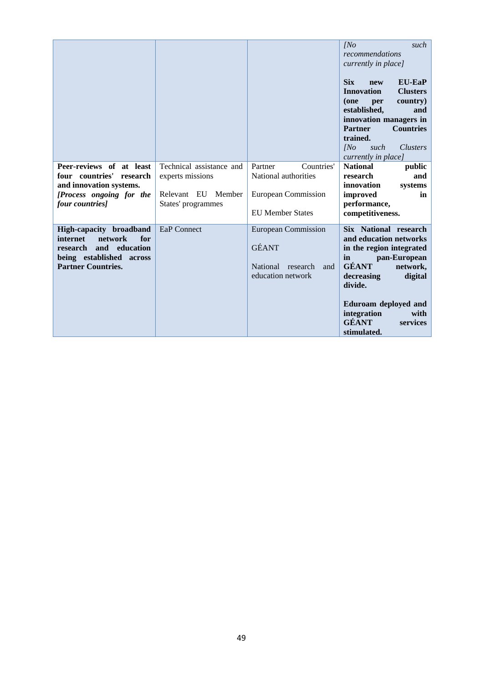|                                                                                                                                             |                                                                                          |                                                                                                        | INO<br>such<br>recommendations<br>currently in place]<br><b>Six</b><br><b>EU-EaP</b><br>new<br><b>Innovation</b><br><b>Clusters</b><br>country)<br>(one<br>per<br>established,<br>and<br>innovation managers in<br><b>Partner</b><br><b>Countries</b><br>trained.<br>INo<br><i>Clusters</i><br>such<br>currently in place] |
|---------------------------------------------------------------------------------------------------------------------------------------------|------------------------------------------------------------------------------------------|--------------------------------------------------------------------------------------------------------|----------------------------------------------------------------------------------------------------------------------------------------------------------------------------------------------------------------------------------------------------------------------------------------------------------------------------|
| Peer-reviews of at least<br>four countries'<br>research<br>and innovation systems.<br>[Process ongoing for the<br>four countries]           | Technical assistance and<br>experts missions<br>Relevant EU Member<br>States' programmes | Countries'<br>Partner<br>National authorities<br><b>European Commission</b><br><b>EU</b> Member States | <b>National</b><br>public<br>research<br>and<br>innovation<br>systems<br>improved<br>in<br>performance,<br>competitiveness.                                                                                                                                                                                                |
| High-capacity broadband<br>for<br>internet<br>network<br>and education<br>research<br>being established across<br><b>Partner Countries.</b> | EaP Connect                                                                              | <b>European Commission</b><br><b>GÉANT</b><br>National research<br>and<br>education network            | Six National research<br>and education networks<br>in the region integrated<br>pan-European<br>in<br><b>GÉANT</b><br>network,<br>decreasing<br>digital<br>divide.<br>Eduroam deployed and<br>integration<br>with<br><b>GÉANT</b><br>services<br>stimulated.                                                                |